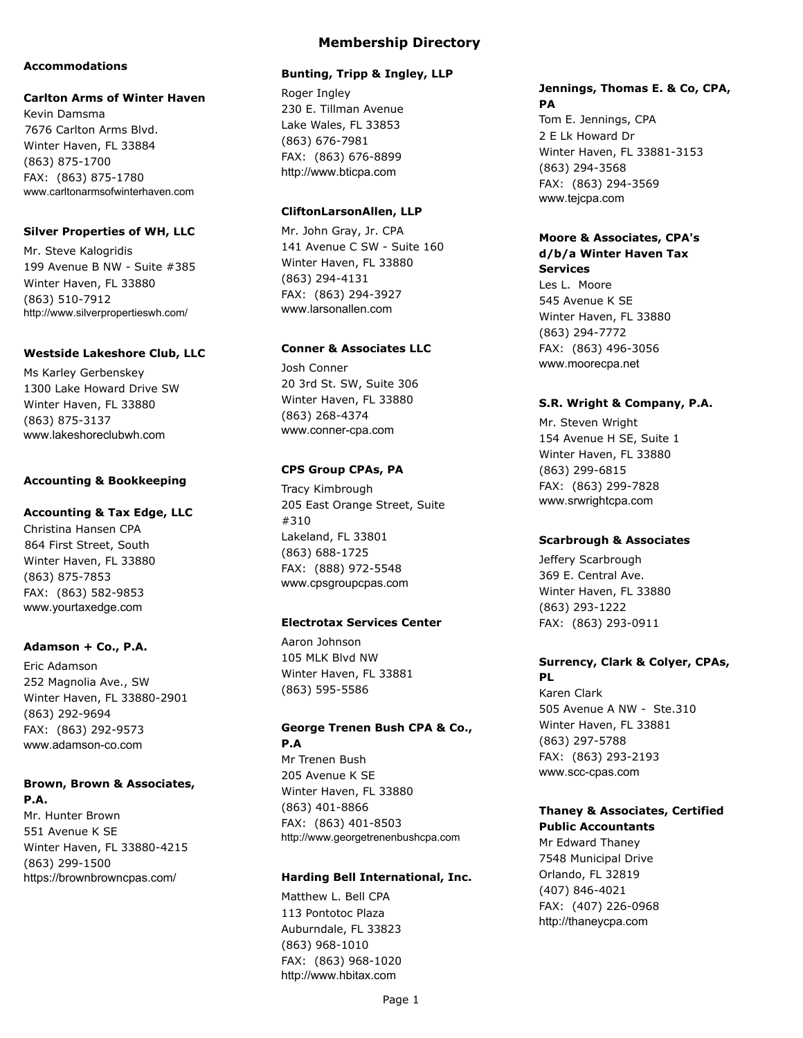#### **Accommodations**

#### **Carlton Arms of Winter Haven**

Kevin Damsma 7676 Carlton Arms Blvd. Winter Haven, FL 33884 (863) 875-1700 FAX: (863) 875-1780 www.carltonarmsofwinterhaven.com

#### **Silver Properties of WH, LLC**

Mr. Steve Kalogridis 199 Avenue B NW - Suite #385 Winter Haven, FL 33880 (863) 510-7912 http://www.silverpropertieswh.com/

#### **Westside Lakeshore Club, LLC**

Ms Karley Gerbenskey 1300 Lake Howard Drive SW Winter Haven, FL 33880 (863) 875-3137 www.lakeshoreclubwh.com

#### **Accounting & Bookkeeping**

### **Accounting & Tax Edge, LLC**

Christina Hansen CPA 864 First Street, South Winter Haven, FL 33880 (863) 875-7853 FAX: (863) 582-9853 www.yourtaxedge.com

#### **Adamson + Co., P.A.**

Eric Adamson 252 Magnolia Ave., SW Winter Haven, FL 33880-2901 (863) 292-9694 FAX: (863) 292-9573 www.adamson-co.com

## **Brown, Brown & Associates,**

**P.A.** Mr. Hunter Brown 551 Avenue K SE Winter Haven, FL 33880-4215 (863) 299-1500 https://brownbrowncpas.com/

#### **Bunting, Tripp & Ingley, LLP**

Roger Ingley 230 E. Tillman Avenue Lake Wales, FL 33853 (863) 676-7981 FAX: (863) 676-8899 http://www.bticpa.com

#### **CliftonLarsonAllen, LLP**

Mr. John Gray, Jr. CPA 141 Avenue C SW - Suite 160 Winter Haven, FL 33880 (863) 294-4131 FAX: (863) 294-3927 www.larsonallen.com

#### **Conner & Associates LLC**

Josh Conner 20 3rd St. SW, Suite 306 Winter Haven, FL 33880 (863) 268-4374 www.conner-cpa.com

#### **CPS Group CPAs, PA**

Tracy Kimbrough 205 East Orange Street, Suite #310 Lakeland, FL 33801 (863) 688-1725 FAX: (888) 972-5548 www.cpsgroupcpas.com

#### **Electrotax Services Center**

Aaron Johnson 105 MLK Blvd NW Winter Haven, FL 33881 (863) 595-5586

### **George Trenen Bush CPA & Co., P.A**

Mr Trenen Bush 205 Avenue K SE Winter Haven, FL 33880 (863) 401-8866 FAX: (863) 401-8503 http://www.georgetrenenbushcpa.com

#### **Harding Bell International, Inc.**

Matthew L. Bell CPA 113 Pontotoc Plaza Auburndale, FL 33823 (863) 968-1010 FAX: (863) 968-1020 http://www.hbitax.com

#### **Jennings, Thomas E. & Co, CPA, PA**

Tom E. Jennings, CPA 2 E Lk Howard Dr Winter Haven, FL 33881-3153 (863) 294-3568 FAX: (863) 294-3569 www.tejcpa.com

#### **Moore & Associates, CPA's d/b/a Winter Haven Tax Services**

Les L. Moore 545 Avenue K SE Winter Haven, FL 33880 (863) 294-7772 FAX: (863) 496-3056 www.moorecpa.net

#### **S.R. Wright & Company, P.A.**

Mr. Steven Wright 154 Avenue H SE, Suite 1 Winter Haven, FL 33880 (863) 299-6815 FAX: (863) 299-7828 www.srwrightcpa.com

#### **Scarbrough & Associates**

Jeffery Scarbrough 369 E. Central Ave. Winter Haven, FL 33880 (863) 293-1222 FAX: (863) 293-0911

### **Surrency, Clark & Colyer, CPAs, PL**

Karen Clark 505 Avenue A NW - Ste.310 Winter Haven, FL 33881 (863) 297-5788 FAX: (863) 293-2193 www.scc-cpas.com

#### **Thaney & Associates, Certified Public Accountants**

Mr Edward Thaney 7548 Municipal Drive Orlando, FL 32819 (407) 846-4021 FAX: (407) 226-0968 http://thaneycpa.com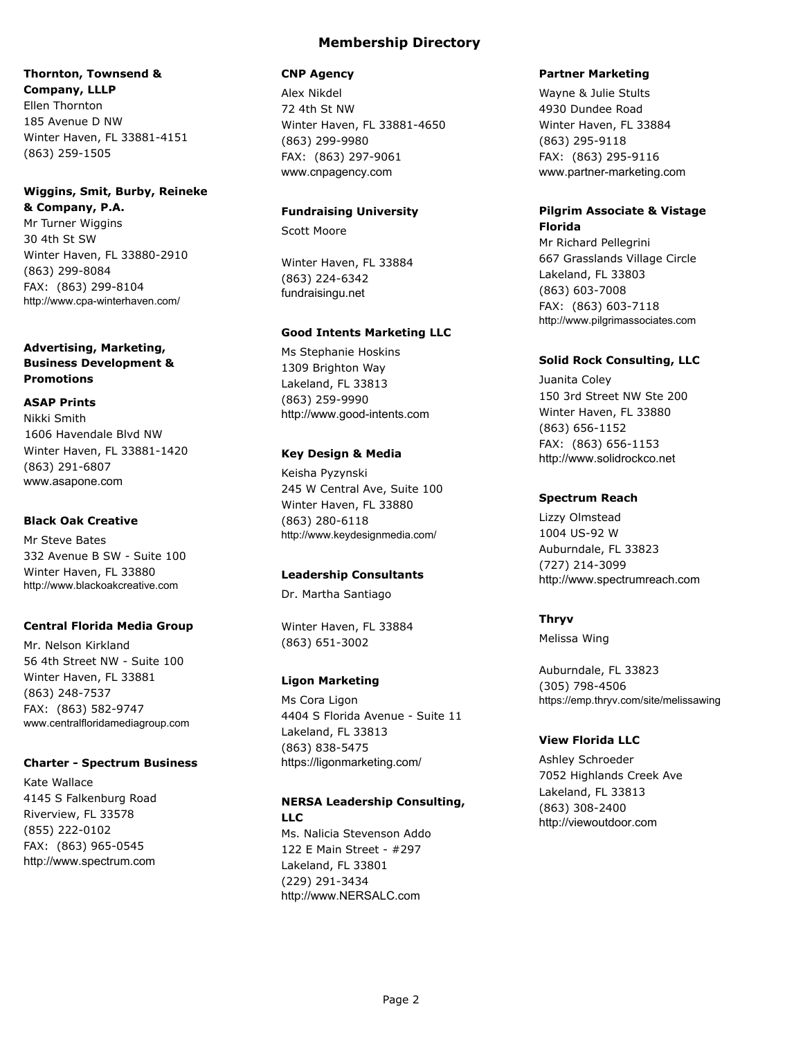## **Thornton, Townsend & Company, LLLP** Ellen Thornton

185 Avenue D NW Winter Haven, FL 33881-4151 (863) 259-1505

### **Wiggins, Smit, Burby, Reineke & Company, P.A.**

Mr Turner Wiggins 30 4th St SW Winter Haven, FL 33880-2910 (863) 299-8084 FAX: (863) 299-8104 http://www.cpa-winterhaven.com/

### **Advertising, Marketing, Business Development & Promotions**

### **ASAP Prints**

Nikki Smith 1606 Havendale Blvd NW Winter Haven, FL 33881-1420 (863) 291-6807 www.asapone.com

## **Black Oak Creative**

Mr Steve Bates 332 Avenue B SW - Suite 100 Winter Haven, FL 33880 http://www.blackoakcreative.com

### **Central Florida Media Group**

Mr. Nelson Kirkland 56 4th Street NW - Suite 100 Winter Haven, FL 33881 (863) 248-7537 FAX: (863) 582-9747 www.centralfloridamediagroup.com

### **Charter - Spectrum Business**

Kate Wallace 4145 S Falkenburg Road Riverview, FL 33578 (855) 222-0102 FAX: (863) 965-0545 http://www.spectrum.com

### **CNP Agency**

Alex Nikdel 72 4th St NW Winter Haven, FL 33881-4650 (863) 299-9980 FAX: (863) 297-9061 www.cnpagency.com

### **Fundraising University**

Scott Moore

Winter Haven, FL 33884 (863) 224-6342 fundraisingu.net

### **Good Intents Marketing LLC**

Ms Stephanie Hoskins 1309 Brighton Way Lakeland, FL 33813 (863) 259-9990 http://www.good-intents.com

### **Key Design & Media**

Keisha Pyzynski 245 W Central Ave, Suite 100 Winter Haven, FL 33880 (863) 280-6118 http://www.keydesignmedia.com/

### **Leadership Consultants**

Dr. Martha Santiago

Winter Haven, FL 33884 (863) 651-3002

### **Ligon Marketing**

Ms Cora Ligon 4404 S Florida Avenue - Suite 11 Lakeland, FL 33813 (863) 838-5475 https://ligonmarketing.com/

## **NERSA Leadership Consulting, LLC** Ms. Nalicia Stevenson Addo 122 E Main Street - #297

Lakeland, FL 33801 (229) 291-3434 http://www.NERSALC.com

### **Partner Marketing**

Wayne & Julie Stults 4930 Dundee Road Winter Haven, FL 33884 (863) 295-9118 FAX: (863) 295-9116 www.partner-marketing.com

### **Pilgrim Associate & Vistage Florida**

Mr Richard Pellegrini 667 Grasslands Village Circle Lakeland, FL 33803 (863) 603-7008 FAX: (863) 603-7118 http://www.pilgrimassociates.com

### **Solid Rock Consulting, LLC**

Juanita Coley 150 3rd Street NW Ste 200 Winter Haven, FL 33880 (863) 656-1152 FAX: (863) 656-1153 http://www.solidrockco.net

### **Spectrum Reach**

Lizzy Olmstead 1004 US-92 W Auburndale, FL 33823 (727) 214-3099 http://www.spectrumreach.com

### **Thryv**

Melissa Wing

Auburndale, FL 33823 (305) 798-4506 https://emp.thryv.com/site/melissawing

### **View Florida LLC**

Ashley Schroeder 7052 Highlands Creek Ave Lakeland, FL 33813 (863) 308-2400 http://viewoutdoor.com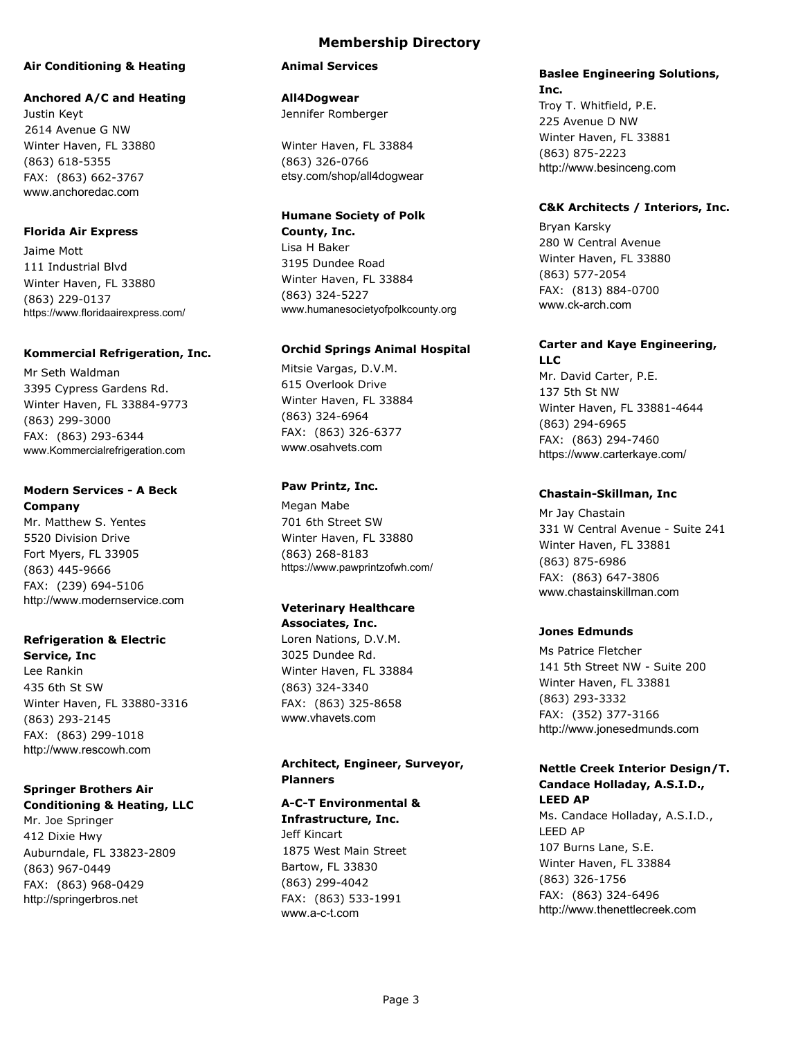#### **Air Conditioning & Heating**

#### **Anchored A/C and Heating**

Justin Keyt 2614 Avenue G NW Winter Haven, FL 33880 (863) 618-5355 FAX: (863) 662-3767 www.anchoredac.com

#### **Florida Air Express**

Jaime Mott 111 Industrial Blvd Winter Haven, FL 33880 (863) 229-0137 https://www.floridaairexpress.com/

#### **Kommercial Refrigeration, Inc.**

Mr Seth Waldman 3395 Cypress Gardens Rd. Winter Haven, FL 33884-9773 (863) 299-3000 FAX: (863) 293-6344 www.Kommercialrefrigeration.com

### **Modern Services - A Beck Company**

Mr. Matthew S. Yentes 5520 Division Drive Fort Myers, FL 33905 (863) 445-9666 FAX: (239) 694-5106 http://www.modernservice.com

## **Refrigeration & Electric**

**Service, Inc** Lee Rankin 435 6th St SW Winter Haven, FL 33880-3316 (863) 293-2145 FAX: (863) 299-1018 http://www.rescowh.com

#### **Springer Brothers Air Conditioning & Heating, LLC**

Mr. Joe Springer 412 Dixie Hwy Auburndale, FL 33823-2809 (863) 967-0449 FAX: (863) 968-0429 http://springerbros.net

### **Membership Directory**

#### **Animal Services**

**All4Dogwear** Jennifer Romberger

Winter Haven, FL 33884 (863) 326-0766 etsy.com/shop/all4dogwear

## **Humane Society of Polk**

**County, Inc.** Lisa H Baker 3195 Dundee Road Winter Haven, FL 33884 (863) 324-5227 www.humanesocietyofpolkcounty.org

#### **Orchid Springs Animal Hospital**

Mitsie Vargas, D.V.M. 615 Overlook Drive Winter Haven, FL 33884 (863) 324-6964 FAX: (863) 326-6377 www.osahvets.com

### **Paw Printz, Inc.**

Megan Mabe 701 6th Street SW Winter Haven, FL 33880 (863) 268-8183 https://www.pawprintzofwh.com/

#### **Veterinary Healthcare Associates, Inc.**

Loren Nations, D.V.M. 3025 Dundee Rd. Winter Haven, FL 33884 (863) 324-3340 FAX: (863) 325-8658 www.vhavets.com

#### **Architect, Engineer, Surveyor, Planners**

#### **A-C-T Environmental &**

**Infrastructure, Inc.** Jeff Kincart 1875 West Main Street Bartow, FL 33830 (863) 299-4042 FAX: (863) 533-1991 www.a-c-t.com

#### **Baslee Engineering Solutions, Inc.**

Troy T. Whitfield, P.E. 225 Avenue D NW Winter Haven, FL 33881 (863) 875-2223 http://www.besinceng.com

#### **C&K Architects / Interiors, Inc.**

Bryan Karsky 280 W Central Avenue Winter Haven, FL 33880 (863) 577-2054 FAX: (813) 884-0700 www.ck-arch.com

## **Carter and Kaye Engineering,**

**LLC** Mr. David Carter, P.E. 137 5th St NW Winter Haven, FL 33881-4644 (863) 294-6965 FAX: (863) 294-7460 https://www.carterkaye.com/

#### **Chastain-Skillman, Inc**

Mr Jay Chastain 331 W Central Avenue - Suite 241 Winter Haven, FL 33881 (863) 875-6986 FAX: (863) 647-3806 www.chastainskillman.com

#### **Jones Edmunds**

Ms Patrice Fletcher 141 5th Street NW - Suite 200 Winter Haven, FL 33881 (863) 293-3332 FAX: (352) 377-3166 http://www.jonesedmunds.com

#### **Nettle Creek Interior Design/T. Candace Holladay, A.S.I.D., LEED AP**

Ms. Candace Holladay, A.S.I.D., LEED AP 107 Burns Lane, S.E. Winter Haven, FL 33884 (863) 326-1756 FAX: (863) 324-6496 http://www.thenettlecreek.com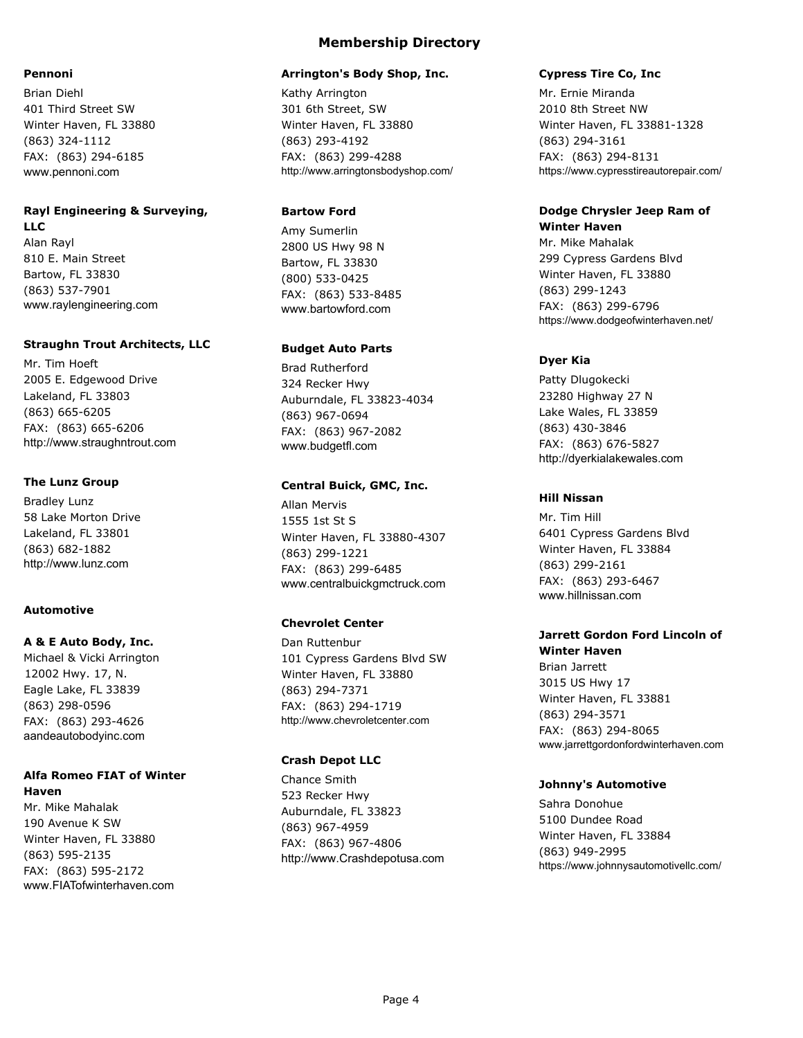#### **Pennoni**

Brian Diehl 401 Third Street SW Winter Haven, FL 33880 (863) 324-1112 FAX: (863) 294-6185 www.pennoni.com

#### **Rayl Engineering & Surveying, LLC**

Alan Rayl 810 E. Main Street Bartow, FL 33830 (863) 537-7901 www.raylengineering.com

#### **Straughn Trout Architects, LLC**

Mr. Tim Hoeft 2005 E. Edgewood Drive Lakeland, FL 33803 (863) 665-6205 FAX: (863) 665-6206 http://www.straughntrout.com

#### **The Lunz Group**

Bradley Lunz 58 Lake Morton Drive Lakeland, FL 33801 (863) 682-1882 http://www.lunz.com

#### **Automotive**

#### **A & E Auto Body, Inc.**

Michael & Vicki Arrington 12002 Hwy. 17, N. Eagle Lake, FL 33839 (863) 298-0596 FAX: (863) 293-4626 aandeautobodyinc.com

## **Alfa Romeo FIAT of Winter**

**Haven** Mr. Mike Mahalak 190 Avenue K SW Winter Haven, FL 33880 (863) 595-2135 FAX: (863) 595-2172 www.FIATofwinterhaven.com

## **Membership Directory**

#### **Arrington's Body Shop, Inc.**

Kathy Arrington 301 6th Street, SW Winter Haven, FL 33880 (863) 293-4192 FAX: (863) 299-4288 http://www.arringtonsbodyshop.com/

### **Bartow Ford**

Amy Sumerlin 2800 US Hwy 98 N Bartow, FL 33830 (800) 533-0425 FAX: (863) 533-8485 www.bartowford.com

#### **Budget Auto Parts**

Brad Rutherford 324 Recker Hwy Auburndale, FL 33823-4034 (863) 967-0694 FAX: (863) 967-2082 www.budgetfl.com

#### **Central Buick, GMC, Inc.**

Allan Mervis 1555 1st St S Winter Haven, FL 33880-4307 (863) 299-1221 FAX: (863) 299-6485 www.centralbuickgmctruck.com

### **Chevrolet Center**

Dan Ruttenbur 101 Cypress Gardens Blvd SW Winter Haven, FL 33880 (863) 294-7371 FAX: (863) 294-1719 http://www.chevroletcenter.com

#### **Crash Depot LLC**

Chance Smith 523 Recker Hwy Auburndale, FL 33823 (863) 967-4959 FAX: (863) 967-4806 http://www.Crashdepotusa.com

### **Cypress Tire Co, Inc**

Mr. Ernie Miranda 2010 8th Street NW Winter Haven, FL 33881-1328 (863) 294-3161 FAX: (863) 294-8131 https://www.cypresstireautorepair.com/

#### **Dodge Chrysler Jeep Ram of Winter Haven**

Mr. Mike Mahalak 299 Cypress Gardens Blvd Winter Haven, FL 33880 (863) 299-1243 FAX: (863) 299-6796 https://www.dodgeofwinterhaven.net/

### **Dyer Kia**

Patty Dlugokecki 23280 Highway 27 N Lake Wales, FL 33859 (863) 430-3846 FAX: (863) 676-5827 http://dyerkialakewales.com

#### **Hill Nissan**

Mr. Tim Hill 6401 Cypress Gardens Blvd Winter Haven, FL 33884 (863) 299-2161 FAX: (863) 293-6467 www.hillnissan.com

## **Jarrett Gordon Ford Lincoln of**

**Winter Haven** Brian Jarrett 3015 US Hwy 17 Winter Haven, FL 33881 (863) 294-3571 FAX: (863) 294-8065 www.jarrettgordonfordwinterhaven.com

#### **Johnny's Automotive**

Sahra Donohue 5100 Dundee Road Winter Haven, FL 33884 (863) 949-2995 https://www.johnnysautomotivellc.com/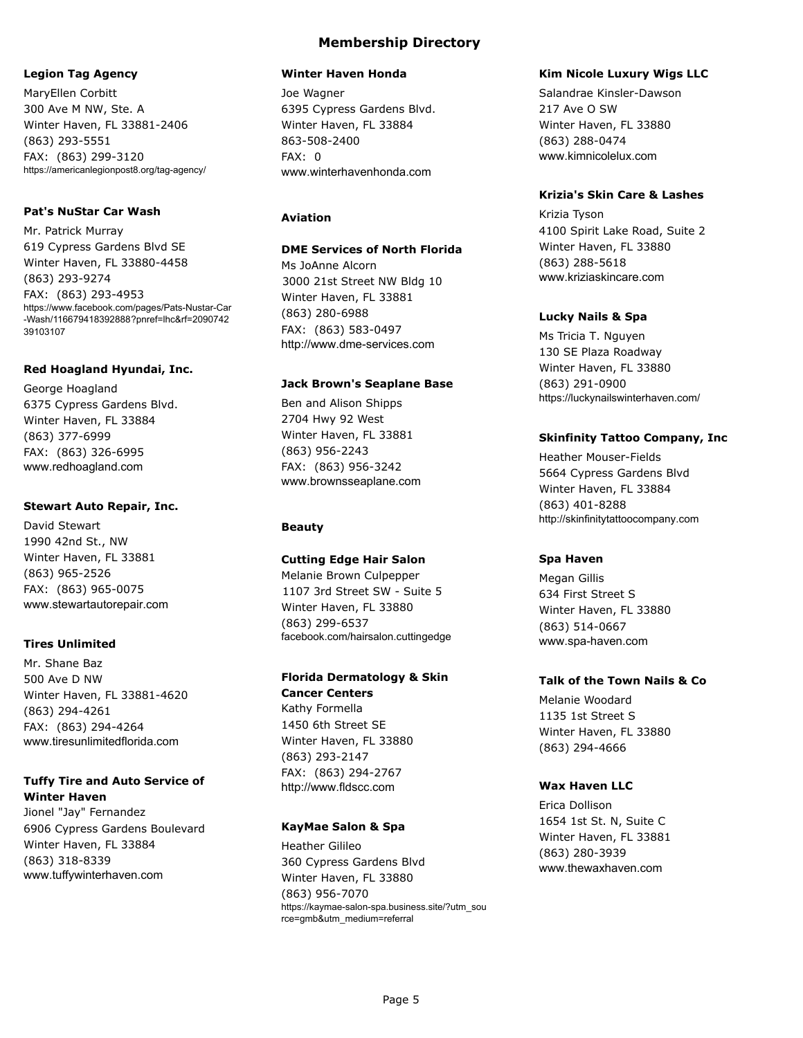#### **Legion Tag Agency**

MaryEllen Corbitt 300 Ave M NW, Ste. A Winter Haven, FL 33881-2406 (863) 293-5551 FAX: (863) 299-3120 https://americanlegionpost8.org/tag-agency/

#### **Pat's NuStar Car Wash**

Mr. Patrick Murray 619 Cypress Gardens Blvd SE Winter Haven, FL 33880-4458 (863) 293-9274 FAX: (863) 293-4953 https://www.facebook.com/pages/Pats-Nustar-Car -Wash/116679418392888?pnref=lhc&rf=2090742 39103107

#### **Red Hoagland Hyundai, Inc.**

George Hoagland 6375 Cypress Gardens Blvd. Winter Haven, FL 33884 (863) 377-6999 FAX: (863) 326-6995 www.redhoagland.com

#### **Stewart Auto Repair, Inc.**

David Stewart 1990 42nd St., NW Winter Haven, FL 33881 (863) 965-2526 FAX: (863) 965-0075 www.stewartautorepair.com

#### **Tires Unlimited**

Mr. Shane Baz 500 Ave D NW Winter Haven, FL 33881-4620 (863) 294-4261 FAX: (863) 294-4264 www.tiresunlimitedflorida.com

### **Tuffy Tire and Auto Service of Winter Haven**

Jionel "Jay" Fernandez 6906 Cypress Gardens Boulevard Winter Haven, FL 33884 (863) 318-8339 www.tuffywinterhaven.com

### **Membership Directory**

#### **Winter Haven Honda**

Joe Wagner 6395 Cypress Gardens Blvd. Winter Haven, FL 33884 863-508-2400 FAX: 0 www.winterhavenhonda.com

#### **Aviation**

#### **DME Services of North Florida**

Ms JoAnne Alcorn 3000 21st Street NW Bldg 10 Winter Haven, FL 33881 (863) 280-6988 FAX: (863) 583-0497 http://www.dme-services.com

#### **Jack Brown's Seaplane Base**

Ben and Alison Shipps 2704 Hwy 92 West Winter Haven, FL 33881 (863) 956-2243 FAX: (863) 956-3242 www.brownsseaplane.com

### **Beauty**

#### **Cutting Edge Hair Salon**

Melanie Brown Culpepper 1107 3rd Street SW - Suite 5 Winter Haven, FL 33880 (863) 299-6537 facebook.com/hairsalon.cuttingedge

### **Florida Dermatology & Skin**

**Cancer Centers** Kathy Formella 1450 6th Street SE Winter Haven, FL 33880 (863) 293-2147 FAX: (863) 294-2767 http://www.fldscc.com

#### **KayMae Salon & Spa**

Heather Gilileo 360 Cypress Gardens Blvd Winter Haven, FL 33880 (863) 956-7070 https://kaymae-salon-spa.business.site/?utm\_sou rce=gmb&utm\_medium=referral

#### **Kim Nicole Luxury Wigs LLC**

Salandrae Kinsler-Dawson 217 Ave O SW Winter Haven, FL 33880 (863) 288-0474 www.kimnicolelux.com

### **Krizia's Skin Care & Lashes**

Krizia Tyson 4100 Spirit Lake Road, Suite 2 Winter Haven, FL 33880 (863) 288-5618 www.kriziaskincare.com

#### **Lucky Nails & Spa**

Ms Tricia T. Nguyen 130 SE Plaza Roadway Winter Haven, FL 33880 (863) 291-0900 https://luckynailswinterhaven.com/

### **Skinfinity Tattoo Company, Inc**

Heather Mouser-Fields 5664 Cypress Gardens Blvd Winter Haven, FL 33884 (863) 401-8288 http://skinfinitytattoocompany.com

### **Spa Haven**

Megan Gillis 634 First Street S Winter Haven, FL 33880 (863) 514-0667 www.spa-haven.com

### **Talk of the Town Nails & Co**

Melanie Woodard 1135 1st Street S Winter Haven, FL 33880 (863) 294-4666

#### **Wax Haven LLC**

Erica Dollison 1654 1st St. N, Suite C Winter Haven, FL 33881 (863) 280-3939 www.thewaxhaven.com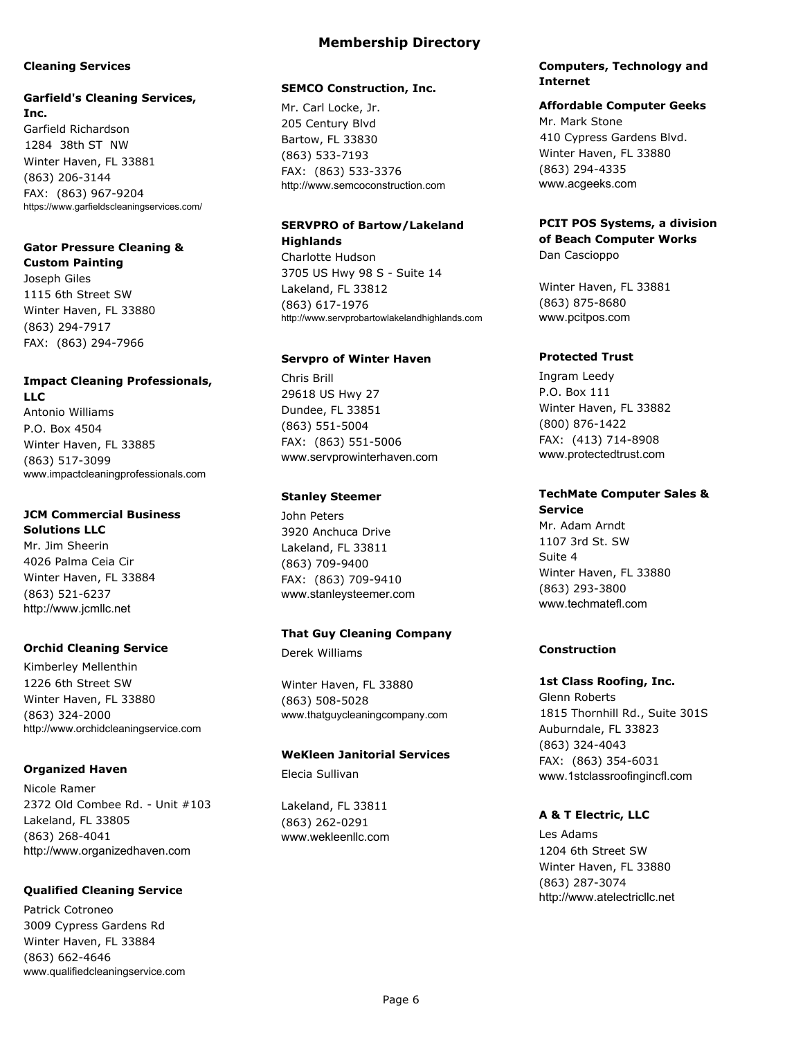#### **Cleaning Services**

## **Garfield's Cleaning Services,**

**Inc.** Garfield Richardson 1284 38th ST NW Winter Haven, FL 33881 (863) 206-3144 FAX: (863) 967-9204 https://www.garfieldscleaningservices.com/

#### **Gator Pressure Cleaning & Custom Painting**

Joseph Giles 1115 6th Street SW Winter Haven, FL 33880 (863) 294-7917 FAX: (863) 294-7966

# **Impact Cleaning Professionals,**

**LLC** Antonio Williams P.O. Box 4504 Winter Haven, FL 33885 (863) 517-3099 www.impactcleaningprofessionals.com

#### **JCM Commercial Business Solutions LLC**

Mr. Jim Sheerin 4026 Palma Ceia Cir Winter Haven, FL 33884 (863) 521-6237 http://www.jcmllc.net

### **Orchid Cleaning Service**

Kimberley Mellenthin 1226 6th Street SW Winter Haven, FL 33880 (863) 324-2000 http://www.orchidcleaningservice.com

### **Organized Haven**

Nicole Ramer 2372 Old Combee Rd. - Unit #103 Lakeland, FL 33805 (863) 268-4041 http://www.organizedhaven.com

### **Qualified Cleaning Service**

Patrick Cotroneo 3009 Cypress Gardens Rd Winter Haven, FL 33884 (863) 662-4646 www.qualifiedcleaningservice.com

### **Membership Directory**

#### **SEMCO Construction, Inc.**

Mr. Carl Locke, Jr. 205 Century Blvd Bartow, FL 33830 (863) 533-7193 FAX: (863) 533-3376 http://www.semcoconstruction.com

## **SERVPRO of Bartow/Lakeland Highlands**

Charlotte Hudson 3705 US Hwy 98 S - Suite 14 Lakeland, FL 33812 (863) 617-1976 http://www.servprobartowlakelandhighlands.com

### **Servpro of Winter Haven**

Chris Brill 29618 US Hwy 27 Dundee, FL 33851 (863) 551-5004 FAX: (863) 551-5006 www.servprowinterhaven.com

#### **Stanley Steemer**

John Peters 3920 Anchuca Drive Lakeland, FL 33811 (863) 709-9400 FAX: (863) 709-9410 www.stanleysteemer.com

### **That Guy Cleaning Company**

Derek Williams

Winter Haven, FL 33880 (863) 508-5028 www.thatguycleaningcompany.com

### **WeKleen Janitorial Services**

Elecia Sullivan

Lakeland, FL 33811 (863) 262-0291 www.wekleenllc.com

#### **Computers, Technology and Internet**

#### **Affordable Computer Geeks**

Mr. Mark Stone 410 Cypress Gardens Blvd. Winter Haven, FL 33880 (863) 294-4335 www.acgeeks.com

#### **PCIT POS Systems, a division of Beach Computer Works** Dan Cascioppo

Winter Haven, FL 33881 (863) 875-8680 www.pcitpos.com

### **Protected Trust**

Ingram Leedy P.O. Box 111 Winter Haven, FL 33882 (800) 876-1422 FAX: (413) 714-8908 www.protectedtrust.com

#### **TechMate Computer Sales & Service**

Mr. Adam Arndt 1107 3rd St. SW Suite 4 Winter Haven, FL 33880 (863) 293-3800 www.techmatefl.com

### **Construction**

#### **1st Class Roofing, Inc.**

Glenn Roberts 1815 Thornhill Rd., Suite 301S Auburndale, FL 33823 (863) 324-4043 FAX: (863) 354-6031 www.1stclassroofingincfl.com

### **A & T Electric, LLC**

Les Adams 1204 6th Street SW Winter Haven, FL 33880 (863) 287-3074 http://www.atelectricllc.net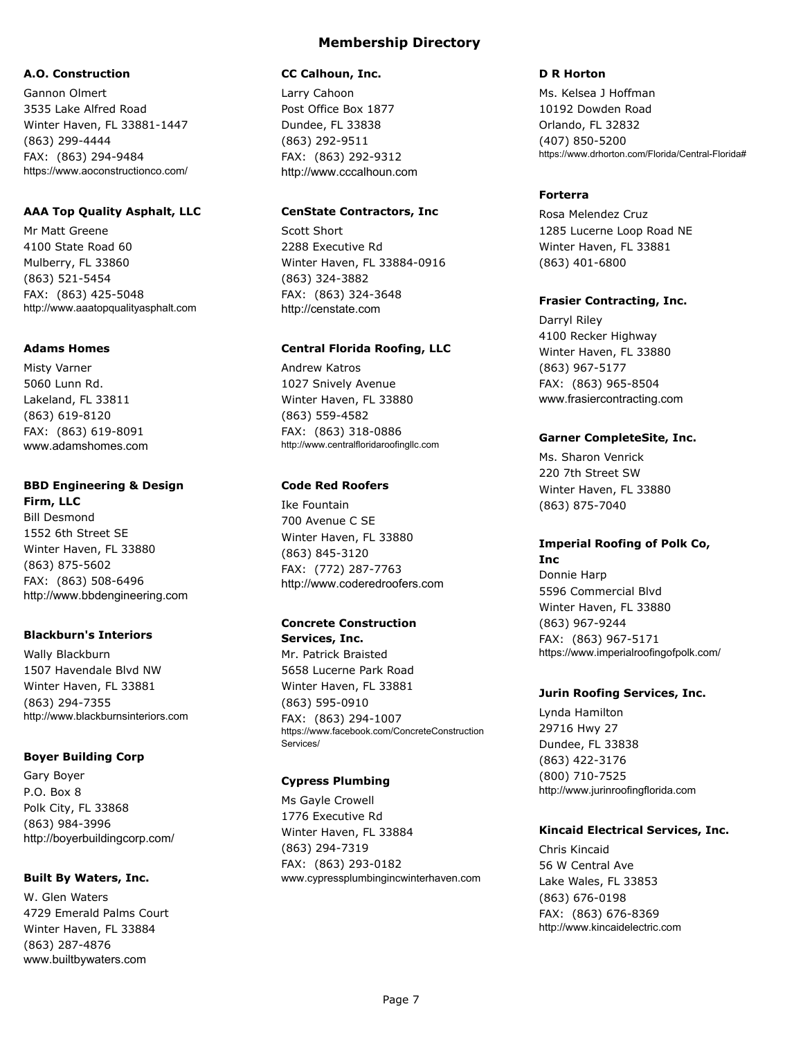#### **A.O. Construction**

Gannon Olmert 3535 Lake Alfred Road Winter Haven, FL 33881-1447 (863) 299-4444 FAX: (863) 294-9484 https://www.aoconstructionco.com/

### **AAA Top Quality Asphalt, LLC**

Mr Matt Greene 4100 State Road 60 Mulberry, FL 33860 (863) 521-5454 FAX: (863) 425-5048 http://www.aaatopqualityasphalt.com

#### **Adams Homes**

Misty Varner 5060 Lunn Rd. Lakeland, FL 33811 (863) 619-8120 FAX: (863) 619-8091 www.adamshomes.com

### **BBD Engineering & Design**

**Firm, LLC** Bill Desmond 1552 6th Street SE Winter Haven, FL 33880 (863) 875-5602 FAX: (863) 508-6496 http://www.bbdengineering.com

### **Blackburn's Interiors**

Wally Blackburn 1507 Havendale Blvd NW Winter Haven, FL 33881 (863) 294-7355 http://www.blackburnsinteriors.com

#### **Boyer Building Corp**

Gary Boyer P.O. Box 8 Polk City, FL 33868 (863) 984-3996 http://boyerbuildingcorp.com/

#### **Built By Waters, Inc.**

W. Glen Waters 4729 Emerald Palms Court Winter Haven, FL 33884 (863) 287-4876 www.builtbywaters.com

### **CC Calhoun, Inc.**

Larry Cahoon Post Office Box 1877 Dundee, FL 33838 (863) 292-9511 FAX: (863) 292-9312 http://www.cccalhoun.com

**Membership Directory**

### **CenState Contractors, Inc**

Scott Short 2288 Executive Rd Winter Haven, FL 33884-0916 (863) 324-3882 FAX: (863) 324-3648 http://censtate.com

#### **Central Florida Roofing, LLC**

Andrew Katros 1027 Snively Avenue Winter Haven, FL 33880 (863) 559-4582 FAX: (863) 318-0886 http://www.centralfloridaroofingllc.com

### **Code Red Roofers**

Ike Fountain 700 Avenue C SE Winter Haven, FL 33880 (863) 845-3120 FAX: (772) 287-7763 http://www.coderedroofers.com

#### **Concrete Construction Services, Inc.**

Mr. Patrick Braisted 5658 Lucerne Park Road Winter Haven, FL 33881 (863) 595-0910 FAX: (863) 294-1007 https://www.facebook.com/ConcreteConstruction Services/

### **Cypress Plumbing**

Ms Gayle Crowell 1776 Executive Rd Winter Haven, FL 33884 (863) 294-7319 FAX: (863) 293-0182 www.cypressplumbingincwinterhaven.com

#### **D R Horton**

Ms. Kelsea J Hoffman 10192 Dowden Road Orlando, FL 32832 (407) 850-5200 https://www.drhorton.com/Florida/Central-Florida#

### **Forterra**

Rosa Melendez Cruz 1285 Lucerne Loop Road NE Winter Haven, FL 33881 (863) 401-6800

#### **Frasier Contracting, Inc.**

Darryl Riley 4100 Recker Highway Winter Haven, FL 33880 (863) 967-5177 FAX: (863) 965-8504 www.frasiercontracting.com

#### **Garner CompleteSite, Inc.**

Ms. Sharon Venrick 220 7th Street SW Winter Haven, FL 33880 (863) 875-7040

## **Imperial Roofing of Polk Co,**

**Inc** Donnie Harp 5596 Commercial Blvd Winter Haven, FL 33880 (863) 967-9244 FAX: (863) 967-5171 https://www.imperialroofingofpolk.com/

#### **Jurin Roofing Services, Inc.**

Lynda Hamilton 29716 Hwy 27 Dundee, FL 33838 (863) 422-3176 (800) 710-7525 http://www.jurinroofingflorida.com

### **Kincaid Electrical Services, Inc.**

Chris Kincaid 56 W Central Ave Lake Wales, FL 33853 (863) 676-0198 FAX: (863) 676-8369 http://www.kincaidelectric.com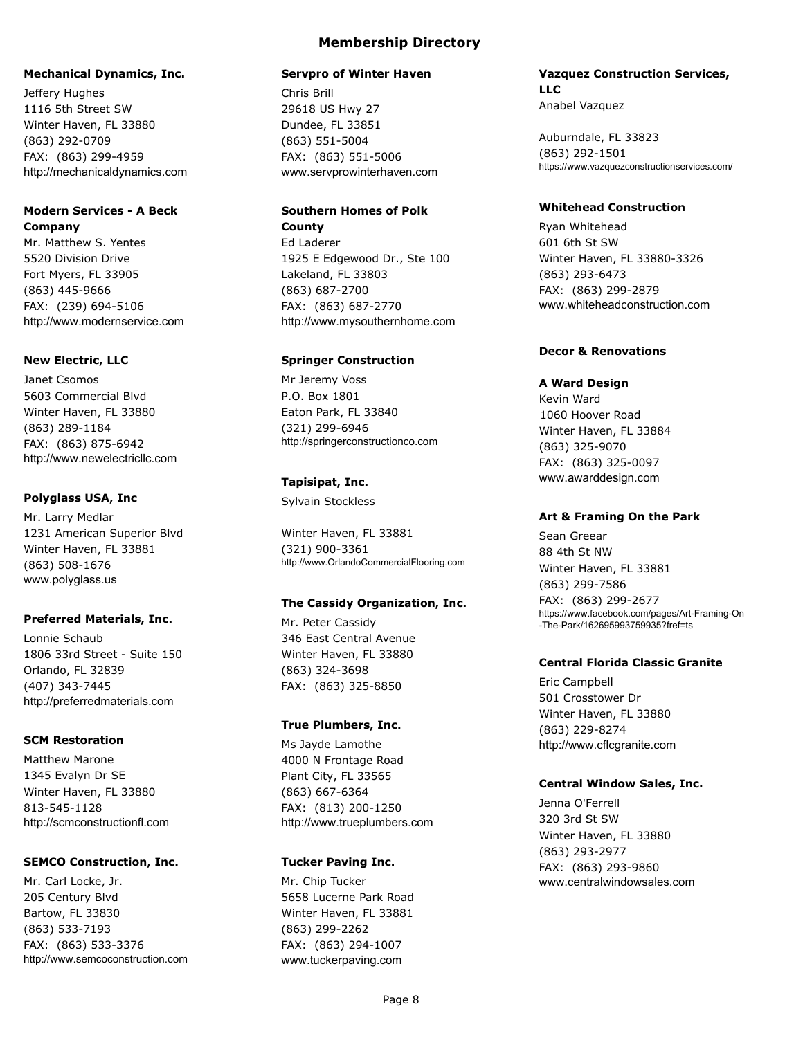### **Mechanical Dynamics, Inc.**

Jeffery Hughes 1116 5th Street SW Winter Haven, FL 33880 (863) 292-0709 FAX: (863) 299-4959 http://mechanicaldynamics.com

### **Modern Services - A Beck Company**

Mr. Matthew S. Yentes 5520 Division Drive Fort Myers, FL 33905 (863) 445-9666 FAX: (239) 694-5106 http://www.modernservice.com

#### **New Electric, LLC**

Janet Csomos 5603 Commercial Blvd Winter Haven, FL 33880 (863) 289-1184 FAX: (863) 875-6942 http://www.newelectricllc.com

#### **Polyglass USA, Inc**

Mr. Larry Medlar 1231 American Superior Blvd Winter Haven, FL 33881 (863) 508-1676 www.polyglass.us

#### **Preferred Materials, Inc.**

Lonnie Schaub 1806 33rd Street - Suite 150 Orlando, FL 32839 (407) 343-7445 http://preferredmaterials.com

#### **SCM Restoration**

Matthew Marone 1345 Evalyn Dr SE Winter Haven, FL 33880 813-545-1128 http://scmconstructionfl.com

#### **SEMCO Construction, Inc.**

Mr. Carl Locke, Jr. 205 Century Blvd Bartow, FL 33830 (863) 533-7193 FAX: (863) 533-3376 http://www.semcoconstruction.com

#### **Servpro of Winter Haven**

Chris Brill 29618 US Hwy 27 Dundee, FL 33851 (863) 551-5004 FAX: (863) 551-5006 www.servprowinterhaven.com

#### **Southern Homes of Polk County**

Ed Laderer 1925 E Edgewood Dr., Ste 100 Lakeland, FL 33803 (863) 687-2700 FAX: (863) 687-2770 http://www.mysouthernhome.com

#### **Springer Construction**

Mr Jeremy Voss P.O. Box 1801 Eaton Park, FL 33840 (321) 299-6946 http://springerconstructionco.com

#### **Tapisipat, Inc.**

Sylvain Stockless

Winter Haven, FL 33881 (321) 900-3361 http://www.OrlandoCommercialFlooring.com

### **The Cassidy Organization, Inc.**

Mr. Peter Cassidy 346 East Central Avenue Winter Haven, FL 33880 (863) 324-3698 FAX: (863) 325-8850

#### **True Plumbers, Inc.**

Ms Jayde Lamothe 4000 N Frontage Road Plant City, FL 33565 (863) 667-6364 FAX: (813) 200-1250 http://www.trueplumbers.com

#### **Tucker Paving Inc.**

Mr. Chip Tucker 5658 Lucerne Park Road Winter Haven, FL 33881 (863) 299-2262 FAX: (863) 294-1007 www.tuckerpaving.com

#### **Vazquez Construction Services, LLC** Anabel Vazquez

Auburndale, FL 33823 (863) 292-1501 https://www.vazquezconstructionservices.com/

#### **Whitehead Construction**

Ryan Whitehead 601 6th St SW Winter Haven, FL 33880-3326 (863) 293-6473 FAX: (863) 299-2879 www.whiteheadconstruction.com

### **Decor & Renovations**

#### **A Ward Design**

Kevin Ward 1060 Hoover Road Winter Haven, FL 33884 (863) 325-9070 FAX: (863) 325-0097 www.awarddesign.com

#### **Art & Framing On the Park**

Sean Greear 88 4th St NW Winter Haven, FL 33881 (863) 299-7586 FAX: (863) 299-2677 https://www.facebook.com/pages/Art-Framing-On -The-Park/162695993759935?fref=ts

#### **Central Florida Classic Granite**

Eric Campbell 501 Crosstower Dr Winter Haven, FL 33880 (863) 229-8274 http://www.cflcgranite.com

#### **Central Window Sales, Inc.**

Jenna O'Ferrell 320 3rd St SW Winter Haven, FL 33880 (863) 293-2977 FAX: (863) 293-9860 www.centralwindowsales.com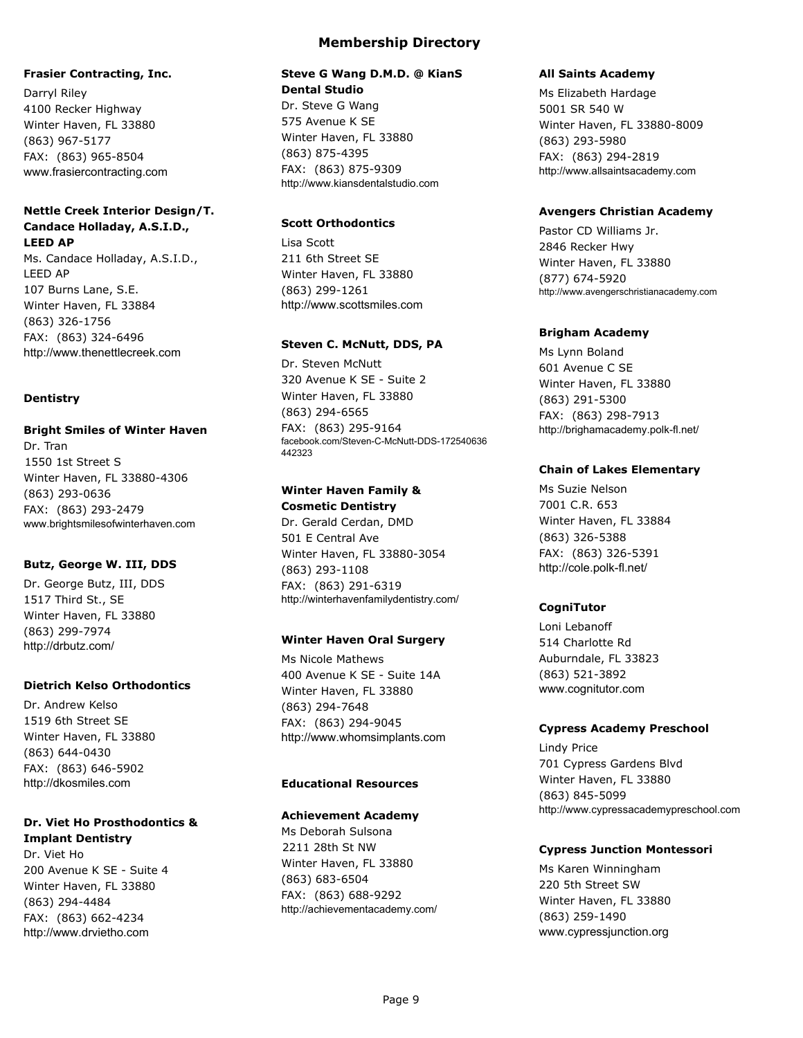### **Frasier Contracting, Inc.**

Darryl Riley 4100 Recker Highway Winter Haven, FL 33880 (863) 967-5177 FAX: (863) 965-8504 www.frasiercontracting.com

### **Nettle Creek Interior Design/T. Candace Holladay, A.S.I.D., LEED AP**

Ms. Candace Holladay, A.S.I.D., LEED AP 107 Burns Lane, S.E. Winter Haven, FL 33884 (863) 326-1756 FAX: (863) 324-6496 http://www.thenettlecreek.com

### **Dentistry**

### **Bright Smiles of Winter Haven**

Dr. Tran 1550 1st Street S Winter Haven, FL 33880-4306 (863) 293-0636 FAX: (863) 293-2479 www.brightsmilesofwinterhaven.com

#### **Butz, George W. III, DDS**

Dr. George Butz, III, DDS 1517 Third St., SE Winter Haven, FL 33880 (863) 299-7974 http://drbutz.com/

#### **Dietrich Kelso Orthodontics**

Dr. Andrew Kelso 1519 6th Street SE Winter Haven, FL 33880 (863) 644-0430 FAX: (863) 646-5902 http://dkosmiles.com

#### **Dr. Viet Ho Prosthodontics & Implant Dentistry**

Dr. Viet Ho 200 Avenue K SE - Suite 4 Winter Haven, FL 33880 (863) 294-4484 FAX: (863) 662-4234 http://www.drvietho.com

### **Steve G Wang D.M.D. @ KianS Dental Studio**

Dr. Steve G Wang 575 Avenue K SE Winter Haven, FL 33880 (863) 875-4395 FAX: (863) 875-9309 http://www.kiansdentalstudio.com

### **Scott Orthodontics**

Lisa Scott 211 6th Street SE Winter Haven, FL 33880 (863) 299-1261 http://www.scottsmiles.com

#### **Steven C. McNutt, DDS, PA**

Dr. Steven McNutt 320 Avenue K SE - Suite 2 Winter Haven, FL 33880 (863) 294-6565 FAX: (863) 295-9164 facebook.com/Steven-C-McNutt-DDS-172540636 442323

### **Winter Haven Family & Cosmetic Dentistry**

Dr. Gerald Cerdan, DMD 501 E Central Ave Winter Haven, FL 33880-3054 (863) 293-1108 FAX: (863) 291-6319 http://winterhavenfamilydentistry.com/

### **Winter Haven Oral Surgery**

Ms Nicole Mathews 400 Avenue K SE - Suite 14A Winter Haven, FL 33880 (863) 294-7648 FAX: (863) 294-9045 http://www.whomsimplants.com

### **Educational Resources**

#### **Achievement Academy**

Ms Deborah Sulsona 2211 28th St NW Winter Haven, FL 33880 (863) 683-6504 FAX: (863) 688-9292 http://achievementacademy.com/

#### **All Saints Academy**

Ms Elizabeth Hardage 5001 SR 540 W Winter Haven, FL 33880-8009 (863) 293-5980 FAX: (863) 294-2819 http://www.allsaintsacademy.com

#### **Avengers Christian Academy**

Pastor CD Williams Jr. 2846 Recker Hwy Winter Haven, FL 33880 (877) 674-5920 http://www.avengerschristianacademy.com

#### **Brigham Academy**

Ms Lynn Boland 601 Avenue C SE Winter Haven, FL 33880 (863) 291-5300 FAX: (863) 298-7913 http://brighamacademy.polk-fl.net/

#### **Chain of Lakes Elementary**

Ms Suzie Nelson 7001 C.R. 653 Winter Haven, FL 33884 (863) 326-5388 FAX: (863) 326-5391 http://cole.polk-fl.net/

### **CogniTutor**

Loni Lebanoff 514 Charlotte Rd Auburndale, FL 33823 (863) 521-3892 www.cognitutor.com

#### **Cypress Academy Preschool**

Lindy Price 701 Cypress Gardens Blvd Winter Haven, FL 33880 (863) 845-5099 http://www.cypressacademypreschool.com

#### **Cypress Junction Montessori**

Ms Karen Winningham 220 5th Street SW Winter Haven, FL 33880 (863) 259-1490 www.cypressjunction.org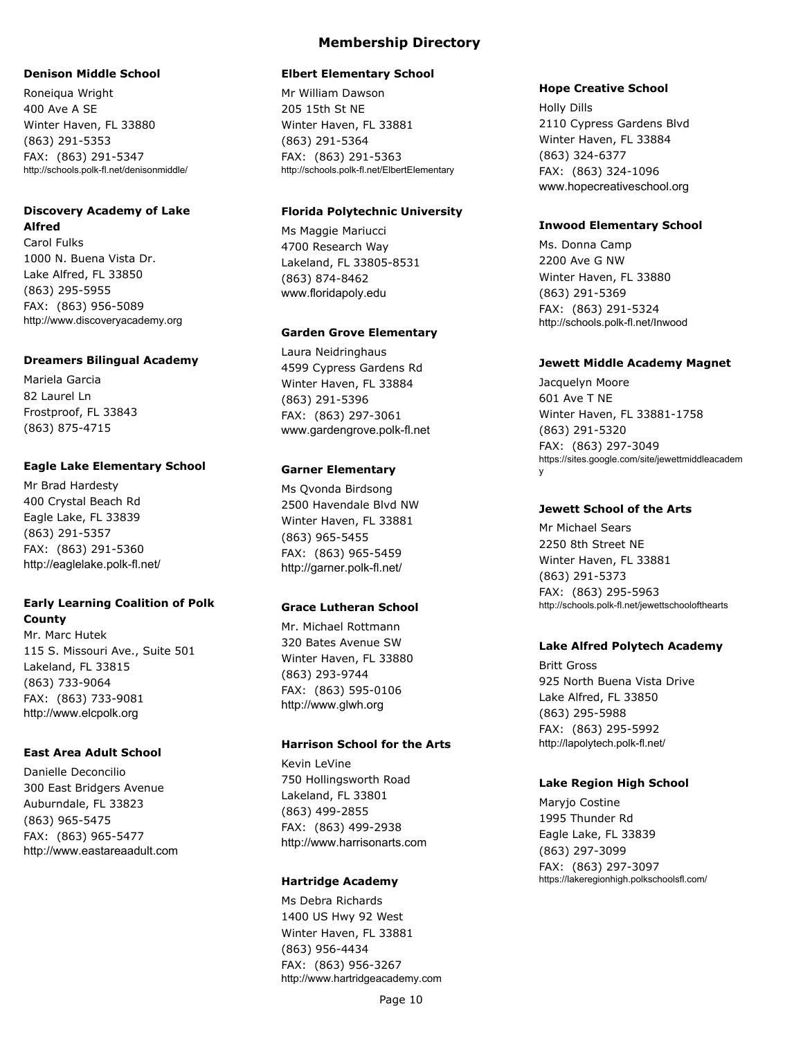#### **Denison Middle School**

Roneiqua Wright 400 Ave A SE Winter Haven, FL 33880 (863) 291-5353 FAX: (863) 291-5347 http://schools.polk-fl.net/denisonmiddle/

#### **Discovery Academy of Lake Alfred**

Carol Fulks 1000 N. Buena Vista Dr. Lake Alfred, FL 33850 (863) 295-5955 FAX: (863) 956-5089 http://www.discoveryacademy.org

#### **Dreamers Bilingual Academy**

Mariela Garcia 82 Laurel Ln Frostproof, FL 33843 (863) 875-4715

### **Eagle Lake Elementary School**

Mr Brad Hardesty 400 Crystal Beach Rd Eagle Lake, FL 33839 (863) 291-5357 FAX: (863) 291-5360 http://eaglelake.polk-fl.net/

### **Early Learning Coalition of Polk County**

Mr. Marc Hutek 115 S. Missouri Ave., Suite 501 Lakeland, FL 33815 (863) 733-9064 FAX: (863) 733-9081 http://www.elcpolk.org

### **East Area Adult School**

Danielle Deconcilio 300 East Bridgers Avenue Auburndale, FL 33823 (863) 965-5475 FAX: (863) 965-5477 http://www.eastareaadult.com

### **Membership Directory**

#### **Elbert Elementary School**

Mr William Dawson 205 15th St NE Winter Haven, FL 33881 (863) 291-5364 FAX: (863) 291-5363 http://schools.polk-fl.net/ElbertElementary

#### **Florida Polytechnic University**

Ms Maggie Mariucci 4700 Research Way Lakeland, FL 33805-8531 (863) 874-8462 www.floridapoly.edu

#### **Garden Grove Elementary**

Laura Neidringhaus 4599 Cypress Gardens Rd Winter Haven, FL 33884 (863) 291-5396 FAX: (863) 297-3061 www.gardengrove.polk-fl.net

### **Garner Elementary**

Ms Qvonda Birdsong 2500 Havendale Blvd NW Winter Haven, FL 33881 (863) 965-5455 FAX: (863) 965-5459 http://garner.polk-fl.net/

### **Grace Lutheran School**

Mr. Michael Rottmann 320 Bates Avenue SW Winter Haven, FL 33880 (863) 293-9744 FAX: (863) 595-0106 http://www.glwh.org

### **Harrison School for the Arts**

Kevin LeVine 750 Hollingsworth Road Lakeland, FL 33801 (863) 499-2855 FAX: (863) 499-2938 http://www.harrisonarts.com

#### **Hartridge Academy**

Ms Debra Richards 1400 US Hwy 92 West Winter Haven, FL 33881 (863) 956-4434 FAX: (863) 956-3267 http://www.hartridgeacademy.com

#### **Hope Creative School**

Holly Dills 2110 Cypress Gardens Blvd Winter Haven, FL 33884 (863) 324-6377 FAX: (863) 324-1096 www.hopecreativeschool.org

#### **Inwood Elementary School**

Ms. Donna Camp 2200 Ave G NW Winter Haven, FL 33880 (863) 291-5369 FAX: (863) 291-5324 http://schools.polk-fl.net/Inwood

#### **Jewett Middle Academy Magnet**

Jacquelyn Moore 601 Ave T NE Winter Haven, FL 33881-1758 (863) 291-5320 FAX: (863) 297-3049 https://sites.google.com/site/jewettmiddleacadem y

#### **Jewett School of the Arts**

Mr Michael Sears 2250 8th Street NE Winter Haven, FL 33881 (863) 291-5373 FAX: (863) 295-5963 http://schools.polk-fl.net/jewettschoolofthearts

### **Lake Alfred Polytech Academy**

Britt Gross 925 North Buena Vista Drive Lake Alfred, FL 33850 (863) 295-5988 FAX: (863) 295-5992 http://lapolytech.polk-fl.net/

### **Lake Region High School**

Maryjo Costine 1995 Thunder Rd Eagle Lake, FL 33839 (863) 297-3099 FAX: (863) 297-3097 https://lakeregionhigh.polkschoolsfl.com/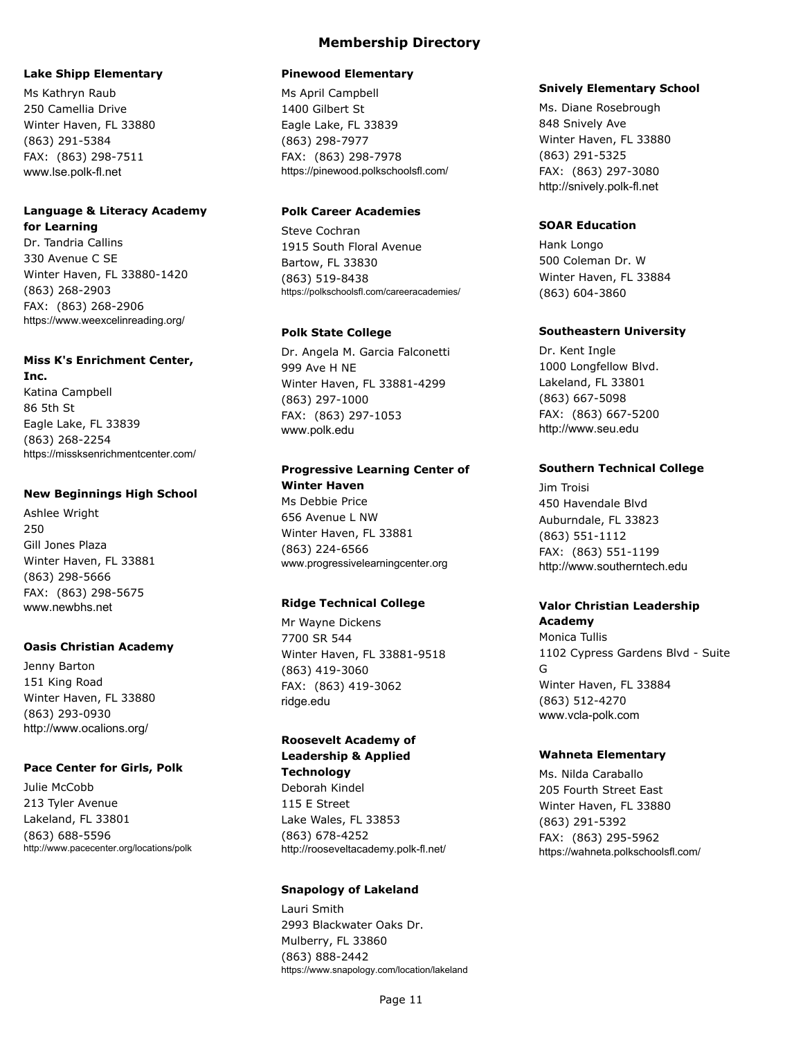#### **Lake Shipp Elementary**

Ms Kathryn Raub 250 Camellia Drive Winter Haven, FL 33880 (863) 291-5384 FAX: (863) 298-7511 www.lse.polk-fl.net

#### **Language & Literacy Academy for Learning**

Dr. Tandria Callins 330 Avenue C SE Winter Haven, FL 33880-1420 (863) 268-2903 FAX: (863) 268-2906 https://www.weexcelinreading.org/

#### **Miss K's Enrichment Center,**

**Inc.** Katina Campbell 86 5th St Eagle Lake, FL 33839 (863) 268-2254 https://missksenrichmentcenter.com/

#### **New Beginnings High School**

Ashlee Wright 250 Gill Jones Plaza Winter Haven, FL 33881 (863) 298-5666 FAX: (863) 298-5675 www.newbhs.net

#### **Oasis Christian Academy**

Jenny Barton 151 King Road Winter Haven, FL 33880 (863) 293-0930 http://www.ocalions.org/

#### **Pace Center for Girls, Polk**

Julie McCobb 213 Tyler Avenue Lakeland, FL 33801 (863) 688-5596 http://www.pacecenter.org/locations/polk

### **Membership Directory**

#### **Pinewood Elementary**

Ms April Campbell 1400 Gilbert St Eagle Lake, FL 33839 (863) 298-7977 FAX: (863) 298-7978 https://pinewood.polkschoolsfl.com/

### **Polk Career Academies**

Steve Cochran 1915 South Floral Avenue Bartow, FL 33830 (863) 519-8438 https://polkschoolsfl.com/careeracademies/

#### **Polk State College**

Dr. Angela M. Garcia Falconetti 999 Ave H NE Winter Haven, FL 33881-4299 (863) 297-1000 FAX: (863) 297-1053 www.polk.edu

### **Progressive Learning Center of Winter Haven**

Ms Debbie Price 656 Avenue L NW Winter Haven, FL 33881 (863) 224-6566 www.progressivelearningcenter.org

### **Ridge Technical College**

Mr Wayne Dickens 7700 SR 544 Winter Haven, FL 33881-9518 (863) 419-3060 FAX: (863) 419-3062 ridge.edu

#### **Roosevelt Academy of Leadership & Applied Technology**

Deborah Kindel 115 E Street Lake Wales, FL 33853 (863) 678-4252 http://rooseveltacademy.polk-fl.net/

#### **Snapology of Lakeland**

Lauri Smith 2993 Blackwater Oaks Dr. Mulberry, FL 33860 (863) 888-2442 https://www.snapology.com/location/lakeland

#### **Snively Elementary School**

Ms. Diane Rosebrough 848 Snively Ave Winter Haven, FL 33880 (863) 291-5325 FAX: (863) 297-3080 http://snively.polk-fl.net

#### **SOAR Education**

Hank Longo 500 Coleman Dr. W Winter Haven, FL 33884 (863) 604-3860

#### **Southeastern University**

Dr. Kent Ingle 1000 Longfellow Blvd. Lakeland, FL 33801 (863) 667-5098 FAX: (863) 667-5200 http://www.seu.edu

#### **Southern Technical College**

Jim Troisi 450 Havendale Blvd Auburndale, FL 33823 (863) 551-1112 FAX: (863) 551-1199 http://www.southerntech.edu

#### **Valor Christian Leadership Academy**

Monica Tullis 1102 Cypress Gardens Blvd - Suite G Winter Haven, FL 33884 (863) 512-4270 www.vcla-polk.com

#### **Wahneta Elementary**

Ms. Nilda Caraballo 205 Fourth Street East Winter Haven, FL 33880 (863) 291-5392 FAX: (863) 295-5962 https://wahneta.polkschoolsfl.com/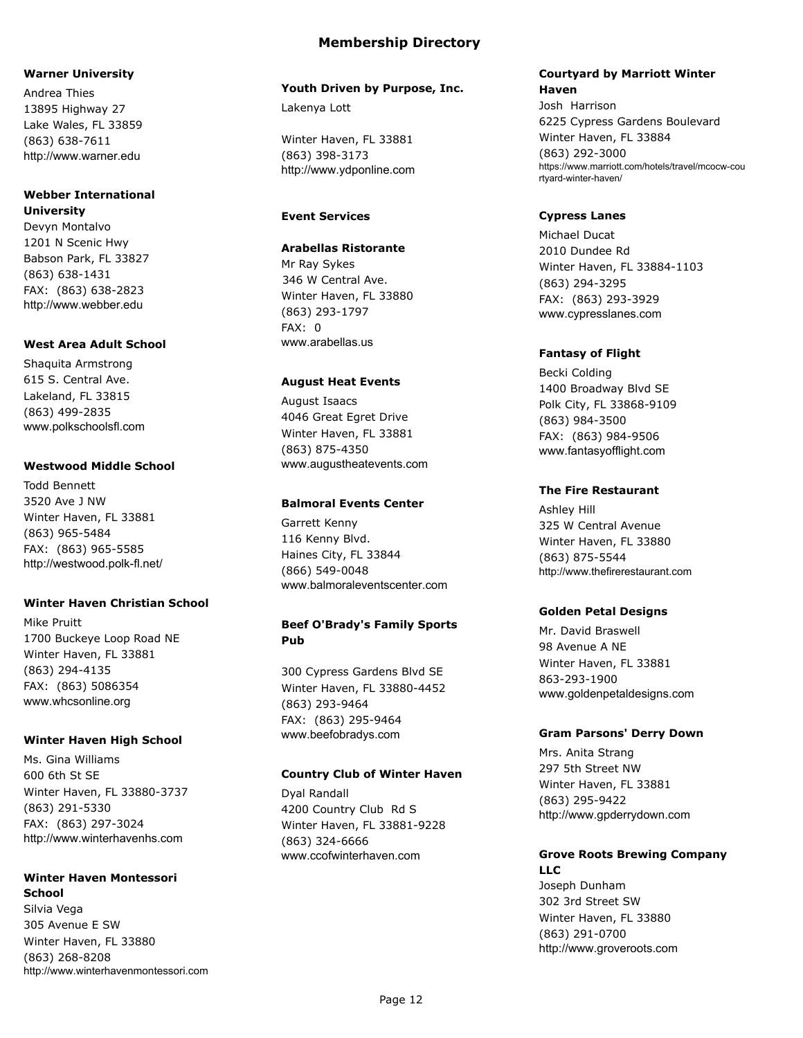#### **Warner University**

Andrea Thies 13895 Highway 27 Lake Wales, FL 33859 (863) 638-7611 http://www.warner.edu

#### **Webber International University**

Devyn Montalvo 1201 N Scenic Hwy Babson Park, FL 33827 (863) 638-1431 FAX: (863) 638-2823 http://www.webber.edu

### **West Area Adult School**

Shaquita Armstrong 615 S. Central Ave. Lakeland, FL 33815 (863) 499-2835 www.polkschoolsfl.com

### **Westwood Middle School**

Todd Bennett 3520 Ave J NW Winter Haven, FL 33881 (863) 965-5484 FAX: (863) 965-5585 http://westwood.polk-fl.net/

### **Winter Haven Christian School**

Mike Pruitt 1700 Buckeye Loop Road NE Winter Haven, FL 33881 (863) 294-4135 FAX: (863) 5086354 www.whcsonline.org

### **Winter Haven High School**

Ms. Gina Williams 600 6th St SE Winter Haven, FL 33880-3737 (863) 291-5330 FAX: (863) 297-3024 http://www.winterhavenhs.com

#### **Winter Haven Montessori School**

Silvia Vega 305 Avenue E SW Winter Haven, FL 33880 (863) 268-8208 http://www.winterhavenmontessori.com

### **Membership Directory**

#### **Youth Driven by Purpose, Inc.**

Lakenya Lott

Winter Haven, FL 33881 (863) 398-3173 http://www.ydponline.com

## **Event Services**

### **Arabellas Ristorante**

Mr Ray Sykes 346 W Central Ave. Winter Haven, FL 33880 (863) 293-1797 FAX: 0 www.arabellas.us

### **August Heat Events**

August Isaacs 4046 Great Egret Drive Winter Haven, FL 33881 (863) 875-4350 www.augustheatevents.com

#### **Balmoral Events Center**

Garrett Kenny 116 Kenny Blvd. Haines City, FL 33844 (866) 549-0048 www.balmoraleventscenter.com

### **Beef O'Brady's Family Sports Pub**

300 Cypress Gardens Blvd SE Winter Haven, FL 33880-4452 (863) 293-9464 FAX: (863) 295-9464 www.beefobradys.com

### **Country Club of Winter Haven**

Dyal Randall 4200 Country Club Rd S Winter Haven, FL 33881-9228 (863) 324-6666 www.ccofwinterhaven.com

#### **Courtyard by Marriott Winter Haven**

Josh Harrison 6225 Cypress Gardens Boulevard Winter Haven, FL 33884 (863) 292-3000 https://www.marriott.com/hotels/travel/mcocw-cou rtyard-winter-haven/

### **Cypress Lanes**

Michael Ducat 2010 Dundee Rd Winter Haven, FL 33884-1103 (863) 294-3295 FAX: (863) 293-3929 www.cypresslanes.com

### **Fantasy of Flight**

Becki Colding 1400 Broadway Blvd SE Polk City, FL 33868-9109 (863) 984-3500 FAX: (863) 984-9506 www.fantasyofflight.com

### **The Fire Restaurant**

Ashley Hill 325 W Central Avenue Winter Haven, FL 33880 (863) 875-5544 http://www.thefirerestaurant.com

### **Golden Petal Designs**

Mr. David Braswell 98 Avenue A NE Winter Haven, FL 33881 863-293-1900 www.goldenpetaldesigns.com

### **Gram Parsons' Derry Down**

Mrs. Anita Strang 297 5th Street NW Winter Haven, FL 33881 (863) 295-9422 http://www.gpderrydown.com

### **Grove Roots Brewing Company LLC**

Joseph Dunham 302 3rd Street SW Winter Haven, FL 33880 (863) 291-0700 http://www.groveroots.com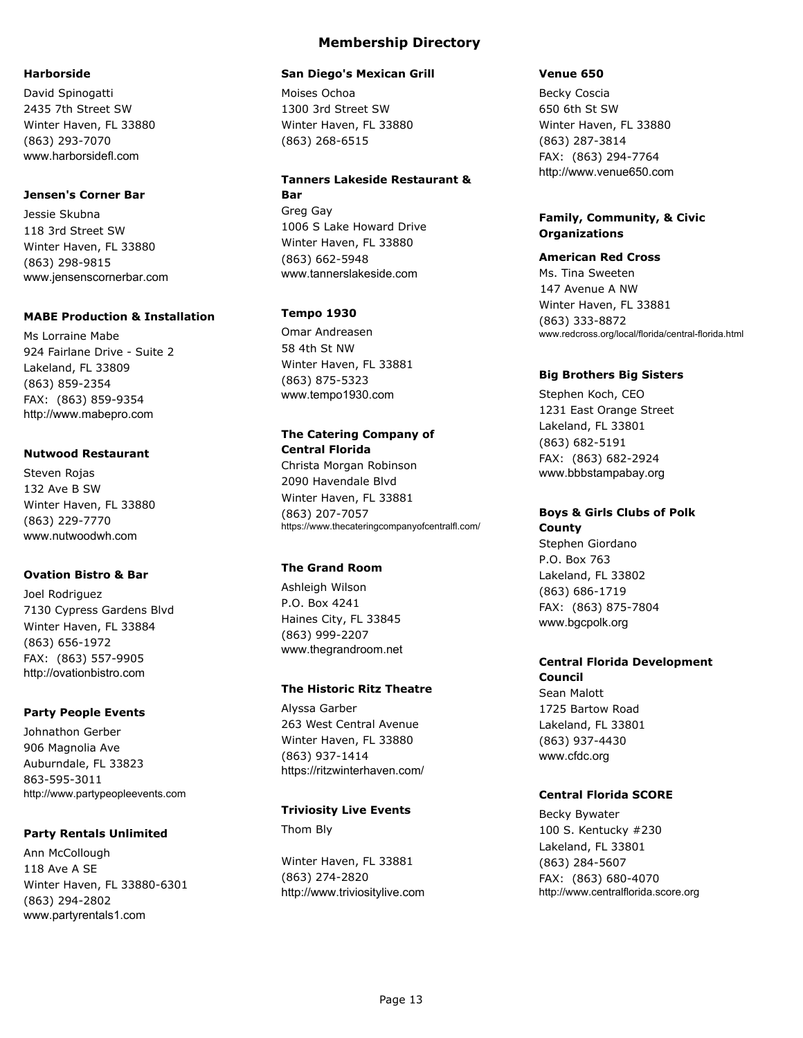#### **Harborside**

David Spinogatti 2435 7th Street SW Winter Haven, FL 33880 (863) 293-7070 www.harborsidefl.com

#### **Jensen's Corner Bar**

Jessie Skubna 118 3rd Street SW Winter Haven, FL 33880 (863) 298-9815 www.jensenscornerbar.com

#### **MABE Production & Installation**

Ms Lorraine Mabe 924 Fairlane Drive - Suite 2 Lakeland, FL 33809 (863) 859-2354 FAX: (863) 859-9354 http://www.mabepro.com

#### **Nutwood Restaurant**

Steven Rojas 132 Ave B SW Winter Haven, FL 33880 (863) 229-7770 www.nutwoodwh.com

#### **Ovation Bistro & Bar**

Joel Rodriguez 7130 Cypress Gardens Blvd Winter Haven, FL 33884 (863) 656-1972 FAX: (863) 557-9905 http://ovationbistro.com

#### **Party People Events**

Johnathon Gerber 906 Magnolia Ave Auburndale, FL 33823 863-595-3011 http://www.partypeopleevents.com

#### **Party Rentals Unlimited**

Ann McCollough 118 Ave A SE Winter Haven, FL 33880-6301 (863) 294-2802 www.partyrentals1.com

### **Membership Directory**

#### **San Diego's Mexican Grill**

Moises Ochoa 1300 3rd Street SW Winter Haven, FL 33880 (863) 268-6515

#### **Tanners Lakeside Restaurant & Bar**

Greg Gay 1006 S Lake Howard Drive Winter Haven, FL 33880 (863) 662-5948 www.tannerslakeside.com

#### **Tempo 1930**

Omar Andreasen 58 4th St NW Winter Haven, FL 33881 (863) 875-5323 www.tempo1930.com

### **The Catering Company of Central Florida**

Christa Morgan Robinson 2090 Havendale Blvd Winter Haven, FL 33881 (863) 207-7057 https://www.thecateringcompanyofcentralfl.com/

### **The Grand Room**

Ashleigh Wilson P.O. Box 4241 Haines City, FL 33845 (863) 999-2207 www.thegrandroom.net

#### **The Historic Ritz Theatre**

Alyssa Garber 263 West Central Avenue Winter Haven, FL 33880 (863) 937-1414 https://ritzwinterhaven.com/

#### **Triviosity Live Events**

Thom Bly

Winter Haven, FL 33881 (863) 274-2820 http://www.triviositylive.com

#### **Venue 650**

Becky Coscia 650 6th St SW Winter Haven, FL 33880 (863) 287-3814 FAX: (863) 294-7764 http://www.venue650.com

### **Family, Community, & Civic Organizations**

**American Red Cross** Ms. Tina Sweeten 147 Avenue A NW Winter Haven, FL 33881 (863) 333-8872 www.redcross.org/local/florida/central-florida.html

#### **Big Brothers Big Sisters**

Stephen Koch, CEO 1231 East Orange Street Lakeland, FL 33801 (863) 682-5191 FAX: (863) 682-2924 www.bbbstampabay.org

## **Boys & Girls Clubs of Polk**

**County** Stephen Giordano P.O. Box 763 Lakeland, FL 33802 (863) 686-1719 FAX: (863) 875-7804 www.bgcpolk.org

### **Central Florida Development Council**

Sean Malott 1725 Bartow Road Lakeland, FL 33801 (863) 937-4430 www.cfdc.org

### **Central Florida SCORE**

Becky Bywater 100 S. Kentucky #230 Lakeland, FL 33801 (863) 284-5607 FAX: (863) 680-4070 http://www.centralflorida.score.org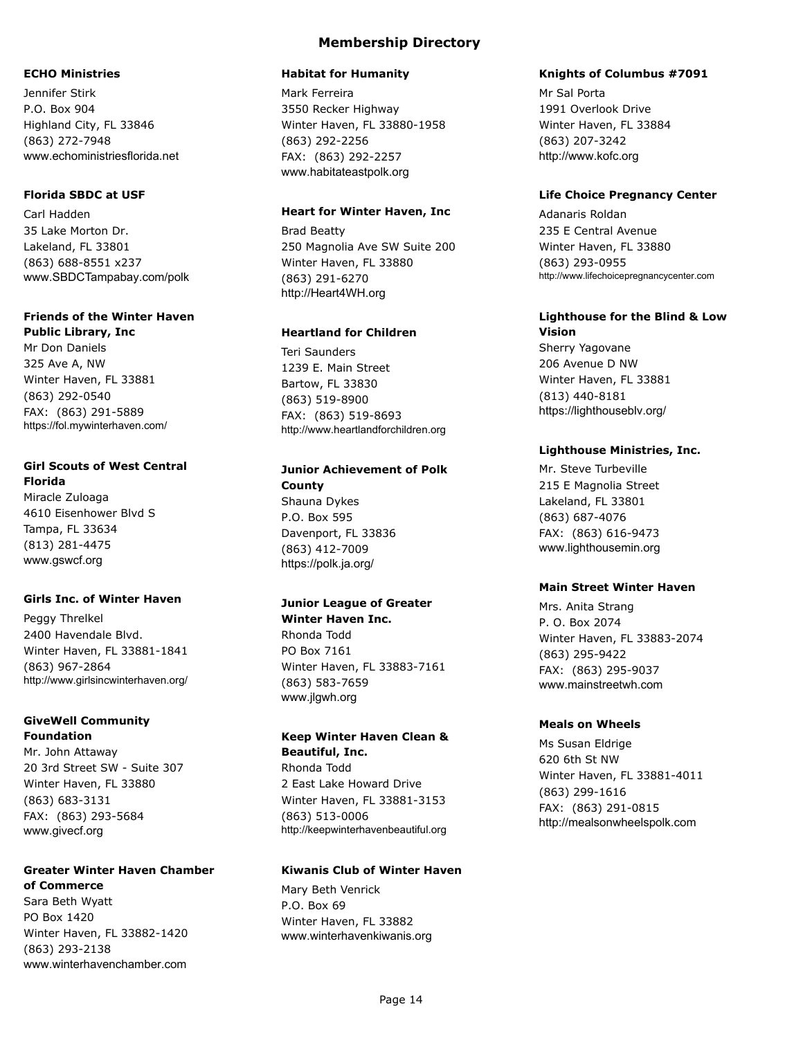#### **ECHO Ministries**

Jennifer Stirk P.O. Box 904 Highland City, FL 33846 (863) 272-7948 www.echoministriesflorida.net

### **Florida SBDC at USF**

Carl Hadden 35 Lake Morton Dr. Lakeland, FL 33801 (863) 688-8551 x237 www.SBDCTampabay.com/polk

## **Friends of the Winter Haven**

**Public Library, Inc** Mr Don Daniels 325 Ave A, NW Winter Haven, FL 33881 (863) 292-0540 FAX: (863) 291-5889 https://fol.mywinterhaven.com/

#### **Girl Scouts of West Central Florida**

Miracle Zuloaga 4610 Eisenhower Blvd S Tampa, FL 33634 (813) 281-4475 www.gswcf.org

### **Girls Inc. of Winter Haven**

Peggy Threlkel 2400 Havendale Blvd. Winter Haven, FL 33881-1841 (863) 967-2864 http://www.girlsincwinterhaven.org/

### **GiveWell Community Foundation**

Mr. John Attaway 20 3rd Street SW - Suite 307 Winter Haven, FL 33880 (863) 683-3131 FAX: (863) 293-5684 www.givecf.org

## **Greater Winter Haven Chamber**

**of Commerce**

Sara Beth Wyatt PO Box 1420 Winter Haven, FL 33882-1420 (863) 293-2138 www.winterhavenchamber.com

### **Membership Directory**

#### **Habitat for Humanity**

Mark Ferreira 3550 Recker Highway Winter Haven, FL 33880-1958 (863) 292-2256 FAX: (863) 292-2257 www.habitateastpolk.org

#### **Heart for Winter Haven, Inc**

Brad Beatty 250 Magnolia Ave SW Suite 200 Winter Haven, FL 33880 (863) 291-6270 http://Heart4WH.org

#### **Heartland for Children**

Teri Saunders 1239 E. Main Street Bartow, FL 33830 (863) 519-8900 FAX: (863) 519-8693 http://www.heartlandforchildren.org

### **Junior Achievement of Polk**

**County** Shauna Dykes P.O. Box 595 Davenport, FL 33836 (863) 412-7009 https://polk.ja.org/

### **Junior League of Greater**

**Winter Haven Inc.** Rhonda Todd PO Box 7161 Winter Haven, FL 33883-7161 (863) 583-7659 www.jlgwh.org

### **Keep Winter Haven Clean & Beautiful, Inc.** Rhonda Todd

2 East Lake Howard Drive Winter Haven, FL 33881-3153 (863) 513-0006 http://keepwinterhavenbeautiful.org

#### **Kiwanis Club of Winter Haven**

Mary Beth Venrick P.O. Box 69 Winter Haven, FL 33882 www.winterhavenkiwanis.org

#### **Knights of Columbus #7091**

Mr Sal Porta 1991 Overlook Drive Winter Haven, FL 33884 (863) 207-3242 http://www.kofc.org

#### **Life Choice Pregnancy Center**

Adanaris Roldan 235 E Central Avenue Winter Haven, FL 33880 (863) 293-0955 http://www.lifechoicepregnancycenter.com

#### **Lighthouse for the Blind & Low Vision**

Sherry Yagovane 206 Avenue D NW Winter Haven, FL 33881 (813) 440-8181 https://lighthouseblv.org/

### **Lighthouse Ministries, Inc.**

Mr. Steve Turbeville 215 E Magnolia Street Lakeland, FL 33801 (863) 687-4076 FAX: (863) 616-9473 www.lighthousemin.org

#### **Main Street Winter Haven**

Mrs. Anita Strang P. O. Box 2074 Winter Haven, FL 33883-2074 (863) 295-9422 FAX: (863) 295-9037 www.mainstreetwh.com

### **Meals on Wheels**

Ms Susan Eldrige 620 6th St NW Winter Haven, FL 33881-4011 (863) 299-1616 FAX: (863) 291-0815 http://mealsonwheelspolk.com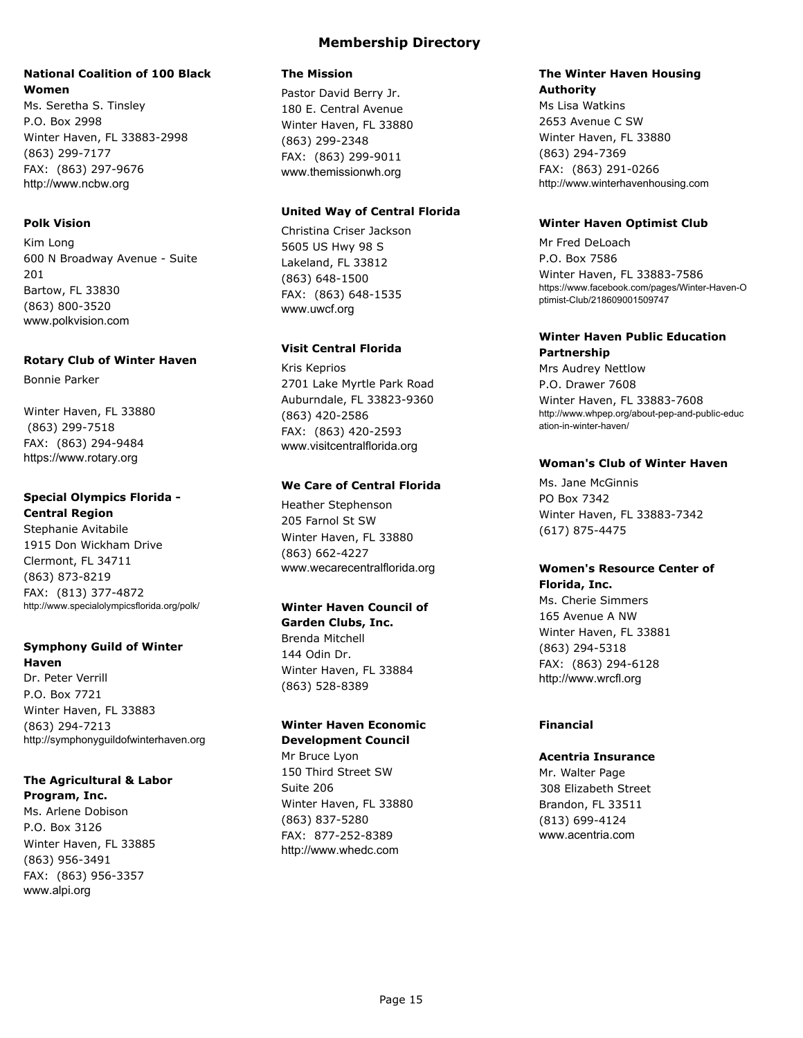### **National Coalition of 100 Black Women**

Ms. Seretha S. Tinsley P.O. Box 2998 Winter Haven, FL 33883-2998 (863) 299-7177 FAX: (863) 297-9676 http://www.ncbw.org

### **Polk Vision**

Kim Long 600 N Broadway Avenue - Suite 201 Bartow, FL 33830 (863) 800-3520 www.polkvision.com

#### **Rotary Club of Winter Haven**

Bonnie Parker

Winter Haven, FL 33880 (863) 299-7518 FAX: (863) 294-9484 https://www.rotary.org

## **Special Olympics Florida -**

**Central Region** Stephanie Avitabile 1915 Don Wickham Drive Clermont, FL 34711 (863) 873-8219 FAX: (813) 377-4872 http://www.specialolympicsflorida.org/polk/

#### **Symphony Guild of Winter Haven**

Dr. Peter Verrill P.O. Box 7721 Winter Haven, FL 33883 (863) 294-7213 http://symphonyguildofwinterhaven.org

## **The Agricultural & Labor**

**Program, Inc.** Ms. Arlene Dobison P.O. Box 3126 Winter Haven, FL 33885 (863) 956-3491 FAX: (863) 956-3357 www.alpi.org

### **The Mission**

Pastor David Berry Jr. 180 E. Central Avenue Winter Haven, FL 33880 (863) 299-2348 FAX: (863) 299-9011 www.themissionwh.org

### **United Way of Central Florida**

Christina Criser Jackson 5605 US Hwy 98 S Lakeland, FL 33812 (863) 648-1500 FAX: (863) 648-1535 www.uwcf.org

### **Visit Central Florida**

Kris Keprios 2701 Lake Myrtle Park Road Auburndale, FL 33823-9360 (863) 420-2586 FAX: (863) 420-2593 www.visitcentralflorida.org

### **We Care of Central Florida**

Heather Stephenson 205 Farnol St SW Winter Haven, FL 33880 (863) 662-4227 www.wecarecentralflorida.org

### **Winter Haven Council of**

**Garden Clubs, Inc.** Brenda Mitchell 144 Odin Dr. Winter Haven, FL 33884 (863) 528-8389

### **Winter Haven Economic Development Council**

Mr Bruce Lyon 150 Third Street SW Suite 206 Winter Haven, FL 33880 (863) 837-5280 FAX: 877-252-8389 http://www.whedc.com

#### **The Winter Haven Housing Authority**

Ms Lisa Watkins 2653 Avenue C SW Winter Haven, FL 33880 (863) 294-7369 FAX: (863) 291-0266 http://www.winterhavenhousing.com

### **Winter Haven Optimist Club**

Mr Fred DeLoach P.O. Box 7586 Winter Haven, FL 33883-7586 https://www.facebook.com/pages/Winter-Haven-O ptimist-Club/218609001509747

#### **Winter Haven Public Education Partnership**

Mrs Audrey Nettlow P.O. Drawer 7608

Winter Haven, FL 33883-7608 http://www.whpep.org/about-pep-and-public-educ ation-in-winter-haven/

#### **Woman's Club of Winter Haven**

Ms. Jane McGinnis PO Box 7342 Winter Haven, FL 33883-7342 (617) 875-4475

### **Women's Resource Center of Florida, Inc.**

Ms. Cherie Simmers 165 Avenue A NW Winter Haven, FL 33881 (863) 294-5318 FAX: (863) 294-6128 http://www.wrcfl.org

### **Financial**

### **Acentria Insurance**

Mr. Walter Page 308 Elizabeth Street Brandon, FL 33511 (813) 699-4124 www.acentria.com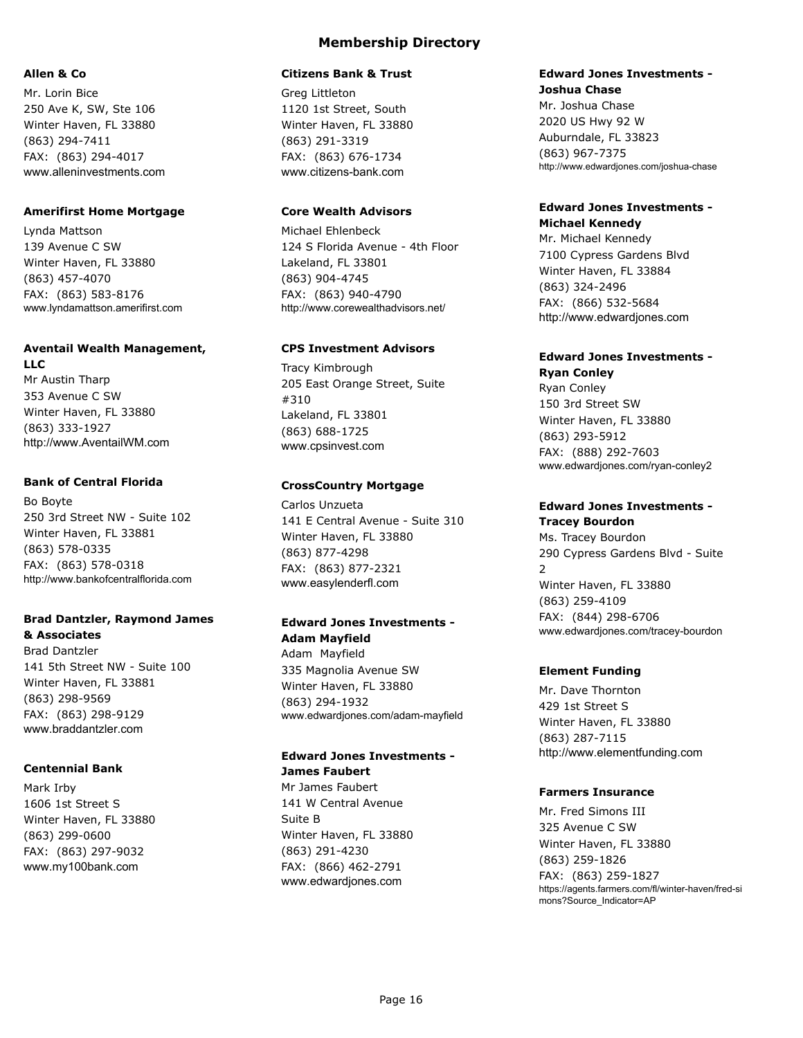#### **Allen & Co**

Mr. Lorin Bice 250 Ave K, SW, Ste 106 Winter Haven, FL 33880 (863) 294-7411 FAX: (863) 294-4017 www.alleninvestments.com

#### **Amerifirst Home Mortgage**

Lynda Mattson 139 Avenue C SW Winter Haven, FL 33880 (863) 457-4070 FAX: (863) 583-8176 www.lyndamattson.amerifirst.com

#### **Aventail Wealth Management,**

**LLC** Mr Austin Tharp 353 Avenue C SW Winter Haven, FL 33880 (863) 333-1927 http://www.AventailWM.com

#### **Bank of Central Florida**

Bo Boyte 250 3rd Street NW - Suite 102 Winter Haven, FL 33881 (863) 578-0335 FAX: (863) 578-0318 http://www.bankofcentralflorida.com

#### **Brad Dantzler, Raymond James & Associates**

Brad Dantzler 141 5th Street NW - Suite 100 Winter Haven, FL 33881 (863) 298-9569 FAX: (863) 298-9129 www.braddantzler.com

### **Centennial Bank**

Mark Irby 1606 1st Street S Winter Haven, FL 33880 (863) 299-0600 FAX: (863) 297-9032 www.my100bank.com

## **Membership Directory**

#### **Citizens Bank & Trust**

Greg Littleton 1120 1st Street, South Winter Haven, FL 33880 (863) 291-3319 FAX: (863) 676-1734 www.citizens-bank.com

### **Core Wealth Advisors**

Michael Ehlenbeck 124 S Florida Avenue - 4th Floor Lakeland, FL 33801 (863) 904-4745 FAX: (863) 940-4790 http://www.corewealthadvisors.net/

### **CPS Investment Advisors**

Tracy Kimbrough 205 East Orange Street, Suite #310 Lakeland, FL 33801 (863) 688-1725 www.cpsinvest.com

### **CrossCountry Mortgage**

Carlos Unzueta 141 E Central Avenue - Suite 310 Winter Haven, FL 33880 (863) 877-4298 FAX: (863) 877-2321 www.easylenderfl.com

### **Edward Jones Investments - Adam Mayfield**

Adam Mayfield 335 Magnolia Avenue SW Winter Haven, FL 33880 (863) 294-1932 www.edwardjones.com/adam-mayfield

## **Edward Jones Investments - James Faubert**

Mr James Faubert 141 W Central Avenue Suite B Winter Haven, FL 33880 (863) 291-4230 FAX: (866) 462-2791 www.edwardjones.com

#### **Edward Jones Investments - Joshua Chase**

Mr. Joshua Chase 2020 US Hwy 92 W Auburndale, FL 33823 (863) 967-7375 http://www.edwardjones.com/joshua-chase

### **Edward Jones Investments - Michael Kennedy**

Mr. Michael Kennedy 7100 Cypress Gardens Blvd Winter Haven, FL 33884 (863) 324-2496 FAX: (866) 532-5684 http://www.edwardjones.com

## **Edward Jones Investments -**

## **Ryan Conley**

Ryan Conley 150 3rd Street SW Winter Haven, FL 33880 (863) 293-5912 FAX: (888) 292-7603 www.edwardjones.com/ryan-conley2

## **Edward Jones Investments -**

**Tracey Bourdon** Ms. Tracey Bourdon 290 Cypress Gardens Blvd - Suite  $\overline{2}$ Winter Haven, FL 33880 (863) 259-4109 FAX: (844) 298-6706 www.edwardjones.com/tracey-bourdon

### **Element Funding**

Mr. Dave Thornton 429 1st Street S Winter Haven, FL 33880 (863) 287-7115 http://www.elementfunding.com

### **Farmers Insurance**

Mr. Fred Simons III 325 Avenue C SW Winter Haven, FL 33880 (863) 259-1826 FAX: (863) 259-1827 https://agents.farmers.com/fl/winter-haven/fred-si mons?Source\_Indicator=AP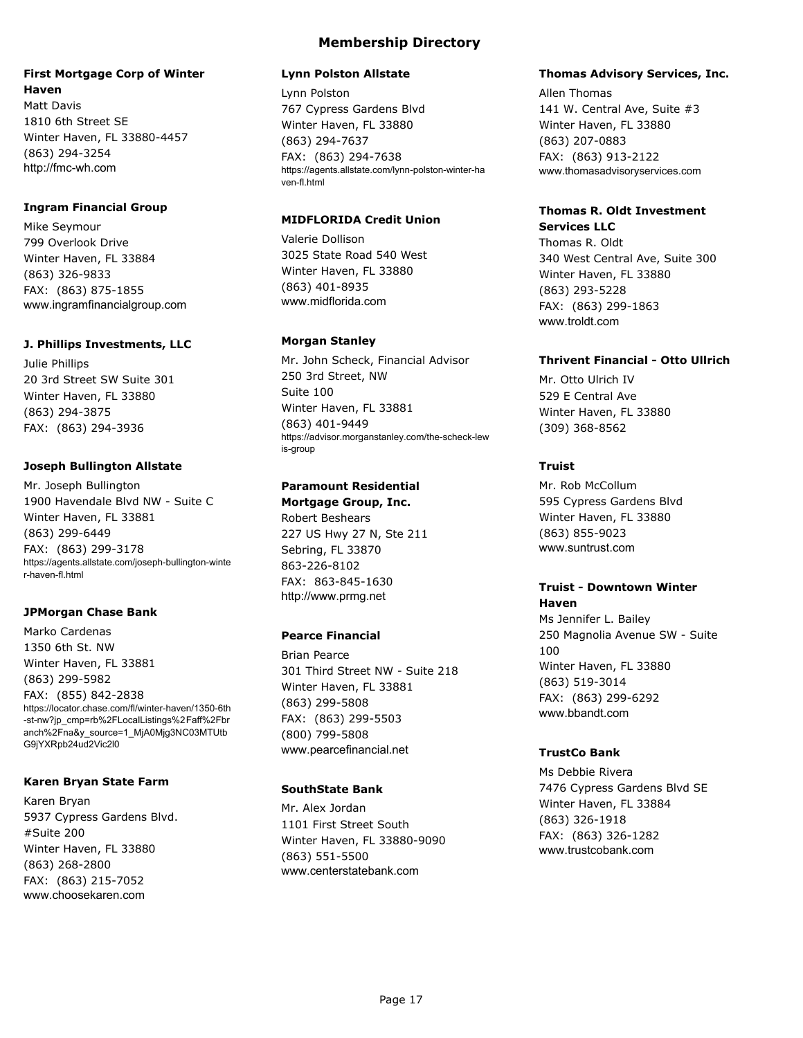### **First Mortgage Corp of Winter Haven**

Matt Davis 1810 6th Street SE Winter Haven, FL 33880-4457 (863) 294-3254 http://fmc-wh.com

#### **Ingram Financial Group**

Mike Seymour 799 Overlook Drive Winter Haven, FL 33884 (863) 326-9833 FAX: (863) 875-1855 www.ingramfinancialgroup.com

#### **J. Phillips Investments, LLC**

Julie Phillips 20 3rd Street SW Suite 301 Winter Haven, FL 33880 (863) 294-3875 FAX: (863) 294-3936

#### **Joseph Bullington Allstate**

Mr. Joseph Bullington 1900 Havendale Blvd NW - Suite C Winter Haven, FL 33881 (863) 299-6449 FAX: (863) 299-3178 https://agents.allstate.com/joseph-bullington-winte r-haven-fl.html

### **JPMorgan Chase Bank**

Marko Cardenas 1350 6th St. NW Winter Haven, FL 33881 (863) 299-5982 FAX: (855) 842-2838 https://locator.chase.com/fl/winter-haven/1350-6th -st-nw?jp\_cmp=rb%2FLocalListings%2Faff%2Fbr anch%2Fna&y\_source=1\_MjA0Mjg3NC03MTUtb G9jYXRpb24ud2Vic2l0

#### **Karen Bryan State Farm**

Karen Bryan 5937 Cypress Gardens Blvd. #Suite 200 Winter Haven, FL 33880 (863) 268-2800 FAX: (863) 215-7052 www.choosekaren.com

## **Membership Directory**

#### **Lynn Polston Allstate**

Lynn Polston 767 Cypress Gardens Blvd Winter Haven, FL 33880 (863) 294-7637 FAX: (863) 294-7638 https://agents.allstate.com/lynn-polston-winter-ha ven-fl.html

### **MIDFLORIDA Credit Union**

Valerie Dollison 3025 State Road 540 West Winter Haven, FL 33880 (863) 401-8935 www.midflorida.com

### **Morgan Stanley**

Mr. John Scheck, Financial Advisor 250 3rd Street, NW Suite 100 Winter Haven, FL 33881 (863) 401-9449 https://advisor.morganstanley.com/the-scheck-lew is-group

### **Paramount Residential**

**Mortgage Group, Inc.** Robert Beshears 227 US Hwy 27 N, Ste 211 Sebring, FL 33870 863-226-8102 FAX: 863-845-1630 http://www.prmg.net

### **Pearce Financial**

Brian Pearce 301 Third Street NW - Suite 218 Winter Haven, FL 33881 (863) 299-5808 FAX: (863) 299-5503 (800) 799-5808 www.pearcefinancial.net

### **SouthState Bank**

Mr. Alex Jordan 1101 First Street South Winter Haven, FL 33880-9090 (863) 551-5500 www.centerstatebank.com

### **Thomas Advisory Services, Inc.**

Allen Thomas 141 W. Central Ave, Suite #3 Winter Haven, FL 33880 (863) 207-0883 FAX: (863) 913-2122 www.thomasadvisoryservices.com

#### **Thomas R. Oldt Investment Services LLC**

Thomas R. Oldt 340 West Central Ave, Suite 300 Winter Haven, FL 33880 (863) 293-5228 FAX: (863) 299-1863 www.troldt.com

### **Thrivent Financial - Otto Ullrich**

Mr. Otto Ulrich IV 529 E Central Ave Winter Haven, FL 33880 (309) 368-8562

### **Truist**

Mr. Rob McCollum 595 Cypress Gardens Blvd Winter Haven, FL 33880 (863) 855-9023 www.suntrust.com

#### **Truist - Downtown Winter Haven**

Ms Jennifer L. Bailey 250 Magnolia Avenue SW - Suite 100 Winter Haven, FL 33880 (863) 519-3014 FAX: (863) 299-6292 www.bbandt.com

### **TrustCo Bank**

Ms Debbie Rivera 7476 Cypress Gardens Blvd SE Winter Haven, FL 33884 (863) 326-1918 FAX: (863) 326-1282 www.trustcobank.com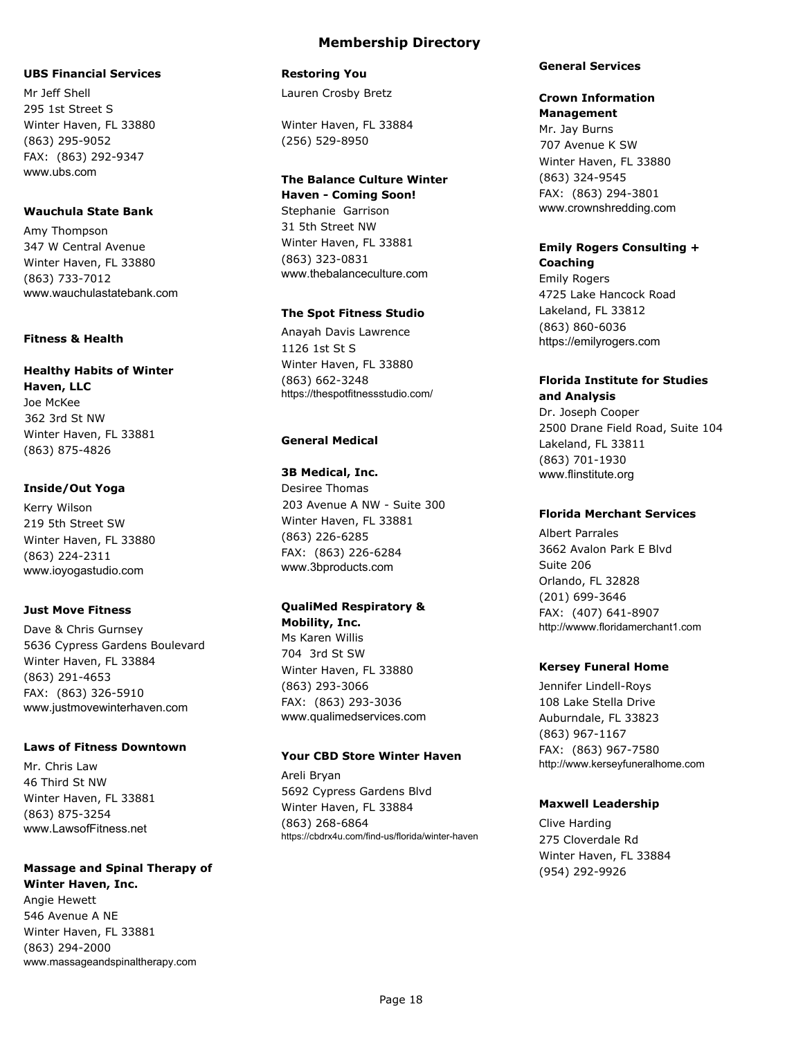#### **UBS Financial Services**

Mr Jeff Shell 295 1st Street S Winter Haven, FL 33880 (863) 295-9052 FAX: (863) 292-9347 www.ubs.com

#### **Wauchula State Bank**

Amy Thompson 347 W Central Avenue Winter Haven, FL 33880 (863) 733-7012 www.wauchulastatebank.com

#### **Fitness & Health**

### **Healthy Habits of Winter Haven, LLC** Joe McKee

362 3rd St NW Winter Haven, FL 33881 (863) 875-4826

### **Inside/Out Yoga**

Kerry Wilson 219 5th Street SW Winter Haven, FL 33880 (863) 224-2311 www.ioyogastudio.com

### **Just Move Fitness**

Dave & Chris Gurnsey 5636 Cypress Gardens Boulevard Winter Haven, FL 33884 (863) 291-4653 FAX: (863) 326-5910 www.justmovewinterhaven.com

### **Laws of Fitness Downtown**

Mr. Chris Law 46 Third St NW Winter Haven, FL 33881 (863) 875-3254 www.LawsofFitness.net

### **Massage and Spinal Therapy of Winter Haven, Inc.** Angie Hewett 546 Avenue A NE

Winter Haven, FL 33881 (863) 294-2000 www.massageandspinaltherapy.com

### **Restoring You**

Lauren Crosby Bretz

Winter Haven, FL 33884 (256) 529-8950

### **The Balance Culture Winter**

**Haven - Coming Soon!** Stephanie Garrison 31 5th Street NW Winter Haven, FL 33881 (863) 323-0831 www.thebalanceculture.com

### **The Spot Fitness Studio**

Anayah Davis Lawrence 1126 1st St S Winter Haven, FL 33880 (863) 662-3248 https://thespotfitnessstudio.com/

### **General Medical**

### **3B Medical, Inc.**

Desiree Thomas 203 Avenue A NW - Suite 300 Winter Haven, FL 33881 (863) 226-6285 FAX: (863) 226-6284 www.3bproducts.com

### **QualiMed Respiratory &**

**Mobility, Inc.** Ms Karen Willis 704 3rd St SW Winter Haven, FL 33880 (863) 293-3066 FAX: (863) 293-3036 www.qualimedservices.com

### **Your CBD Store Winter Haven**

Areli Bryan 5692 Cypress Gardens Blvd Winter Haven, FL 33884 (863) 268-6864 https://cbdrx4u.com/find-us/florida/winter-haven

#### **General Services**

## **Crown Information**

**Management** Mr. Jay Burns 707 Avenue K SW Winter Haven, FL 33880 (863) 324-9545 FAX: (863) 294-3801 www.crownshredding.com

#### **Emily Rogers Consulting + Coaching**

Emily Rogers 4725 Lake Hancock Road Lakeland, FL 33812 (863) 860-6036 https://emilyrogers.com

### **Florida Institute for Studies and Analysis**

Dr. Joseph Cooper 2500 Drane Field Road, Suite 104 Lakeland, FL 33811 (863) 701-1930 www.flinstitute.org

### **Florida Merchant Services**

Albert Parrales 3662 Avalon Park E Blvd Suite 206 Orlando, FL 32828 (201) 699-3646 FAX: (407) 641-8907 http://wwww.floridamerchant1.com

### **Kersey Funeral Home**

Jennifer Lindell-Roys 108 Lake Stella Drive Auburndale, FL 33823 (863) 967-1167 FAX: (863) 967-7580 http://www.kerseyfuneralhome.com

### **Maxwell Leadership**

Clive Harding 275 Cloverdale Rd Winter Haven, FL 33884 (954) 292-9926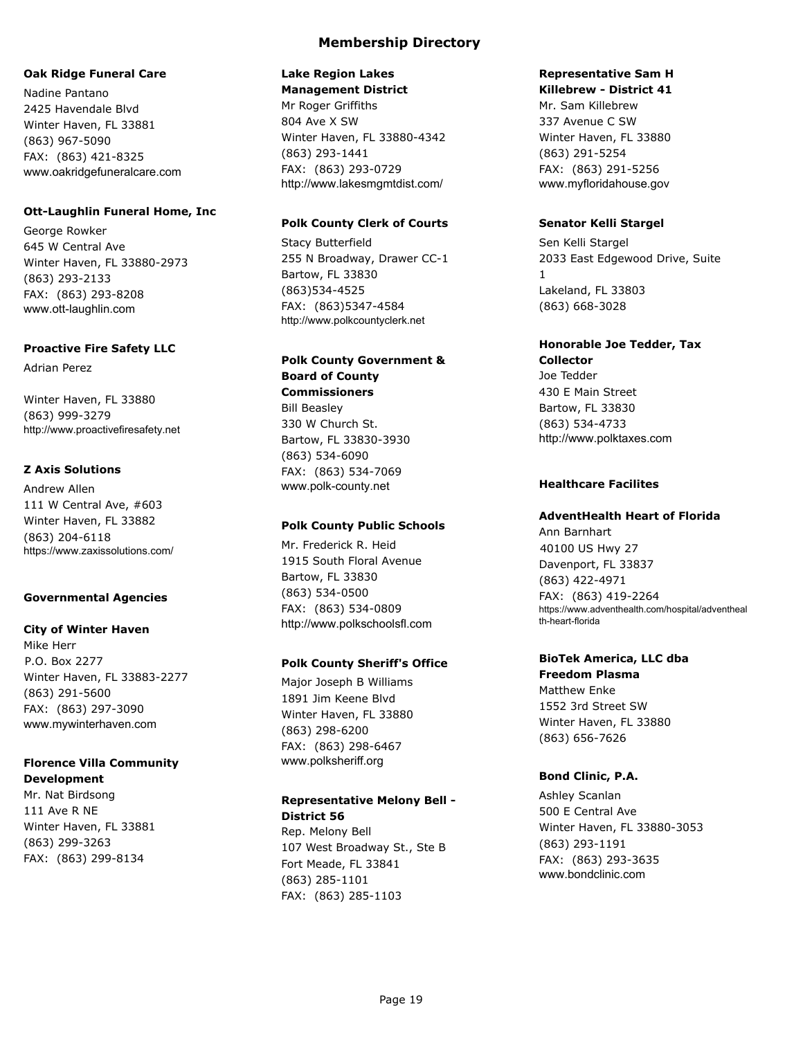#### **Oak Ridge Funeral Care**

Nadine Pantano 2425 Havendale Blvd Winter Haven, FL 33881 (863) 967-5090 FAX: (863) 421-8325 www.oakridgefuneralcare.com

#### **Ott-Laughlin Funeral Home, Inc**

George Rowker 645 W Central Ave Winter Haven, FL 33880-2973 (863) 293-2133 FAX: (863) 293-8208 www.ott-laughlin.com

#### **Proactive Fire Safety LLC**

Adrian Perez

Winter Haven, FL 33880 (863) 999-3279 http://www.proactivefiresafety.net

#### **Z Axis Solutions**

Andrew Allen 111 W Central Ave, #603 Winter Haven, FL 33882 (863) 204-6118 https://www.zaxissolutions.com/

#### **Governmental Agencies**

#### **City of Winter Haven**

Mike Herr P.O. Box 2277 Winter Haven, FL 33883-2277 (863) 291-5600 FAX: (863) 297-3090 www.mywinterhaven.com

### **Florence Villa Community Development**

Mr. Nat Birdsong 111 Ave R NE Winter Haven, FL 33881 (863) 299-3263 FAX: (863) 299-8134

#### **Lake Region Lakes Management District**

Mr Roger Griffiths 804 Ave X SW Winter Haven, FL 33880-4342 (863) 293-1441 FAX: (863) 293-0729 http://www.lakesmgmtdist.com/

#### **Polk County Clerk of Courts**

Stacy Butterfield 255 N Broadway, Drawer CC-1 Bartow, FL 33830 (863)534-4525 FAX: (863)5347-4584 http://www.polkcountyclerk.net

### **Polk County Government & Board of County Commissioners** Bill Beasley 330 W Church St. Bartow, FL 33830-3930

(863) 534-6090 FAX: (863) 534-7069 www.polk-county.net

### **Polk County Public Schools**

Mr. Frederick R. Heid 1915 South Floral Avenue Bartow, FL 33830 (863) 534-0500 FAX: (863) 534-0809 http://www.polkschoolsfl.com

### **Polk County Sheriff's Office**

Major Joseph B Williams 1891 Jim Keene Blvd Winter Haven, FL 33880 (863) 298-6200 FAX: (863) 298-6467 www.polksheriff.org

### **Representative Melony Bell - District 56**

Rep. Melony Bell 107 West Broadway St., Ste B Fort Meade, FL 33841 (863) 285-1101 FAX: (863) 285-1103

#### **Representative Sam H Killebrew - District 41**

Mr. Sam Killebrew 337 Avenue C SW Winter Haven, FL 33880 (863) 291-5254 FAX: (863) 291-5256 www.myfloridahouse.gov

### **Senator Kelli Stargel**

Sen Kelli Stargel 2033 East Edgewood Drive, Suite 1 Lakeland, FL 33803 (863) 668-3028

### **Honorable Joe Tedder, Tax**

**Collector** Joe Tedder 430 E Main Street Bartow, FL 33830 (863) 534-4733 http://www.polktaxes.com

#### **Healthcare Facilites**

#### **AdventHealth Heart of Florida**

Ann Barnhart 40100 US Hwy 27 Davenport, FL 33837 (863) 422-4971 FAX: (863) 419-2264 https://www.adventhealth.com/hospital/adventheal th-heart-florida

### **BioTek America, LLC dba**

#### **Freedom Plasma**

Matthew Enke 1552 3rd Street SW Winter Haven, FL 33880 (863) 656-7626

### **Bond Clinic, P.A.**

Ashley Scanlan 500 E Central Ave Winter Haven, FL 33880-3053 (863) 293-1191 FAX: (863) 293-3635 www.bondclinic.com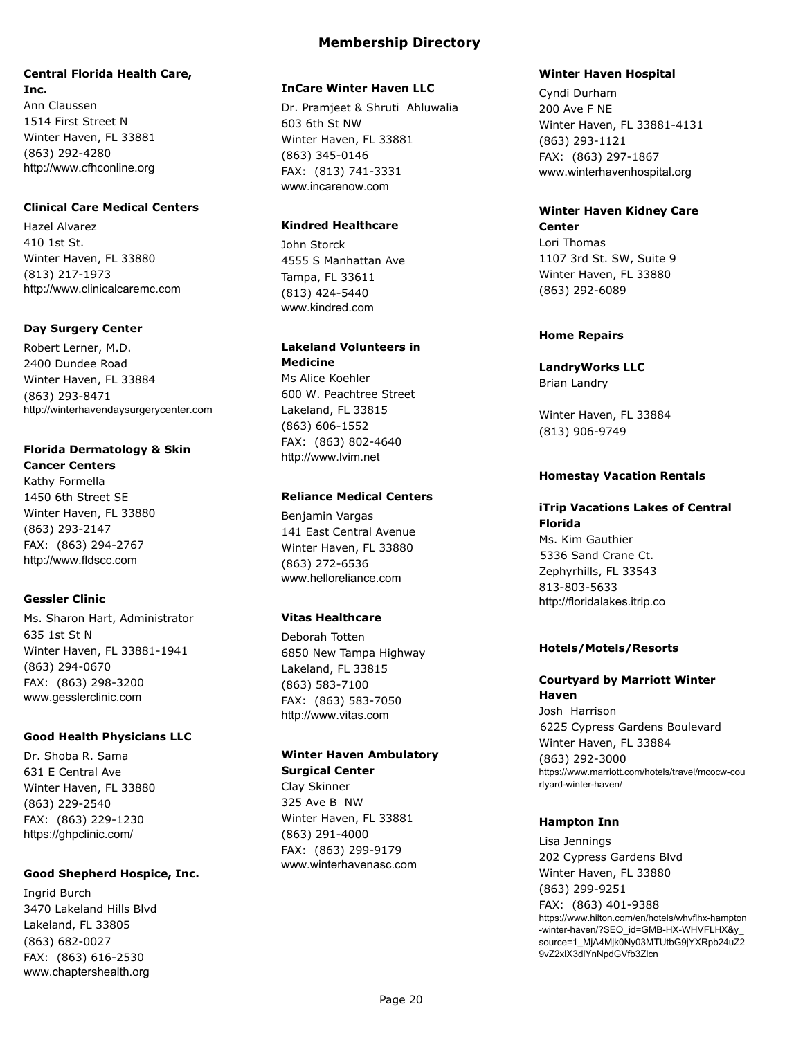## **Central Florida Health Care, Inc.**

Ann Claussen 1514 First Street N Winter Haven, FL 33881 (863) 292-4280 http://www.cfhconline.org

### **Clinical Care Medical Centers**

Hazel Alvarez 410 1st St. Winter Haven, FL 33880 (813) 217-1973 http://www.clinicalcaremc.com

### **Day Surgery Center**

Robert Lerner, M.D. 2400 Dundee Road Winter Haven, FL 33884 (863) 293-8471 http://winterhavendaysurgerycenter.com

### **Florida Dermatology & Skin Cancer Centers**

Kathy Formella 1450 6th Street SE Winter Haven, FL 33880 (863) 293-2147 FAX: (863) 294-2767 http://www.fldscc.com

### **Gessler Clinic**

Ms. Sharon Hart, Administrator 635 1st St N Winter Haven, FL 33881-1941 (863) 294-0670 FAX: (863) 298-3200 www.gesslerclinic.com

### **Good Health Physicians LLC**

Dr. Shoba R. Sama 631 E Central Ave Winter Haven, FL 33880 (863) 229-2540 FAX: (863) 229-1230 https://ghpclinic.com/

### **Good Shepherd Hospice, Inc.**

Ingrid Burch 3470 Lakeland Hills Blvd Lakeland, FL 33805 (863) 682-0027 FAX: (863) 616-2530 www.chaptershealth.org

#### **InCare Winter Haven LLC**

Dr. Pramjeet & Shruti Ahluwalia 603 6th St NW Winter Haven, FL 33881 (863) 345-0146 FAX: (813) 741-3331 www.incarenow.com

### **Kindred Healthcare**

John Storck 4555 S Manhattan Ave Tampa, FL 33611 (813) 424-5440 www.kindred.com

### **Lakeland Volunteers in Medicine**

Ms Alice Koehler 600 W. Peachtree Street Lakeland, FL 33815 (863) 606-1552 FAX: (863) 802-4640 http://www.lvim.net

#### **Reliance Medical Centers**

Benjamin Vargas 141 East Central Avenue Winter Haven, FL 33880 (863) 272-6536 www.helloreliance.com

### **Vitas Healthcare**

Deborah Totten 6850 New Tampa Highway Lakeland, FL 33815 (863) 583-7100 FAX: (863) 583-7050 http://www.vitas.com

#### **Winter Haven Ambulatory Surgical Center** Clay Skinner

325 Ave B NW Winter Haven, FL 33881 (863) 291-4000 FAX: (863) 299-9179 www.winterhavenasc.com

#### **Winter Haven Hospital**

Cyndi Durham 200 Ave F NE Winter Haven, FL 33881-4131 (863) 293-1121 FAX: (863) 297-1867 www.winterhavenhospital.org

### **Winter Haven Kidney Care Center**

Lori Thomas 1107 3rd St. SW, Suite 9 Winter Haven, FL 33880 (863) 292-6089

#### **Home Repairs**

**LandryWorks LLC** Brian Landry

Winter Haven, FL 33884 (813) 906-9749

#### **Homestay Vacation Rentals**

## **iTrip Vacations Lakes of Central**

**Florida** Ms. Kim Gauthier 5336 Sand Crane Ct. Zephyrhills, FL 33543 813-803-5633 http://floridalakes.itrip.co

#### **Hotels/Motels/Resorts**

#### **Courtyard by Marriott Winter Haven**

Josh Harrison 6225 Cypress Gardens Boulevard Winter Haven, FL 33884 (863) 292-3000 https://www.marriott.com/hotels/travel/mcocw-cou rtyard-winter-haven/

#### **Hampton Inn**

Lisa Jennings 202 Cypress Gardens Blvd Winter Haven, FL 33880 (863) 299-9251 FAX: (863) 401-9388 https://www.hilton.com/en/hotels/whvflhx-hampton -winter-haven/?SEO\_id=GMB-HX-WHVFLHX&y\_ source=1\_MjA4Mjk0Ny03MTUtbG9jYXRpb24uZ2 9vZ2xlX3dlYnNpdGVfb3Zlcn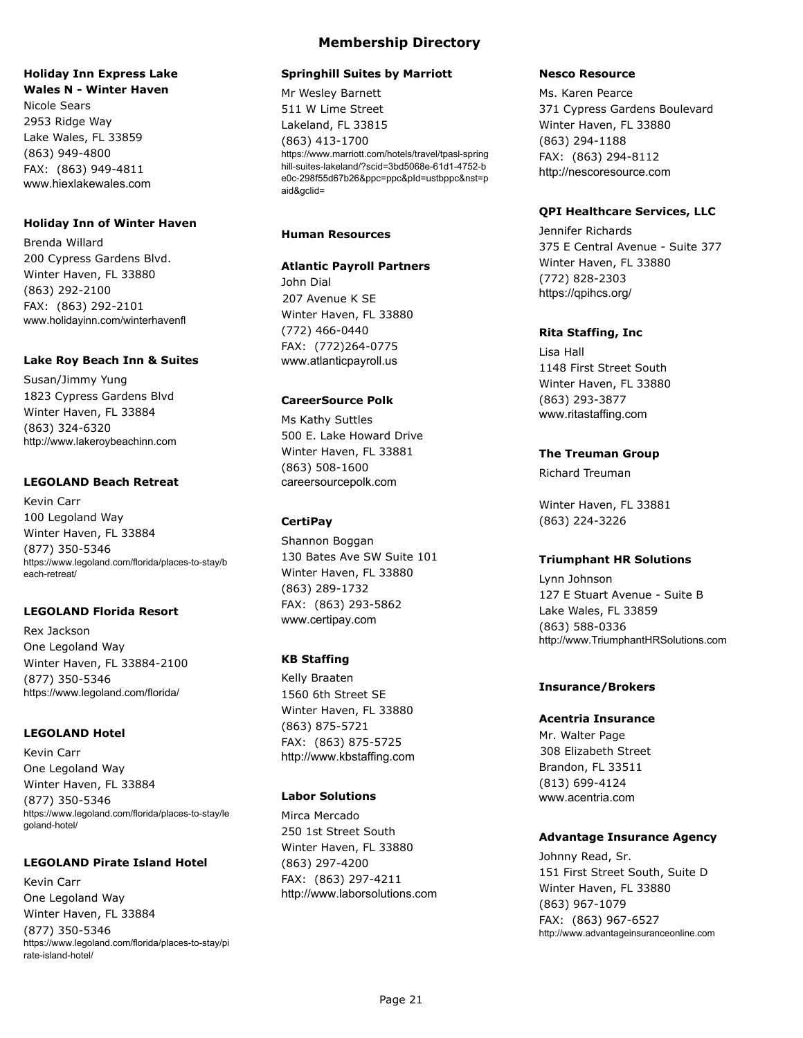#### **Holiday Inn Express Lake Wales N - Winter Haven**

Nicole Sears 2953 Ridge Way Lake Wales, FL 33859 (863) 949-4800 FAX: (863) 949-4811 www.hiexlakewales.com

#### **Holiday Inn of Winter Haven**

Brenda Willard 200 Cypress Gardens Blvd. Winter Haven, FL 33880 (863) 292-2100 FAX: (863) 292-2101 www.holidayinn.com/winterhavenfl

#### **Lake Roy Beach Inn & Suites**

Susan/Jimmy Yung 1823 Cypress Gardens Blvd Winter Haven, FL 33884 (863) 324-6320 http://www.lakeroybeachinn.com

#### **LEGOLAND Beach Retreat**

Kevin Carr 100 Legoland Way Winter Haven, FL 33884 (877) 350-5346 https://www.legoland.com/florida/places-to-stay/b each-retreat/

### **LEGOLAND Florida Resort**

Rex Jackson One Legoland Way Winter Haven, FL 33884-2100 (877) 350-5346 https://www.legoland.com/florida/

### **LEGOLAND Hotel**

Kevin Carr One Legoland Way Winter Haven, FL 33884 (877) 350-5346 https://www.legoland.com/florida/places-to-stay/le goland-hotel/

#### **LEGOLAND Pirate Island Hotel**

Kevin Carr One Legoland Way Winter Haven, FL 33884 (877) 350-5346 https://www.legoland.com/florida/places-to-stay/pi rate-island-hotel/

### **Membership Directory**

#### **Springhill Suites by Marriott**

Mr Wesley Barnett 511 W Lime Street Lakeland, FL 33815 (863) 413-1700 https://www.marriott.com/hotels/travel/tpasl-spring hill-suites-lakeland/?scid=3bd5068e-61d1-4752-b e0c-298f55d67b26&ppc=ppc&pId=ustbppc&nst=p aid&gclid=

#### **Human Resources**

#### **Atlantic Payroll Partners**

John Dial 207 Avenue K SE Winter Haven, FL 33880 (772) 466-0440 FAX: (772)264-0775 www.atlanticpayroll.us

#### **CareerSource Polk**

Ms Kathy Suttles 500 E. Lake Howard Drive Winter Haven, FL 33881 (863) 508-1600 careersourcepolk.com

### **CertiPay**

Shannon Boggan 130 Bates Ave SW Suite 101 Winter Haven, FL 33880 (863) 289-1732 FAX: (863) 293-5862 www.certipay.com

### **KB Staffing**

Kelly Braaten 1560 6th Street SE Winter Haven, FL 33880 (863) 875-5721 FAX: (863) 875-5725 http://www.kbstaffing.com

### **Labor Solutions**

Mirca Mercado 250 1st Street South Winter Haven, FL 33880 (863) 297-4200 FAX: (863) 297-4211 http://www.laborsolutions.com

#### **Nesco Resource**

Ms. Karen Pearce 371 Cypress Gardens Boulevard Winter Haven, FL 33880 (863) 294-1188 FAX: (863) 294-8112 http://nescoresource.com

#### **QPI Healthcare Services, LLC**

Jennifer Richards 375 E Central Avenue - Suite 377 Winter Haven, FL 33880 (772) 828-2303 https://qpihcs.org/

#### **Rita Staffing, Inc**

Lisa Hall 1148 First Street South Winter Haven, FL 33880 (863) 293-3877 www.ritastaffing.com

### **The Treuman Group**

Richard Treuman

Winter Haven, FL 33881 (863) 224-3226

### **Triumphant HR Solutions**

Lynn Johnson 127 E Stuart Avenue - Suite B Lake Wales, FL 33859 (863) 588-0336 http://www.TriumphantHRSolutions.com

#### **Insurance/Brokers**

**Acentria Insurance** Mr. Walter Page 308 Elizabeth Street Brandon, FL 33511 (813) 699-4124 www.acentria.com

### **Advantage Insurance Agency**

Johnny Read, Sr. 151 First Street South, Suite D Winter Haven, FL 33880 (863) 967-1079 FAX: (863) 967-6527 http://www.advantageinsuranceonline.com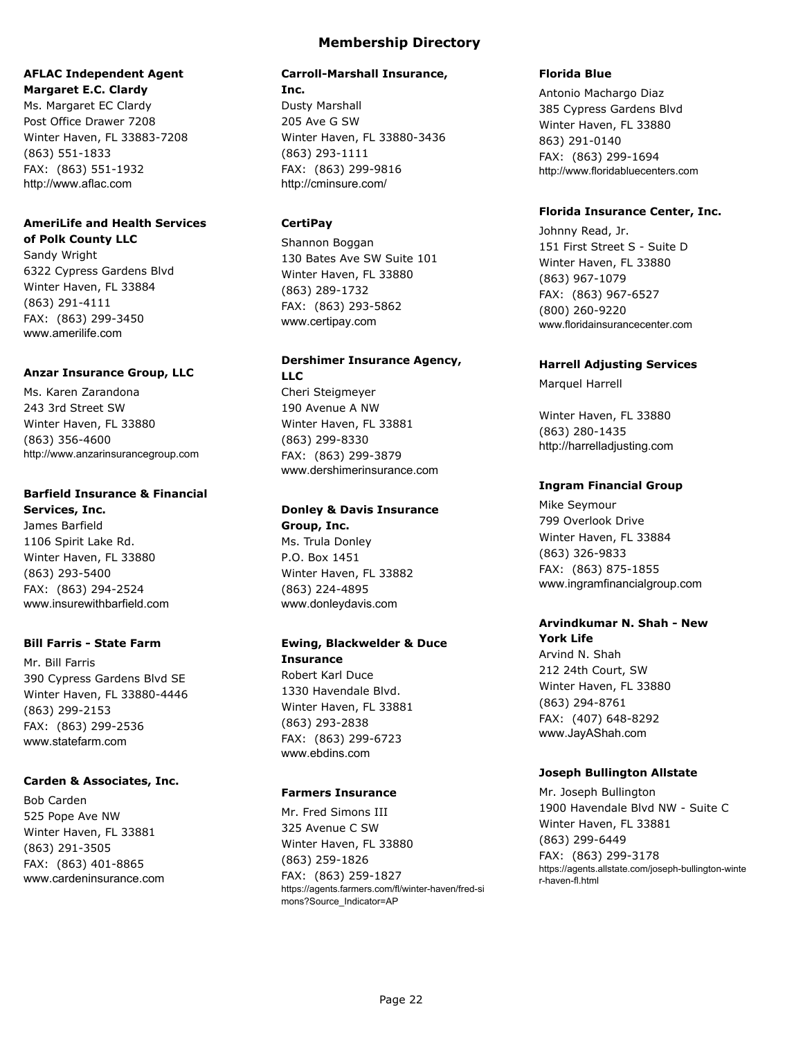### **AFLAC Independent Agent Margaret E.C. Clardy**

Ms. Margaret EC Clardy Post Office Drawer 7208 Winter Haven, FL 33883-7208 (863) 551-1833 FAX: (863) 551-1932 http://www.aflac.com

## **AmeriLife and Health Services of Polk County LLC**

Sandy Wright 6322 Cypress Gardens Blvd Winter Haven, FL 33884 (863) 291-4111 FAX: (863) 299-3450 www.amerilife.com

#### **Anzar Insurance Group, LLC**

Ms. Karen Zarandona 243 3rd Street SW Winter Haven, FL 33880 (863) 356-4600 http://www.anzarinsurancegroup.com

### **Barfield Insurance & Financial**

**Services, Inc.** James Barfield 1106 Spirit Lake Rd. Winter Haven, FL 33880 (863) 293-5400 FAX: (863) 294-2524 www.insurewithbarfield.com

### **Bill Farris - State Farm**

Mr. Bill Farris 390 Cypress Gardens Blvd SE Winter Haven, FL 33880-4446 (863) 299-2153 FAX: (863) 299-2536 www.statefarm.com

### **Carden & Associates, Inc.**

Bob Carden 525 Pope Ave NW Winter Haven, FL 33881 (863) 291-3505 FAX: (863) 401-8865 www.cardeninsurance.com

## **Membership Directory**

#### **Carroll-Marshall Insurance, Inc.**

Dusty Marshall 205 Ave G SW Winter Haven, FL 33880-3436 (863) 293-1111 FAX: (863) 299-9816 http://cminsure.com/

### **CertiPay**

Shannon Boggan 130 Bates Ave SW Suite 101 Winter Haven, FL 33880 (863) 289-1732 FAX: (863) 293-5862 www.certipay.com

## **Dershimer Insurance Agency, LLC**

Cheri Steigmeyer 190 Avenue A NW Winter Haven, FL 33881 (863) 299-8330 FAX: (863) 299-3879 www.dershimerinsurance.com

## **Donley & Davis Insurance Group, Inc.** Ms. Trula Donley

P.O. Box 1451 Winter Haven, FL 33882 (863) 224-4895 www.donleydavis.com

#### **Ewing, Blackwelder & Duce Insurance**

Robert Karl Duce 1330 Havendale Blvd. Winter Haven, FL 33881 (863) 293-2838 FAX: (863) 299-6723 www.ebdins.com

### **Farmers Insurance**

Mr. Fred Simons III 325 Avenue C SW Winter Haven, FL 33880 (863) 259-1826 FAX: (863) 259-1827 https://agents.farmers.com/fl/winter-haven/fred-si mons?Source\_Indicator=AP

### **Florida Blue**

Antonio Machargo Diaz 385 Cypress Gardens Blvd Winter Haven, FL 33880 863) 291-0140 FAX: (863) 299-1694 http://www.floridabluecenters.com

### **Florida Insurance Center, Inc.**

Johnny Read, Jr. 151 First Street S - Suite D Winter Haven, FL 33880 (863) 967-1079 FAX: (863) 967-6527 (800) 260-9220 www.floridainsurancecenter.com

### **Harrell Adjusting Services**

Marquel Harrell

Winter Haven, FL 33880 (863) 280-1435 http://harrelladjusting.com

### **Ingram Financial Group**

Mike Seymour 799 Overlook Drive Winter Haven, FL 33884 (863) 326-9833 FAX: (863) 875-1855 www.ingramfinancialgroup.com

### **Arvindkumar N. Shah - New York Life**

Arvind N. Shah 212 24th Court, SW Winter Haven, FL 33880 (863) 294-8761 FAX: (407) 648-8292 www.JayAShah.com

### **Joseph Bullington Allstate**

Mr. Joseph Bullington 1900 Havendale Blvd NW - Suite C Winter Haven, FL 33881 (863) 299-6449 FAX: (863) 299-3178 https://agents.allstate.com/joseph-bullington-winte r-haven-fl.html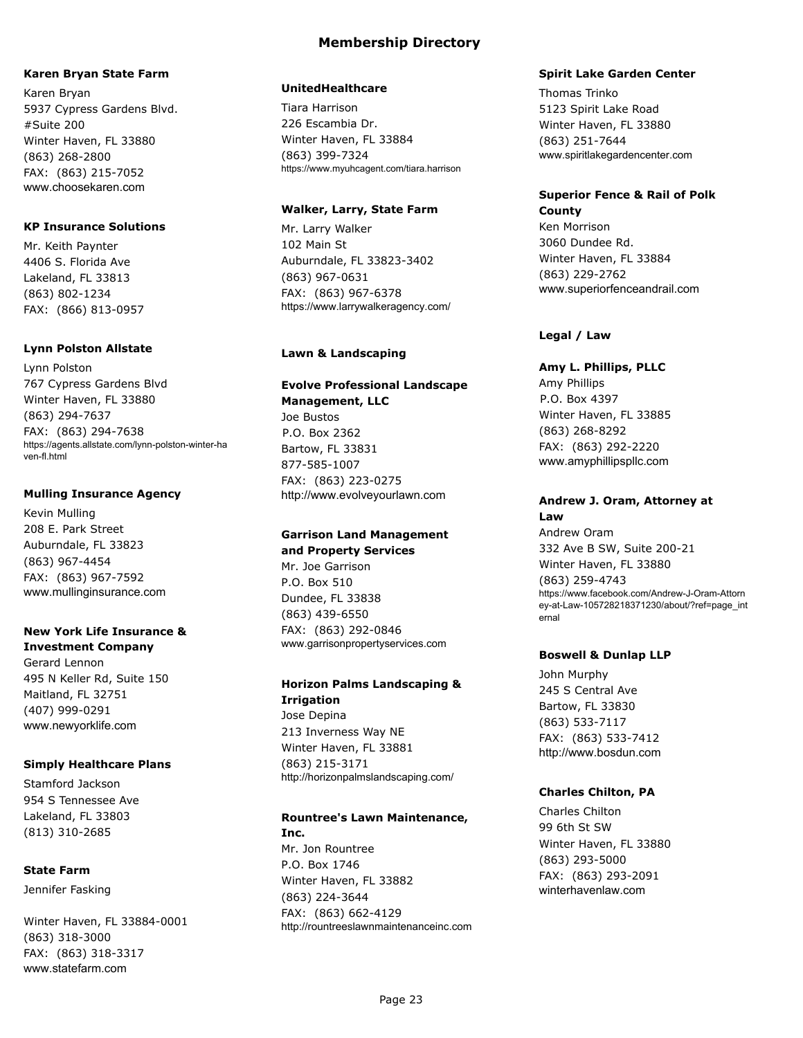### **Karen Bryan State Farm**

Karen Bryan 5937 Cypress Gardens Blvd. #Suite 200 Winter Haven, FL 33880 (863) 268-2800 FAX: (863) 215-7052 www.choosekaren.com

### **KP Insurance Solutions**

Mr. Keith Paynter 4406 S. Florida Ave Lakeland, FL 33813 (863) 802-1234 FAX: (866) 813-0957

#### **Lynn Polston Allstate**

Lynn Polston 767 Cypress Gardens Blvd Winter Haven, FL 33880 (863) 294-7637 FAX: (863) 294-7638 https://agents.allstate.com/lynn-polston-winter-ha ven-fl.html

#### **Mulling Insurance Agency**

Kevin Mulling 208 E. Park Street Auburndale, FL 33823 (863) 967-4454 FAX: (863) 967-7592 www.mullinginsurance.com

#### **New York Life Insurance & Investment Company**

Gerard Lennon 495 N Keller Rd, Suite 150 Maitland, FL 32751 (407) 999-0291 www.newyorklife.com

#### **Simply Healthcare Plans**

Stamford Jackson 954 S Tennessee Ave Lakeland, FL 33803 (813) 310-2685

### **State Farm**

Jennifer Fasking

Winter Haven, FL 33884-0001 (863) 318-3000 FAX: (863) 318-3317 www.statefarm.com

#### **UnitedHealthcare**

Tiara Harrison 226 Escambia Dr. Winter Haven, FL 33884 (863) 399-7324 https://www.myuhcagent.com/tiara.harrison

### **Walker, Larry, State Farm**

Mr. Larry Walker 102 Main St Auburndale, FL 33823-3402 (863) 967-0631 FAX: (863) 967-6378 https://www.larrywalkeragency.com/

#### **Lawn & Landscaping**

## **Evolve Professional Landscape Management, LLC**

Joe Bustos P.O. Box 2362 Bartow, FL 33831 877-585-1007 FAX: (863) 223-0275 http://www.evolveyourlawn.com

### **Garrison Land Management and Property Services**

Mr. Joe Garrison P.O. Box 510 Dundee, FL 33838 (863) 439-6550 FAX: (863) 292-0846 www.garrisonpropertyservices.com

### **Horizon Palms Landscaping & Irrigation** Jose Depina 213 Inverness Way NE Winter Haven, FL 33881 (863) 215-3171

http://horizonpalmslandscaping.com/

#### **Rountree's Lawn Maintenance, Inc.**

Mr. Jon Rountree P.O. Box 1746 Winter Haven, FL 33882 (863) 224-3644 FAX: (863) 662-4129 http://rountreeslawnmaintenanceinc.com

### **Spirit Lake Garden Center**

Thomas Trinko 5123 Spirit Lake Road Winter Haven, FL 33880 (863) 251-7644 www.spiritlakegardencenter.com

#### **Superior Fence & Rail of Polk County**

Ken Morrison 3060 Dundee Rd. Winter Haven, FL 33884 (863) 229-2762 www.superiorfenceandrail.com

#### **Legal / Law**

#### **Amy L. Phillips, PLLC**

Amy Phillips P.O. Box 4397 Winter Haven, FL 33885 (863) 268-8292 FAX: (863) 292-2220 www.amyphillipspllc.com

### **Andrew J. Oram, Attorney at**

**Law** Andrew Oram 332 Ave B SW, Suite 200-21 Winter Haven, FL 33880 (863) 259-4743 https://www.facebook.com/Andrew-J-Oram-Attorn ey-at-Law-105728218371230/about/?ref=page\_int ernal

#### **Boswell & Dunlap LLP**

John Murphy 245 S Central Ave Bartow, FL 33830 (863) 533-7117 FAX: (863) 533-7412 http://www.bosdun.com

### **Charles Chilton, PA**

Charles Chilton 99 6th St SW Winter Haven, FL 33880 (863) 293-5000 FAX: (863) 293-2091 winterhavenlaw.com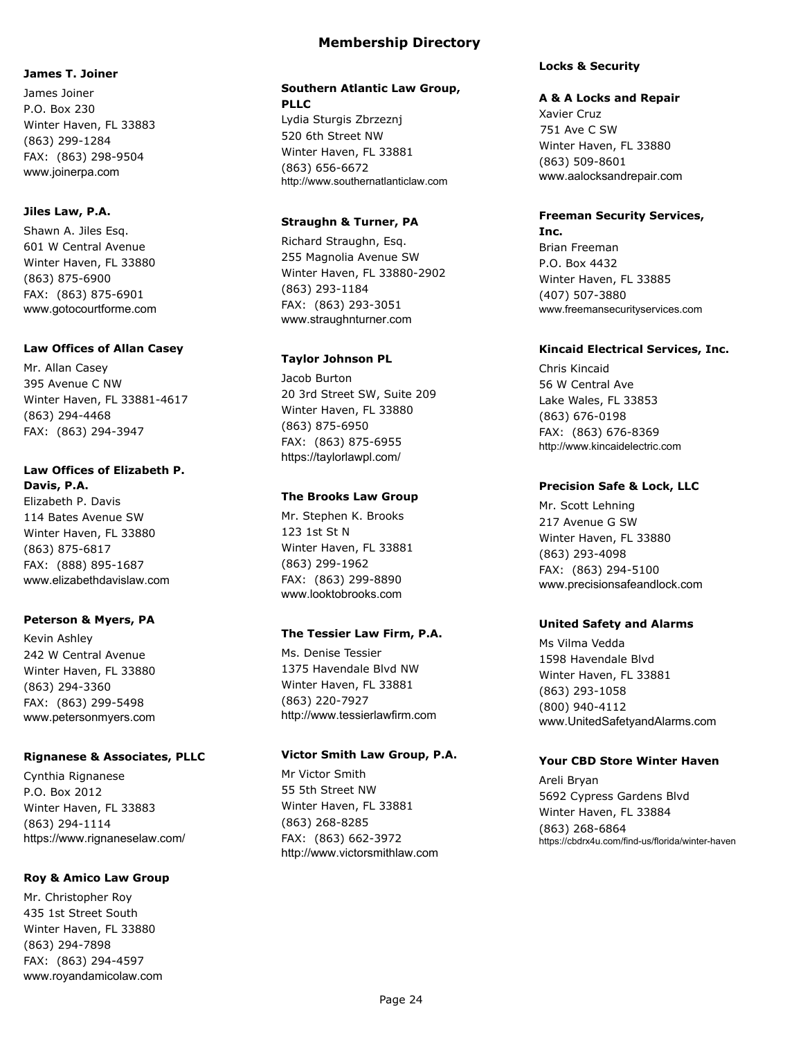### **James T. Joiner**

James Joiner P.O. Box 230 Winter Haven, FL 33883 (863) 299-1284 FAX: (863) 298-9504 www.joinerpa.com

#### **Jiles Law, P.A.**

Shawn A. Jiles Esq. 601 W Central Avenue Winter Haven, FL 33880 (863) 875-6900 FAX: (863) 875-6901 www.gotocourtforme.com

#### **Law Offices of Allan Casey**

Mr. Allan Casey 395 Avenue C NW Winter Haven, FL 33881-4617 (863) 294-4468 FAX: (863) 294-3947

#### **Law Offices of Elizabeth P. Davis, P.A.**

Elizabeth P. Davis 114 Bates Avenue SW Winter Haven, FL 33880 (863) 875-6817 FAX: (888) 895-1687 www.elizabethdavislaw.com

### **Peterson & Myers, PA**

Kevin Ashley 242 W Central Avenue Winter Haven, FL 33880 (863) 294-3360 FAX: (863) 299-5498 www.petersonmyers.com

#### **Rignanese & Associates, PLLC**

Cynthia Rignanese P.O. Box 2012 Winter Haven, FL 33883 (863) 294-1114 https://www.rignaneselaw.com/

### **Roy & Amico Law Group**

Mr. Christopher Roy 435 1st Street South Winter Haven, FL 33880 (863) 294-7898 FAX: (863) 294-4597 www.royandamicolaw.com

## **Southern Atlantic Law Group, PLLC**

Lydia Sturgis Zbrzeznj 520 6th Street NW Winter Haven, FL 33881 (863) 656-6672 http://www.southernatlanticlaw.com

#### **Straughn & Turner, PA**

Richard Straughn, Esq. 255 Magnolia Avenue SW Winter Haven, FL 33880-2902 (863) 293-1184 FAX: (863) 293-3051 www.straughnturner.com

### **Taylor Johnson PL**

Jacob Burton 20 3rd Street SW, Suite 209 Winter Haven, FL 33880 (863) 875-6950 FAX: (863) 875-6955 https://taylorlawpl.com/

#### **The Brooks Law Group**

Mr. Stephen K. Brooks 123 1st St N Winter Haven, FL 33881 (863) 299-1962 FAX: (863) 299-8890 www.looktobrooks.com

### **The Tessier Law Firm, P.A.**

Ms. Denise Tessier 1375 Havendale Blvd NW Winter Haven, FL 33881 (863) 220-7927 http://www.tessierlawfirm.com

#### **Victor Smith Law Group, P.A.**

Mr Victor Smith 55 5th Street NW Winter Haven, FL 33881 (863) 268-8285 FAX: (863) 662-3972 http://www.victorsmithlaw.com

#### **Locks & Security**

#### **A & A Locks and Repair**

Xavier Cruz 751 Ave C SW Winter Haven, FL 33880 (863) 509-8601 www.aalocksandrepair.com

#### **Freeman Security Services, Inc.**

Brian Freeman P.O. Box 4432 Winter Haven, FL 33885 (407) 507-3880 www.freemansecurityservices.com

#### **Kincaid Electrical Services, Inc.**

Chris Kincaid 56 W Central Ave Lake Wales, FL 33853 (863) 676-0198 FAX: (863) 676-8369 http://www.kincaidelectric.com

#### **Precision Safe & Lock, LLC**

Mr. Scott Lehning 217 Avenue G SW Winter Haven, FL 33880 (863) 293-4098 FAX: (863) 294-5100 www.precisionsafeandlock.com

### **United Safety and Alarms**

Ms Vilma Vedda 1598 Havendale Blvd Winter Haven, FL 33881 (863) 293-1058 (800) 940-4112 www.UnitedSafetyandAlarms.com

#### **Your CBD Store Winter Haven**

Areli Bryan 5692 Cypress Gardens Blvd Winter Haven, FL 33884 (863) 268-6864 https://cbdrx4u.com/find-us/florida/winter-haven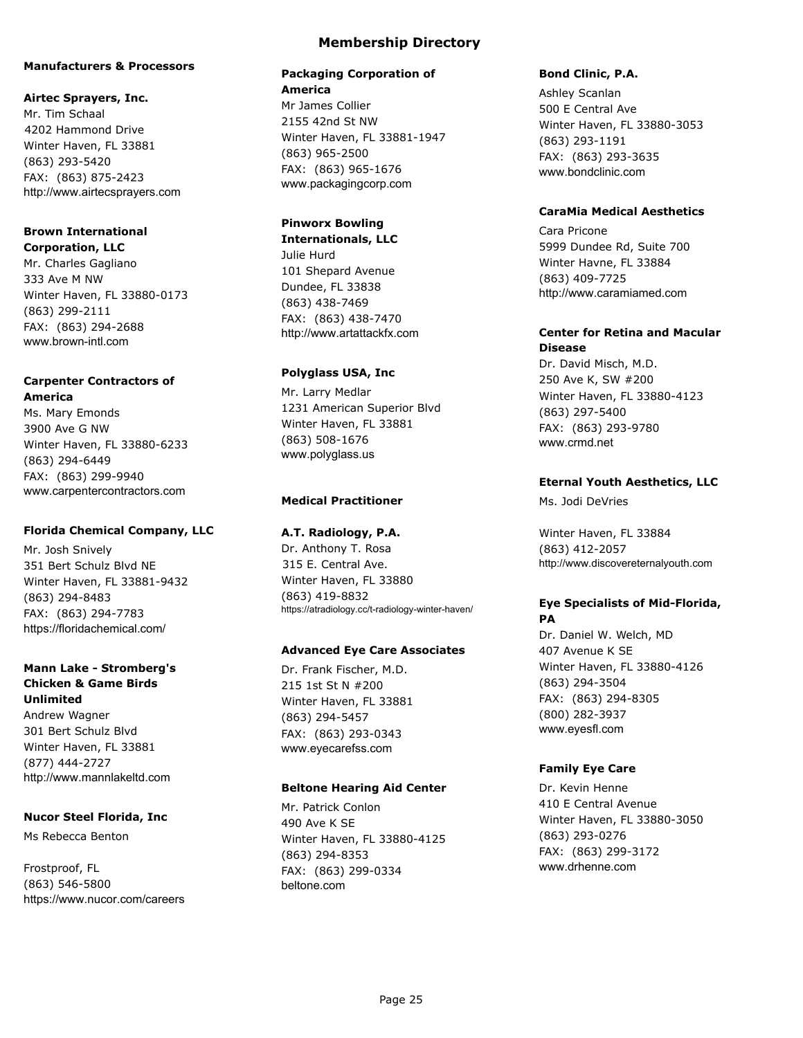#### **Manufacturers & Processors**

#### **Airtec Sprayers, Inc.**

Mr. Tim Schaal 4202 Hammond Drive Winter Haven, FL 33881 (863) 293-5420 FAX: (863) 875-2423 http://www.airtecsprayers.com

#### **Brown International Corporation, LLC**

Mr. Charles Gagliano 333 Ave M NW Winter Haven, FL 33880-0173 (863) 299-2111 FAX: (863) 294-2688 www.brown-intl.com

### **Carpenter Contractors of America**

Ms. Mary Emonds 3900 Ave G NW Winter Haven, FL 33880-6233 (863) 294-6449 FAX: (863) 299-9940 www.carpentercontractors.com

#### **Florida Chemical Company, LLC**

Mr. Josh Snively 351 Bert Schulz Blvd NE Winter Haven, FL 33881-9432 (863) 294-8483 FAX: (863) 294-7783 https://floridachemical.com/

### **Mann Lake - Stromberg's Chicken & Game Birds Unlimited**

Andrew Wagner 301 Bert Schulz Blvd Winter Haven, FL 33881 (877) 444-2727 http://www.mannlakeltd.com

#### **Nucor Steel Florida, Inc**

Ms Rebecca Benton

Frostproof, FL (863) 546-5800 https://www.nucor.com/careers

### **Membership Directory**

#### **Packaging Corporation of America**

Mr James Collier 2155 42nd St NW Winter Haven, FL 33881-1947 (863) 965-2500 FAX: (863) 965-1676 www.packagingcorp.com

### **Pinworx Bowling**

**Internationals, LLC** Julie Hurd 101 Shepard Avenue Dundee, FL 33838 (863) 438-7469 FAX: (863) 438-7470 http://www.artattackfx.com

#### **Polyglass USA, Inc**

Mr. Larry Medlar 1231 American Superior Blvd Winter Haven, FL 33881 (863) 508-1676 www.polyglass.us

#### **Medical Practitioner**

#### **A.T. Radiology, P.A.**

Dr. Anthony T. Rosa 315 E. Central Ave. Winter Haven, FL 33880 (863) 419-8832 https://atradiology.cc/t-radiology-winter-haven/

#### **Advanced Eye Care Associates**

Dr. Frank Fischer, M.D. 215 1st St N #200 Winter Haven, FL 33881 (863) 294-5457 FAX: (863) 293-0343 www.eyecarefss.com

#### **Beltone Hearing Aid Center**

Mr. Patrick Conlon 490 Ave K SE Winter Haven, FL 33880-4125 (863) 294-8353 FAX: (863) 299-0334 beltone.com

#### **Bond Clinic, P.A.**

Ashley Scanlan 500 E Central Ave Winter Haven, FL 33880-3053 (863) 293-1191 FAX: (863) 293-3635 www.bondclinic.com

#### **CaraMia Medical Aesthetics**

Cara Pricone 5999 Dundee Rd, Suite 700 Winter Havne, FL 33884 (863) 409-7725 http://www.caramiamed.com

#### **Center for Retina and Macular Disease**

Dr. David Misch, M.D. 250 Ave K, SW #200 Winter Haven, FL 33880-4123 (863) 297-5400 FAX: (863) 293-9780 www.crmd.net

#### **Eternal Youth Aesthetics, LLC**

Ms. Jodi DeVries

Winter Haven, FL 33884 (863) 412-2057 http://www.discovereternalyouth.com

### **Eye Specialists of Mid-Florida, PA**

Dr. Daniel W. Welch, MD 407 Avenue K SE Winter Haven, FL 33880-4126 (863) 294-3504 FAX: (863) 294-8305 (800) 282-3937 www.eyesfl.com

#### **Family Eye Care**

Dr. Kevin Henne 410 E Central Avenue Winter Haven, FL 33880-3050 (863) 293-0276 FAX: (863) 299-3172 www.drhenne.com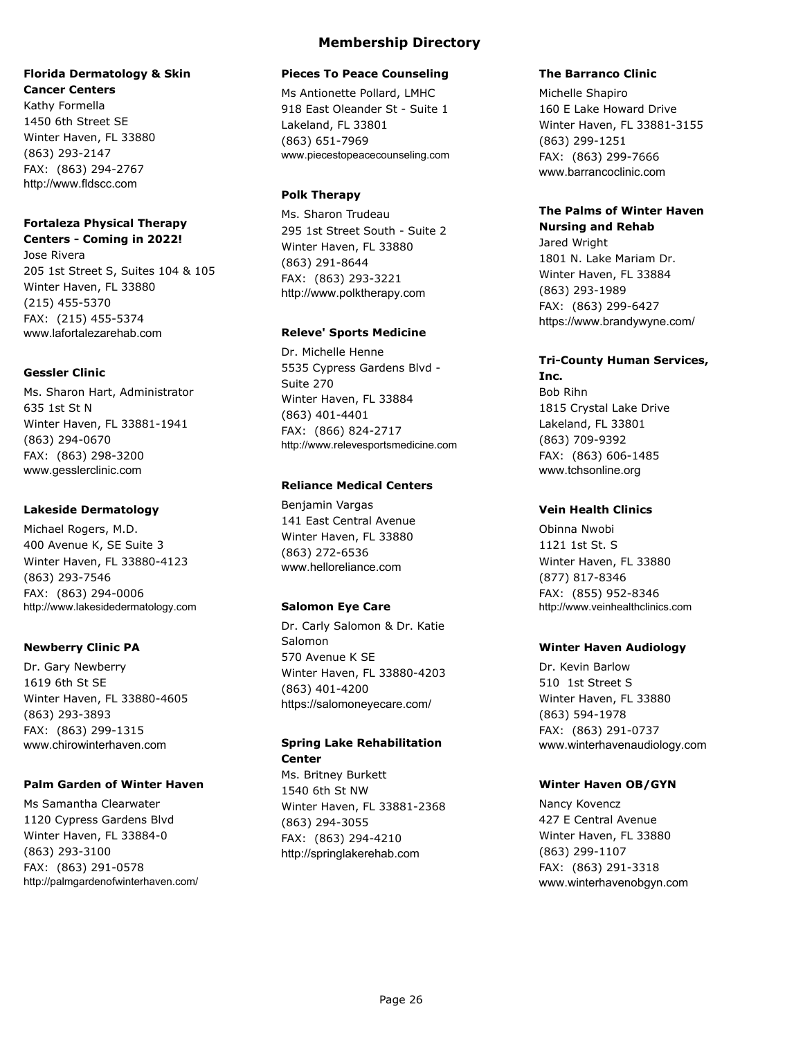### **Florida Dermatology & Skin Cancer Centers**

Kathy Formella 1450 6th Street SE Winter Haven, FL 33880 (863) 293-2147 FAX: (863) 294-2767 http://www.fldscc.com

### **Fortaleza Physical Therapy Centers - Coming in 2022!**

Jose Rivera 205 1st Street S, Suites 104 & 105 Winter Haven, FL 33880 (215) 455-5370 FAX: (215) 455-5374 www.lafortalezarehab.com

### **Gessler Clinic**

Ms. Sharon Hart, Administrator 635 1st St N Winter Haven, FL 33881-1941 (863) 294-0670 FAX: (863) 298-3200 www.gesslerclinic.com

### **Lakeside Dermatology**

Michael Rogers, M.D. 400 Avenue K, SE Suite 3 Winter Haven, FL 33880-4123 (863) 293-7546 FAX: (863) 294-0006 http://www.lakesidedermatology.com

### **Newberry Clinic PA**

Dr. Gary Newberry 1619 6th St SE Winter Haven, FL 33880-4605 (863) 293-3893 FAX: (863) 299-1315 www.chirowinterhaven.com

### **Palm Garden of Winter Haven**

Ms Samantha Clearwater 1120 Cypress Gardens Blvd Winter Haven, FL 33884-0 (863) 293-3100 FAX: (863) 291-0578 http://palmgardenofwinterhaven.com/

### **Membership Directory**

### **Pieces To Peace Counseling**

Ms Antionette Pollard, LMHC 918 East Oleander St - Suite 1 Lakeland, FL 33801 (863) 651-7969 www.piecestopeacecounseling.com

### **Polk Therapy**

Ms. Sharon Trudeau 295 1st Street South - Suite 2 Winter Haven, FL 33880 (863) 291-8644 FAX: (863) 293-3221 http://www.polktherapy.com

### **Releve' Sports Medicine**

Dr. Michelle Henne 5535 Cypress Gardens Blvd - Suite 270 Winter Haven, FL 33884 (863) 401-4401 FAX: (866) 824-2717 http://www.relevesportsmedicine.com

### **Reliance Medical Centers**

Benjamin Vargas 141 East Central Avenue Winter Haven, FL 33880 (863) 272-6536 www.helloreliance.com

### **Salomon Eye Care**

Dr. Carly Salomon & Dr. Katie Salomon 570 Avenue K SE Winter Haven, FL 33880-4203 (863) 401-4200 https://salomoneyecare.com/

## **Spring Lake Rehabilitation Center**

Ms. Britney Burkett 1540 6th St NW Winter Haven, FL 33881-2368 (863) 294-3055 FAX: (863) 294-4210 http://springlakerehab.com

### **The Barranco Clinic**

Michelle Shapiro 160 E Lake Howard Drive Winter Haven, FL 33881-3155 (863) 299-1251 FAX: (863) 299-7666 www.barrancoclinic.com

### **The Palms of Winter Haven Nursing and Rehab**

Jared Wright 1801 N. Lake Mariam Dr. Winter Haven, FL 33884 (863) 293-1989 FAX: (863) 299-6427 https://www.brandywyne.com/

#### **Tri-County Human Services, Inc.**

Bob Rihn 1815 Crystal Lake Drive Lakeland, FL 33801 (863) 709-9392 FAX: (863) 606-1485 www.tchsonline.org

### **Vein Health Clinics**

Obinna Nwobi 1121 1st St. S Winter Haven, FL 33880 (877) 817-8346 FAX: (855) 952-8346 http://www.veinhealthclinics.com

### **Winter Haven Audiology**

Dr. Kevin Barlow 510 1st Street S Winter Haven, FL 33880 (863) 594-1978 FAX: (863) 291-0737 www.winterhavenaudiology.com

### **Winter Haven OB/GYN**

Nancy Kovencz 427 E Central Avenue Winter Haven, FL 33880 (863) 299-1107 FAX: (863) 291-3318 www.winterhavenobgyn.com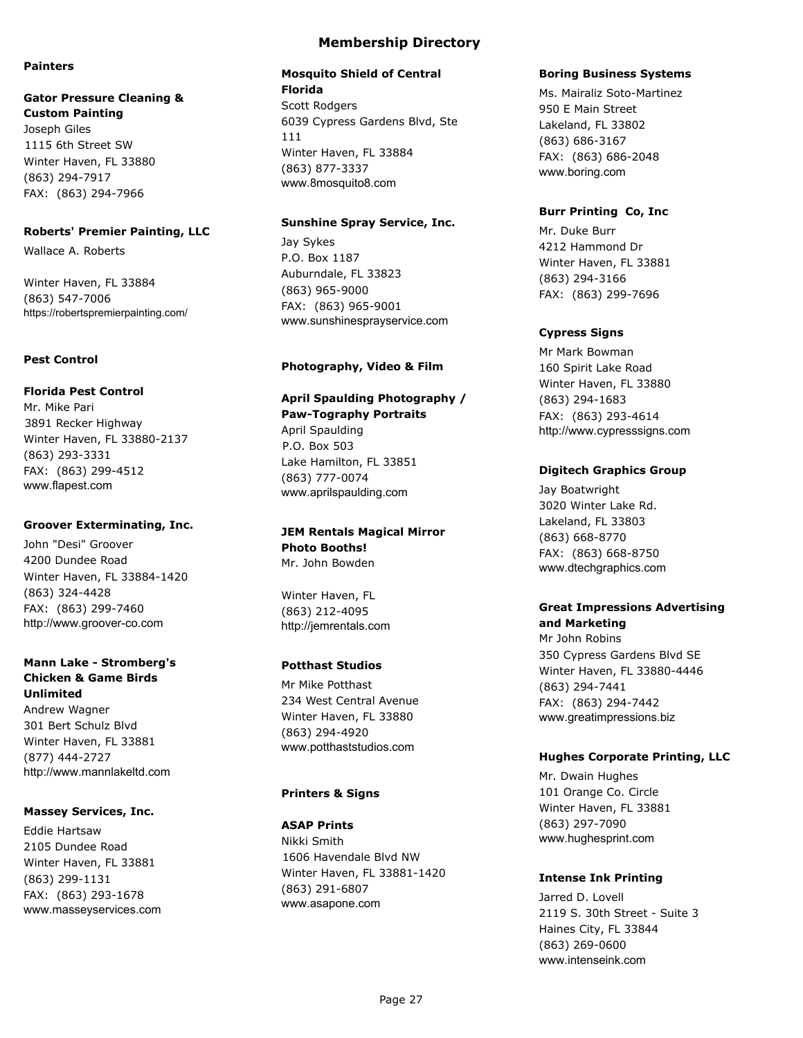#### **Painters**

#### **Gator Pressure Cleaning & Custom Painting**

Joseph Giles 1115 6th Street SW Winter Haven, FL 33880 (863) 294-7917 FAX: (863) 294-7966

#### **Roberts' Premier Painting, LLC**

Wallace A. Roberts

Winter Haven, FL 33884 (863) 547-7006 https://robertspremierpainting.com/

#### **Pest Control**

#### **Florida Pest Control**

Mr. Mike Pari 3891 Recker Highway Winter Haven, FL 33880-2137 (863) 293-3331 FAX: (863) 299-4512 www.flapest.com

#### **Groover Exterminating, Inc.**

John "Desi" Groover 4200 Dundee Road Winter Haven, FL 33884-1420 (863) 324-4428 FAX: (863) 299-7460 http://www.groover-co.com

### **Mann Lake - Stromberg's Chicken & Game Birds Unlimited**

Andrew Wagner 301 Bert Schulz Blvd Winter Haven, FL 33881 (877) 444-2727 http://www.mannlakeltd.com

### **Massey Services, Inc.**

Eddie Hartsaw 2105 Dundee Road Winter Haven, FL 33881 (863) 299-1131 FAX: (863) 293-1678 www.masseyservices.com

### **Membership Directory**

# **Mosquito Shield of Central**

**Florida** Scott Rodgers 6039 Cypress Gardens Blvd, Ste 111 Winter Haven, FL 33884 (863) 877-3337 www.8mosquito8.com

#### **Sunshine Spray Service, Inc.**

Jay Sykes P.O. Box 1187 Auburndale, FL 33823 (863) 965-9000 FAX: (863) 965-9001 www.sunshinesprayservice.com

### **Photography, Video & Film**

## **April Spaulding Photography / Paw-Tography Portraits**

April Spaulding P.O. Box 503 Lake Hamilton, FL 33851 (863) 777-0074 www.aprilspaulding.com

#### **JEM Rentals Magical Mirror Photo Booths!** Mr. John Bowden

Winter Haven, FL (863) 212-4095 http://jemrentals.com

### **Potthast Studios**

Mr Mike Potthast 234 West Central Avenue Winter Haven, FL 33880 (863) 294-4920 www.potthaststudios.com

### **Printers & Signs**

### **ASAP Prints**

Nikki Smith 1606 Havendale Blvd NW Winter Haven, FL 33881-1420 (863) 291-6807 www.asapone.com

#### **Boring Business Systems**

Ms. Mairaliz Soto-Martinez 950 E Main Street Lakeland, FL 33802 (863) 686-3167 FAX: (863) 686-2048 www.boring.com

### **Burr Printing Co, Inc**

Mr. Duke Burr 4212 Hammond Dr Winter Haven, FL 33881 (863) 294-3166 FAX: (863) 299-7696

### **Cypress Signs**

Mr Mark Bowman 160 Spirit Lake Road Winter Haven, FL 33880 (863) 294-1683 FAX: (863) 293-4614 http://www.cypresssigns.com

### **Digitech Graphics Group**

Jay Boatwright 3020 Winter Lake Rd. Lakeland, FL 33803 (863) 668-8770 FAX: (863) 668-8750 www.dtechgraphics.com

### **Great Impressions Advertising and Marketing**

Mr John Robins 350 Cypress Gardens Blvd SE Winter Haven, FL 33880-4446 (863) 294-7441 FAX: (863) 294-7442 www.greatimpressions.biz

### **Hughes Corporate Printing, LLC**

Mr. Dwain Hughes 101 Orange Co. Circle Winter Haven, FL 33881 (863) 297-7090 www.hughesprint.com

### **Intense Ink Printing**

Jarred D. Lovell 2119 S. 30th Street - Suite 3 Haines City, FL 33844 (863) 269-0600 www.intenseink.com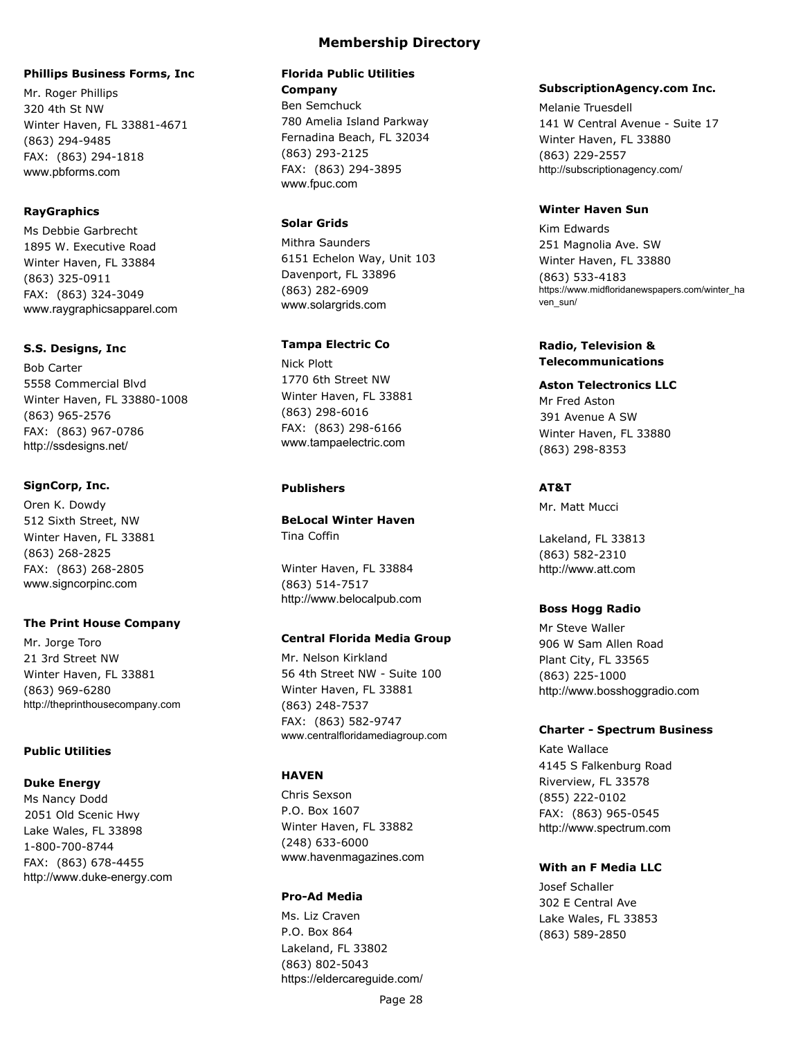#### **Phillips Business Forms, Inc**

Mr. Roger Phillips 320 4th St NW Winter Haven, FL 33881-4671 (863) 294-9485 FAX: (863) 294-1818 www.pbforms.com

### **RayGraphics**

Ms Debbie Garbrecht 1895 W. Executive Road Winter Haven, FL 33884 (863) 325-0911 FAX: (863) 324-3049 www.raygraphicsapparel.com

#### **S.S. Designs, Inc**

Bob Carter 5558 Commercial Blvd Winter Haven, FL 33880-1008 (863) 965-2576 FAX: (863) 967-0786 http://ssdesigns.net/

#### **SignCorp, Inc.**

Oren K. Dowdy 512 Sixth Street, NW Winter Haven, FL 33881 (863) 268-2825 FAX: (863) 268-2805 www.signcorpinc.com

#### **The Print House Company**

Mr. Jorge Toro 21 3rd Street NW Winter Haven, FL 33881 (863) 969-6280 http://theprinthousecompany.com

#### **Public Utilities**

#### **Duke Energy**

Ms Nancy Dodd 2051 Old Scenic Hwy Lake Wales, FL 33898 1-800-700-8744 FAX: (863) 678-4455 http://www.duke-energy.com

## **Florida Public Utilities**

**Company** Ben Semchuck 780 Amelia Island Parkway Fernadina Beach, FL 32034 (863) 293-2125 FAX: (863) 294-3895 www.fpuc.com

### **Solar Grids**

Mithra Saunders 6151 Echelon Way, Unit 103 Davenport, FL 33896 (863) 282-6909 www.solargrids.com

### **Tampa Electric Co**

Nick Plott 1770 6th Street NW Winter Haven, FL 33881 (863) 298-6016 FAX: (863) 298-6166 www.tampaelectric.com

#### **Publishers**

**BeLocal Winter Haven** Tina Coffin

Winter Haven, FL 33884 (863) 514-7517 http://www.belocalpub.com

#### **Central Florida Media Group**

Mr. Nelson Kirkland 56 4th Street NW - Suite 100 Winter Haven, FL 33881 (863) 248-7537 FAX: (863) 582-9747 www.centralfloridamediagroup.com

#### **HAVEN**

Chris Sexson P.O. Box 1607 Winter Haven, FL 33882 (248) 633-6000 www.havenmagazines.com

#### **Pro-Ad Media**

Ms. Liz Craven P.O. Box 864 Lakeland, FL 33802 (863) 802-5043 https://eldercareguide.com/

#### **SubscriptionAgency.com Inc.**

Melanie Truesdell 141 W Central Avenue - Suite 17 Winter Haven, FL 33880 (863) 229-2557 http://subscriptionagency.com/

### **Winter Haven Sun**

Kim Edwards 251 Magnolia Ave. SW Winter Haven, FL 33880 (863) 533-4183 https://www.midfloridanewspapers.com/winter\_ha ven\_sun/

### **Radio, Television & Telecommunications**

**Aston Telectronics LLC** Mr Fred Aston 391 Avenue A SW Winter Haven, FL 33880 (863) 298-8353

#### **AT&T**

Mr. Matt Mucci

Lakeland, FL 33813 (863) 582-2310 http://www.att.com

#### **Boss Hogg Radio**

Mr Steve Waller 906 W Sam Allen Road Plant City, FL 33565 (863) 225-1000 http://www.bosshoggradio.com

#### **Charter - Spectrum Business**

Kate Wallace 4145 S Falkenburg Road Riverview, FL 33578 (855) 222-0102 FAX: (863) 965-0545 http://www.spectrum.com

#### **With an F Media LLC**

Josef Schaller 302 E Central Ave Lake Wales, FL 33853 (863) 589-2850

Page 28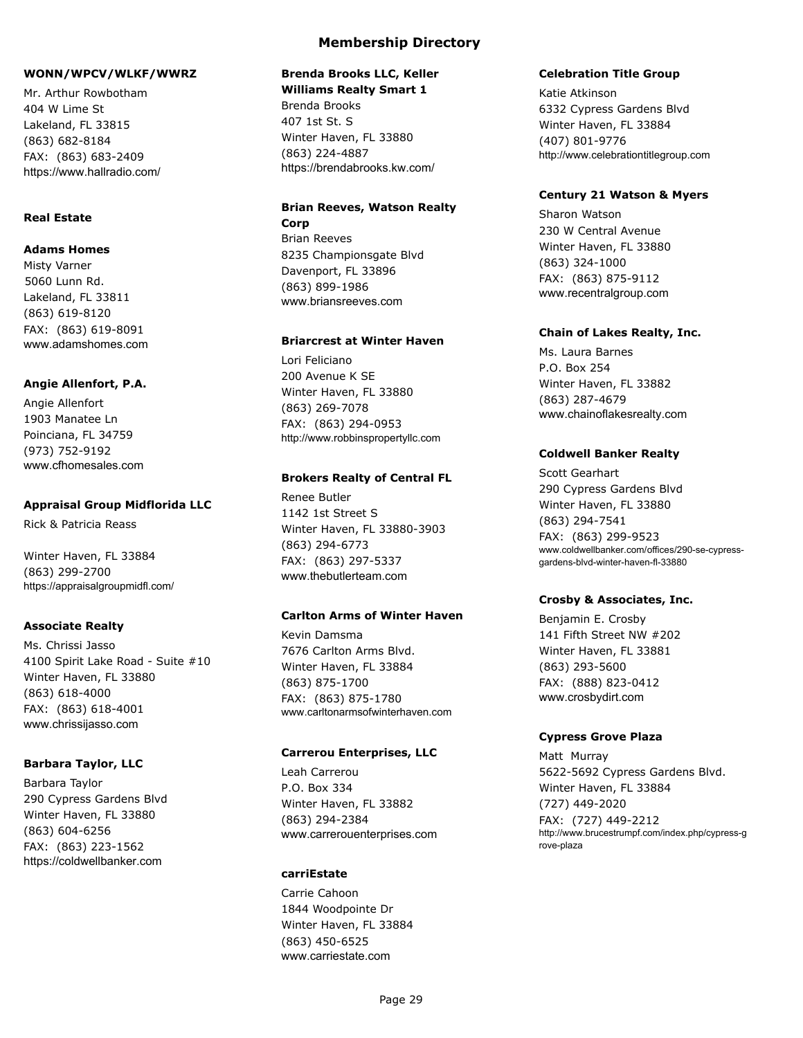### **WONN/WPCV/WLKF/WWRZ**

Mr. Arthur Rowbotham 404 W Lime St Lakeland, FL 33815 (863) 682-8184 FAX: (863) 683-2409 https://www.hallradio.com/

### **Real Estate**

#### **Adams Homes**

Misty Varner 5060 Lunn Rd. Lakeland, FL 33811 (863) 619-8120 FAX: (863) 619-8091 www.adamshomes.com

#### **Angie Allenfort, P.A.**

Angie Allenfort 1903 Manatee Ln Poinciana, FL 34759 (973) 752-9192 www.cfhomesales.com

#### **Appraisal Group Midflorida LLC**

Rick & Patricia Reass

Winter Haven, FL 33884 (863) 299-2700 https://appraisalgroupmidfl.com/

### **Associate Realty**

Ms. Chrissi Jasso 4100 Spirit Lake Road - Suite #10 Winter Haven, FL 33880 (863) 618-4000 FAX: (863) 618-4001 www.chrissijasso.com

### **Barbara Taylor, LLC**

Barbara Taylor 290 Cypress Gardens Blvd Winter Haven, FL 33880 (863) 604-6256 FAX: (863) 223-1562 https://coldwellbanker.com

### **Membership Directory**

## **Brenda Brooks LLC, Keller**

**Williams Realty Smart 1** Brenda Brooks 407 1st St. S Winter Haven, FL 33880 (863) 224-4887 https://brendabrooks.kw.com/

## **Brian Reeves, Watson Realty Corp**

Brian Reeves 8235 Championsgate Blvd Davenport, FL 33896 (863) 899-1986 www.briansreeves.com

#### **Briarcrest at Winter Haven**

Lori Feliciano 200 Avenue K SE Winter Haven, FL 33880 (863) 269-7078 FAX: (863) 294-0953 http://www.robbinspropertyllc.com

#### **Brokers Realty of Central FL**

Renee Butler 1142 1st Street S Winter Haven, FL 33880-3903 (863) 294-6773 FAX: (863) 297-5337 www.thebutlerteam.com

### **Carlton Arms of Winter Haven**

Kevin Damsma 7676 Carlton Arms Blvd. Winter Haven, FL 33884 (863) 875-1700 FAX: (863) 875-1780 www.carltonarmsofwinterhaven.com

### **Carrerou Enterprises, LLC**

Leah Carrerou P.O. Box 334 Winter Haven, FL 33882 (863) 294-2384 www.carrerouenterprises.com

#### **carriEstate**

Carrie Cahoon 1844 Woodpointe Dr Winter Haven, FL 33884 (863) 450-6525 www.carriestate.com

#### **Celebration Title Group**

Katie Atkinson 6332 Cypress Gardens Blvd Winter Haven, FL 33884 (407) 801-9776 http://www.celebrationtitlegroup.com

#### **Century 21 Watson & Myers**

Sharon Watson 230 W Central Avenue Winter Haven, FL 33880 (863) 324-1000 FAX: (863) 875-9112 www.recentralgroup.com

### **Chain of Lakes Realty, Inc.**

Ms. Laura Barnes P.O. Box 254 Winter Haven, FL 33882 (863) 287-4679 www.chainoflakesrealty.com

#### **Coldwell Banker Realty**

Scott Gearhart 290 Cypress Gardens Blvd Winter Haven, FL 33880 (863) 294-7541 FAX: (863) 299-9523 www.coldwellbanker.com/offices/290-se-cypressgardens-blvd-winter-haven-fl-33880

#### **Crosby & Associates, Inc.**

Benjamin E. Crosby 141 Fifth Street NW #202 Winter Haven, FL 33881 (863) 293-5600 FAX: (888) 823-0412 www.crosbydirt.com

#### **Cypress Grove Plaza**

Matt Murray 5622-5692 Cypress Gardens Blvd. Winter Haven, FL 33884 (727) 449-2020 FAX: (727) 449-2212 http://www.brucestrumpf.com/index.php/cypress-g rove-plaza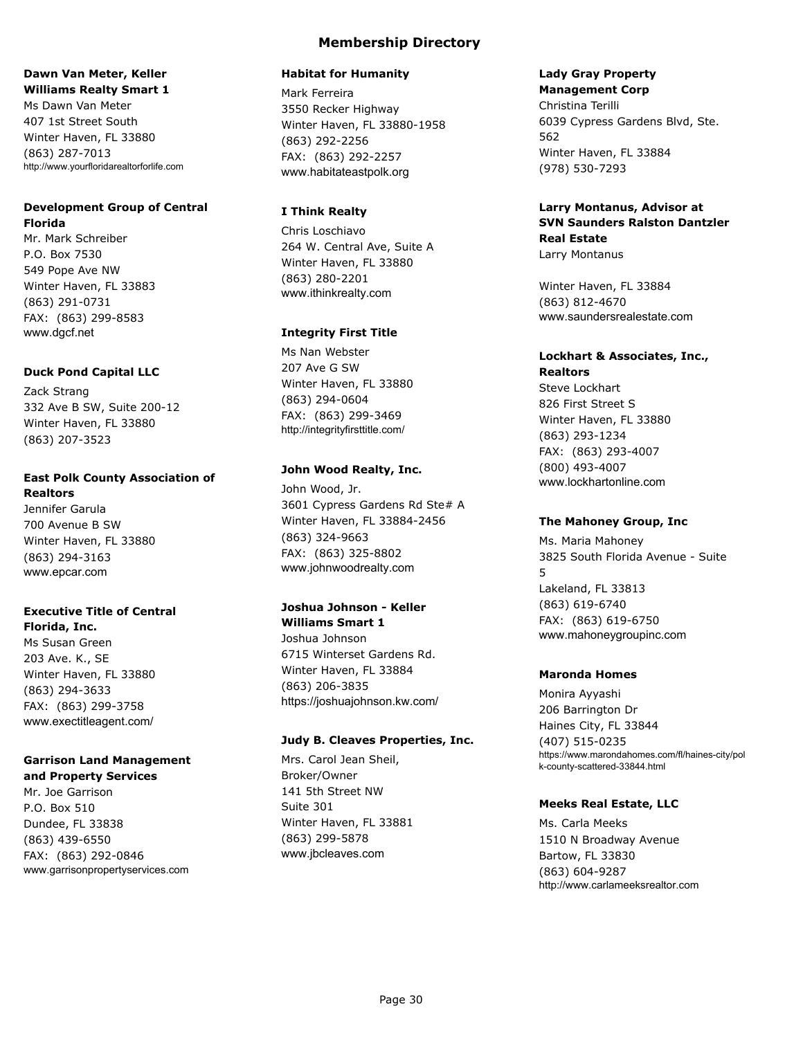#### **Dawn Van Meter, Keller Williams Realty Smart 1**

Ms Dawn Van Meter 407 1st Street South Winter Haven, FL 33880 (863) 287-7013 http://www.yourfloridarealtorforlife.com

## **Development Group of Central Florida**

Mr. Mark Schreiber P.O. Box 7530 549 Pope Ave NW Winter Haven, FL 33883 (863) 291-0731 FAX: (863) 299-8583 www.dgcf.net

### **Duck Pond Capital LLC**

Zack Strang 332 Ave B SW, Suite 200-12 Winter Haven, FL 33880 (863) 207-3523

#### **East Polk County Association of Realtors**

Jennifer Garula 700 Avenue B SW Winter Haven, FL 33880 (863) 294-3163 www.epcar.com

#### **Executive Title of Central Florida, Inc.**

Ms Susan Green 203 Ave. K., SE Winter Haven, FL 33880 (863) 294-3633 FAX: (863) 299-3758 www.exectitleagent.com/

## **Garrison Land Management**

### **and Property Services**

Mr. Joe Garrison P.O. Box 510 Dundee, FL 33838 (863) 439-6550 FAX: (863) 292-0846 www.garrisonpropertyservices.com

#### **Habitat for Humanity**

Mark Ferreira 3550 Recker Highway Winter Haven, FL 33880-1958 (863) 292-2256 FAX: (863) 292-2257 www.habitateastpolk.org

### **I Think Realty**

Chris Loschiavo 264 W. Central Ave, Suite A Winter Haven, FL 33880 (863) 280-2201 www.ithinkrealty.com

### **Integrity First Title**

Ms Nan Webster 207 Ave G SW Winter Haven, FL 33880 (863) 294-0604 FAX: (863) 299-3469 http://integrityfirsttitle.com/

### **John Wood Realty, Inc.**

John Wood, Jr. 3601 Cypress Gardens Rd Ste# A Winter Haven, FL 33884-2456 (863) 324-9663 FAX: (863) 325-8802 www.johnwoodrealty.com

### **Joshua Johnson - Keller**

**Williams Smart 1** Joshua Johnson 6715 Winterset Gardens Rd. Winter Haven, FL 33884 (863) 206-3835 https://joshuajohnson.kw.com/

### **Judy B. Cleaves Properties, Inc.**

Mrs. Carol Jean Sheil, Broker/Owner 141 5th Street NW Suite 301 Winter Haven, FL 33881 (863) 299-5878 www.jbcleaves.com

## **Lady Gray Property**

**Management Corp** Christina Terilli 6039 Cypress Gardens Blvd, Ste. 562 Winter Haven, FL 33884 (978) 530-7293

## **Larry Montanus, Advisor at SVN Saunders Ralston Dantzler Real Estate**

Larry Montanus

Winter Haven, FL 33884 (863) 812-4670 www.saundersrealestate.com

### **Lockhart & Associates, Inc., Realtors**

Steve Lockhart 826 First Street S Winter Haven, FL 33880 (863) 293-1234 FAX: (863) 293-4007 (800) 493-4007 www.lockhartonline.com

### **The Mahoney Group, Inc**

Ms. Maria Mahoney 3825 South Florida Avenue - Suite 5 Lakeland, FL 33813 (863) 619-6740 FAX: (863) 619-6750 www.mahoneygroupinc.com

### **Maronda Homes**

Monira Ayyashi 206 Barrington Dr Haines City, FL 33844 (407) 515-0235 https://www.marondahomes.com/fl/haines-city/pol k-county-scattered-33844.html

#### **Meeks Real Estate, LLC**

Ms. Carla Meeks 1510 N Broadway Avenue Bartow, FL 33830 (863) 604-9287 http://www.carlameeksrealtor.com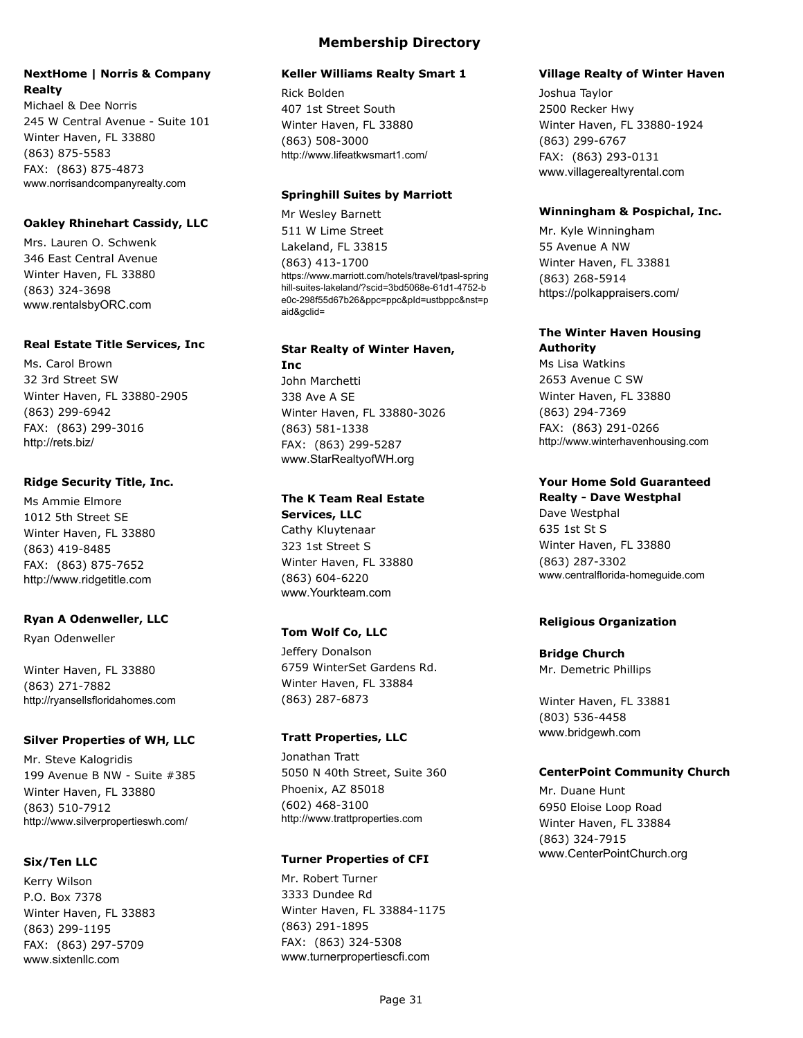### **NextHome | Norris & Company Realty**

Michael & Dee Norris 245 W Central Avenue - Suite 101 Winter Haven, FL 33880 (863) 875-5583 FAX: (863) 875-4873 www.norrisandcompanyrealty.com

### **Oakley Rhinehart Cassidy, LLC**

Mrs. Lauren O. Schwenk 346 East Central Avenue Winter Haven, FL 33880 (863) 324-3698 www.rentalsbyORC.com

#### **Real Estate Title Services, Inc**

Ms. Carol Brown 32 3rd Street SW Winter Haven, FL 33880-2905 (863) 299-6942 FAX: (863) 299-3016 http://rets.biz/

#### **Ridge Security Title, Inc.**

Ms Ammie Elmore 1012 5th Street SE Winter Haven, FL 33880 (863) 419-8485 FAX: (863) 875-7652 http://www.ridgetitle.com

### **Ryan A Odenweller, LLC**

Ryan Odenweller

Winter Haven, FL 33880 (863) 271-7882 http://ryansellsfloridahomes.com

#### **Silver Properties of WH, LLC**

Mr. Steve Kalogridis 199 Avenue B NW - Suite #385 Winter Haven, FL 33880 (863) 510-7912 http://www.silverpropertieswh.com/

#### **Six/Ten LLC**

Kerry Wilson P.O. Box 7378 Winter Haven, FL 33883 (863) 299-1195 FAX: (863) 297-5709 www.sixtenllc.com

#### **Keller Williams Realty Smart 1**

Rick Bolden 407 1st Street South Winter Haven, FL 33880 (863) 508-3000 http://www.lifeatkwsmart1.com/

#### **Springhill Suites by Marriott**

Mr Wesley Barnett 511 W Lime Street Lakeland, FL 33815 (863) 413-1700 https://www.marriott.com/hotels/travel/tpasl-spring hill-suites-lakeland/?scid=3bd5068e-61d1-4752-b e0c-298f55d67b26&ppc=ppc&pId=ustbppc&nst=p aid&gclid=

#### **Star Realty of Winter Haven, Inc**

John Marchetti 338 Ave A SE Winter Haven, FL 33880-3026 (863) 581-1338 FAX: (863) 299-5287 www.StarRealtyofWH.org

#### **The K Team Real Estate Services, LLC**

Cathy Kluytenaar 323 1st Street S Winter Haven, FL 33880 (863) 604-6220 www.Yourkteam.com

### **Tom Wolf Co, LLC**

Jeffery Donalson 6759 WinterSet Gardens Rd. Winter Haven, FL 33884 (863) 287-6873

#### **Tratt Properties, LLC**

Jonathan Tratt 5050 N 40th Street, Suite 360 Phoenix, AZ 85018 (602) 468-3100 http://www.trattproperties.com

#### **Turner Properties of CFI**

Mr. Robert Turner 3333 Dundee Rd Winter Haven, FL 33884-1175 (863) 291-1895 FAX: (863) 324-5308 www.turnerpropertiescfi.com

#### **Village Realty of Winter Haven**

Joshua Taylor 2500 Recker Hwy Winter Haven, FL 33880-1924 (863) 299-6767 FAX: (863) 293-0131 www.villagerealtyrental.com

#### **Winningham & Pospichal, Inc.**

Mr. Kyle Winningham 55 Avenue A NW Winter Haven, FL 33881 (863) 268-5914 https://polkappraisers.com/

#### **The Winter Haven Housing Authority**

Ms Lisa Watkins 2653 Avenue C SW Winter Haven, FL 33880 (863) 294-7369 FAX: (863) 291-0266 http://www.winterhavenhousing.com

## **Your Home Sold Guaranteed**

**Realty - Dave Westphal** Dave Westphal 635 1st St S Winter Haven, FL 33880 (863) 287-3302 www.centralflorida-homeguide.com

### **Religious Organization**

### **Bridge Church**

Mr. Demetric Phillips

Winter Haven, FL 33881 (803) 536-4458 www.bridgewh.com

### **CenterPoint Community Church**

Mr. Duane Hunt 6950 Eloise Loop Road Winter Haven, FL 33884 (863) 324-7915 www.CenterPointChurch.org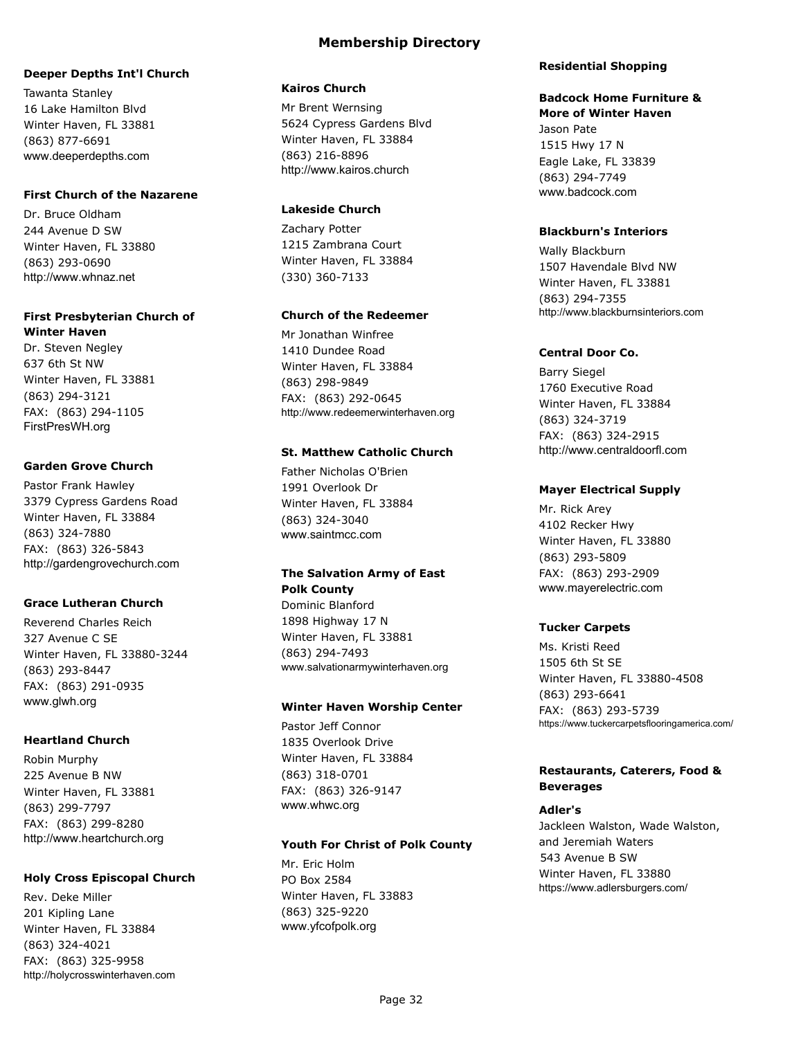#### **Deeper Depths Int'l Church**

Tawanta Stanley 16 Lake Hamilton Blvd Winter Haven, FL 33881 (863) 877-6691 www.deeperdepths.com

#### **First Church of the Nazarene**

Dr. Bruce Oldham 244 Avenue D SW Winter Haven, FL 33880 (863) 293-0690 http://www.whnaz.net

#### **First Presbyterian Church of Winter Haven**

Dr. Steven Negley 637 6th St NW Winter Haven, FL 33881 (863) 294-3121 FAX: (863) 294-1105 FirstPresWH.org

### **Garden Grove Church**

Pastor Frank Hawley 3379 Cypress Gardens Road Winter Haven, FL 33884 (863) 324-7880 FAX: (863) 326-5843 http://gardengrovechurch.com

### **Grace Lutheran Church**

Reverend Charles Reich 327 Avenue C SE Winter Haven, FL 33880-3244 (863) 293-8447 FAX: (863) 291-0935 www.glwh.org

### **Heartland Church**

Robin Murphy 225 Avenue B NW Winter Haven, FL 33881 (863) 299-7797 FAX: (863) 299-8280 http://www.heartchurch.org

### **Holy Cross Episcopal Church**

Rev. Deke Miller 201 Kipling Lane Winter Haven, FL 33884 (863) 324-4021 FAX: (863) 325-9958 http://holycrosswinterhaven.com

#### **Kairos Church**

Mr Brent Wernsing 5624 Cypress Gardens Blvd Winter Haven, FL 33884 (863) 216-8896 http://www.kairos.church

### **Lakeside Church**

Zachary Potter 1215 Zambrana Court Winter Haven, FL 33884 (330) 360-7133

### **Church of the Redeemer**

Mr Jonathan Winfree 1410 Dundee Road Winter Haven, FL 33884 (863) 298-9849 FAX: (863) 292-0645 http://www.redeemerwinterhaven.org

### **St. Matthew Catholic Church**

Father Nicholas O'Brien 1991 Overlook Dr Winter Haven, FL 33884 (863) 324-3040 www.saintmcc.com

## **The Salvation Army of East Polk County**

Dominic Blanford 1898 Highway 17 N Winter Haven, FL 33881 (863) 294-7493 www.salvationarmywinterhaven.org

### **Winter Haven Worship Center**

Pastor Jeff Connor 1835 Overlook Drive Winter Haven, FL 33884 (863) 318-0701 FAX: (863) 326-9147 www.whwc.org

### **Youth For Christ of Polk County**

Mr. Eric Holm PO Box 2584 Winter Haven, FL 33883 (863) 325-9220 www.yfcofpolk.org

#### **Residential Shopping**

## **Badcock Home Furniture &**

**More of Winter Haven** Jason Pate 1515 Hwy 17 N Eagle Lake, FL 33839 (863) 294-7749 www.badcock.com

### **Blackburn's Interiors**

Wally Blackburn 1507 Havendale Blvd NW Winter Haven, FL 33881 (863) 294-7355 http://www.blackburnsinteriors.com

#### **Central Door Co.**

Barry Siegel 1760 Executive Road Winter Haven, FL 33884 (863) 324-3719 FAX: (863) 324-2915 http://www.centraldoorfl.com

### **Mayer Electrical Supply**

Mr. Rick Arey 4102 Recker Hwy Winter Haven, FL 33880 (863) 293-5809 FAX: (863) 293-2909 www.mayerelectric.com

### **Tucker Carpets**

Ms. Kristi Reed 1505 6th St SE Winter Haven, FL 33880-4508 (863) 293-6641 FAX: (863) 293-5739 https://www.tuckercarpetsflooringamerica.com/

### **Restaurants, Caterers, Food & Beverages**

### **Adler's**

Jackleen Walston, Wade Walston, and Jeremiah Waters 543 Avenue B SW Winter Haven, FL 33880 https://www.adlersburgers.com/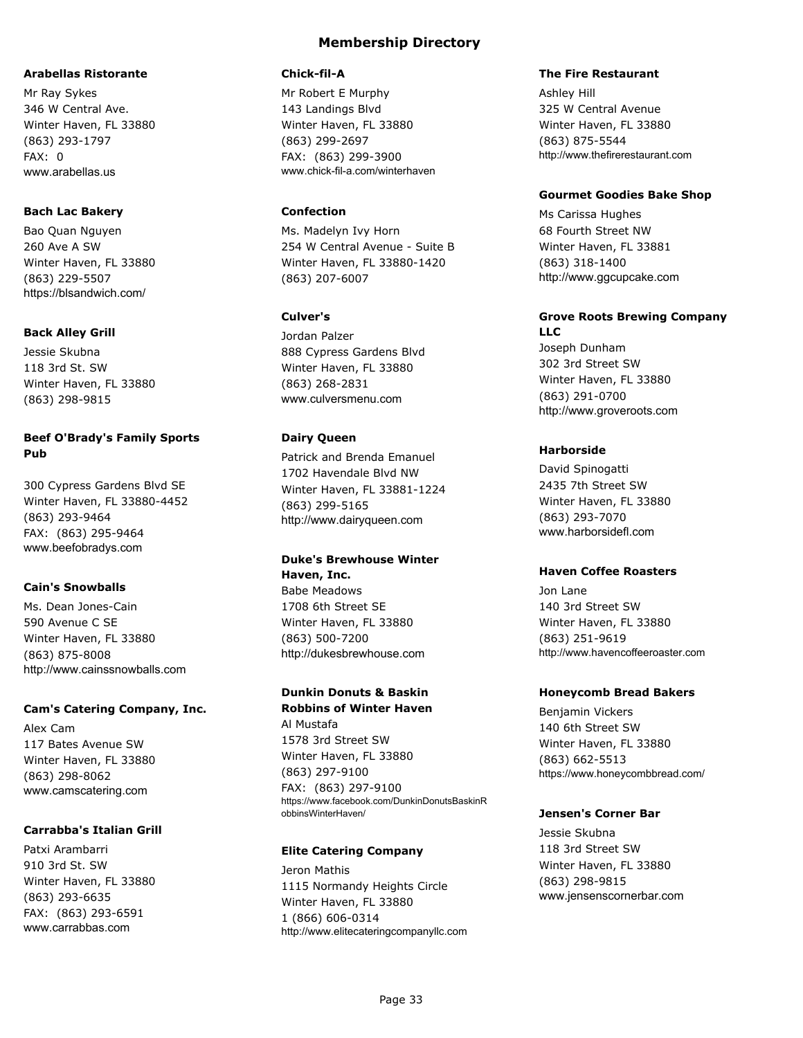#### **Arabellas Ristorante**

Mr Ray Sykes 346 W Central Ave. Winter Haven, FL 33880 (863) 293-1797 FAX: 0 www.arabellas.us

#### **Bach Lac Bakery**

Bao Quan Nguyen 260 Ave A SW Winter Haven, FL 33880 (863) 229-5507 https://blsandwich.com/

#### **Back Alley Grill**

Jessie Skubna 118 3rd St. SW Winter Haven, FL 33880 (863) 298-9815

### **Beef O'Brady's Family Sports Pub**

300 Cypress Gardens Blvd SE Winter Haven, FL 33880-4452 (863) 293-9464 FAX: (863) 295-9464 www.beefobradys.com

### **Cain's Snowballs**

Ms. Dean Jones-Cain 590 Avenue C SE Winter Haven, FL 33880 (863) 875-8008 http://www.cainssnowballs.com

#### **Cam's Catering Company, Inc.**

Alex Cam 117 Bates Avenue SW Winter Haven, FL 33880 (863) 298-8062 www.camscatering.com

### **Carrabba's Italian Grill**

Patxi Arambarri 910 3rd St. SW Winter Haven, FL 33880 (863) 293-6635 FAX: (863) 293-6591 www.carrabbas.com

### **Membership Directory**

#### **Chick-fil-A**

Mr Robert E Murphy 143 Landings Blvd Winter Haven, FL 33880 (863) 299-2697 FAX: (863) 299-3900 www.chick-fil-a.com/winterhaven

### **Confection**

Ms. Madelyn Ivy Horn 254 W Central Avenue - Suite B Winter Haven, FL 33880-1420 (863) 207-6007

### **Culver's**

Jordan Palzer 888 Cypress Gardens Blvd Winter Haven, FL 33880 (863) 268-2831 www.culversmenu.com

### **Dairy Queen**

Patrick and Brenda Emanuel 1702 Havendale Blvd NW Winter Haven, FL 33881-1224 (863) 299-5165 http://www.dairyqueen.com

#### **Duke's Brewhouse Winter Haven, Inc.**

Babe Meadows 1708 6th Street SE Winter Haven, FL 33880 (863) 500-7200 http://dukesbrewhouse.com

## **Dunkin Donuts & Baskin**

**Robbins of Winter Haven** Al Mustafa 1578 3rd Street SW Winter Haven, FL 33880 (863) 297-9100 FAX: (863) 297-9100 https://www.facebook.com/DunkinDonutsBaskinR obbinsWinterHaven/

### **Elite Catering Company**

Jeron Mathis 1115 Normandy Heights Circle Winter Haven, FL 33880 1 (866) 606-0314 http://www.elitecateringcompanyllc.com

#### **The Fire Restaurant**

Ashley Hill 325 W Central Avenue Winter Haven, FL 33880 (863) 875-5544 http://www.thefirerestaurant.com

#### **Gourmet Goodies Bake Shop**

Ms Carissa Hughes 68 Fourth Street NW Winter Haven, FL 33881 (863) 318-1400 http://www.ggcupcake.com

#### **Grove Roots Brewing Company LLC**

Joseph Dunham 302 3rd Street SW Winter Haven, FL 33880 (863) 291-0700 http://www.groveroots.com

### **Harborside**

David Spinogatti 2435 7th Street SW Winter Haven, FL 33880 (863) 293-7070 www.harborsidefl.com

#### **Haven Coffee Roasters**

Jon Lane 140 3rd Street SW Winter Haven, FL 33880 (863) 251-9619 http://www.havencoffeeroaster.com

#### **Honeycomb Bread Bakers**

Benjamin Vickers 140 6th Street SW Winter Haven, FL 33880 (863) 662-5513 https://www.honeycombbread.com/

#### **Jensen's Corner Bar**

Jessie Skubna 118 3rd Street SW Winter Haven, FL 33880 (863) 298-9815 www.jensenscornerbar.com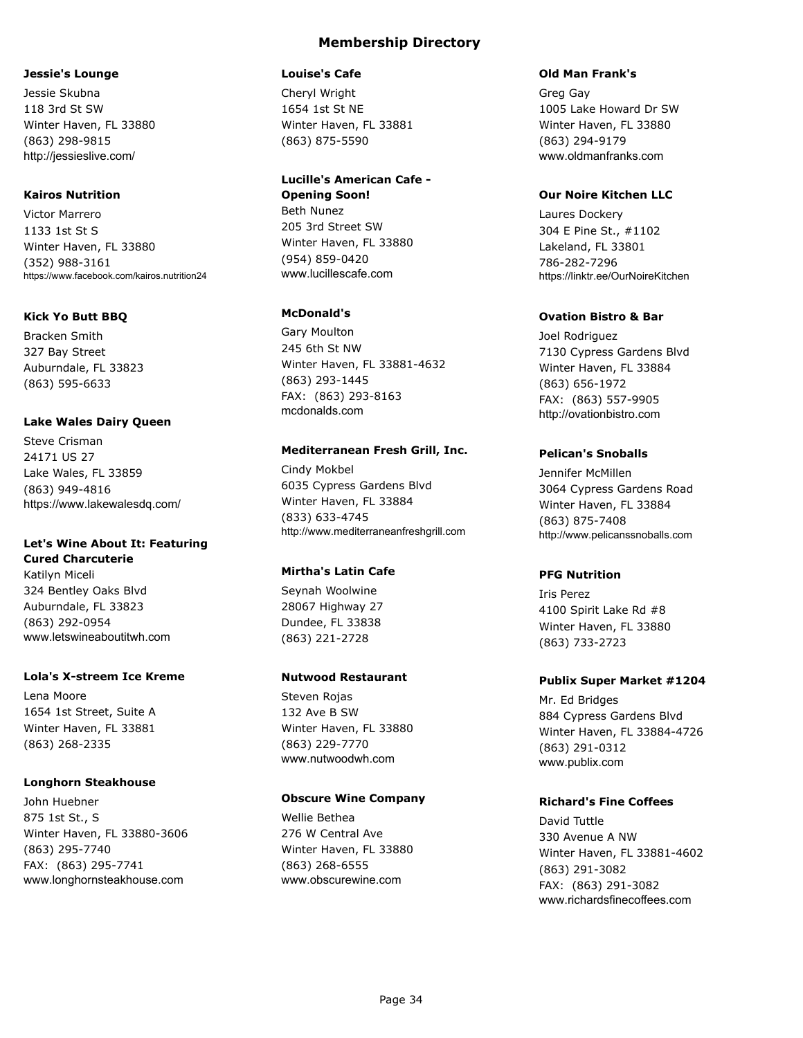#### **Jessie's Lounge**

Jessie Skubna 118 3rd St SW Winter Haven, FL 33880 (863) 298-9815 http://jessieslive.com/

#### **Kairos Nutrition**

Victor Marrero 1133 1st St S Winter Haven, FL 33880 (352) 988-3161 https://www.facebook.com/kairos.nutrition24

### **Kick Yo Butt BBQ**

Bracken Smith 327 Bay Street Auburndale, FL 33823 (863) 595-6633

#### **Lake Wales Dairy Queen**

Steve Crisman 24171 US 27 Lake Wales, FL 33859 (863) 949-4816 https://www.lakewalesdq.com/

### **Let's Wine About It: Featuring**

**Cured Charcuterie** Katilyn Miceli 324 Bentley Oaks Blvd Auburndale, FL 33823 (863) 292-0954 www.letswineaboutitwh.com

### **Lola's X-streem Ice Kreme**

Lena Moore 1654 1st Street, Suite A Winter Haven, FL 33881 (863) 268-2335

#### **Longhorn Steakhouse**

John Huebner 875 1st St., S Winter Haven, FL 33880-3606 (863) 295-7740 FAX: (863) 295-7741 www.longhornsteakhouse.com

### **Membership Directory**

#### **Louise's Cafe**

Cheryl Wright 1654 1st St NE Winter Haven, FL 33881 (863) 875-5590

### **Lucille's American Cafe - Opening Soon!**

Beth Nunez 205 3rd Street SW Winter Haven, FL 33880 (954) 859-0420 www.lucillescafe.com

### **McDonald's**

Gary Moulton 245 6th St NW Winter Haven, FL 33881-4632 (863) 293-1445 FAX: (863) 293-8163 mcdonalds.com

#### **Mediterranean Fresh Grill, Inc.**

Cindy Mokbel 6035 Cypress Gardens Blvd Winter Haven, FL 33884 (833) 633-4745 http://www.mediterraneanfreshgrill.com

### **Mirtha's Latin Cafe**

Seynah Woolwine 28067 Highway 27 Dundee, FL 33838 (863) 221-2728

#### **Nutwood Restaurant**

Steven Rojas 132 Ave B SW Winter Haven, FL 33880 (863) 229-7770 www.nutwoodwh.com

#### **Obscure Wine Company**

Wellie Bethea 276 W Central Ave Winter Haven, FL 33880 (863) 268-6555 www.obscurewine.com

#### **Old Man Frank's**

Greg Gay 1005 Lake Howard Dr SW Winter Haven, FL 33880 (863) 294-9179 www.oldmanfranks.com

### **Our Noire Kitchen LLC**

Laures Dockery 304 E Pine St., #1102 Lakeland, FL 33801 786-282-7296 https://linktr.ee/OurNoireKitchen

#### **Ovation Bistro & Bar**

Joel Rodriguez 7130 Cypress Gardens Blvd Winter Haven, FL 33884 (863) 656-1972 FAX: (863) 557-9905 http://ovationbistro.com

#### **Pelican's Snoballs**

Jennifer McMillen 3064 Cypress Gardens Road Winter Haven, FL 33884 (863) 875-7408 http://www.pelicanssnoballs.com

#### **PFG Nutrition**

Iris Perez 4100 Spirit Lake Rd #8 Winter Haven, FL 33880 (863) 733-2723

#### **Publix Super Market #1204**

Mr. Ed Bridges 884 Cypress Gardens Blvd Winter Haven, FL 33884-4726 (863) 291-0312 www.publix.com

#### **Richard's Fine Coffees**

David Tuttle 330 Avenue A NW Winter Haven, FL 33881-4602 (863) 291-3082 FAX: (863) 291-3082 www.richardsfinecoffees.com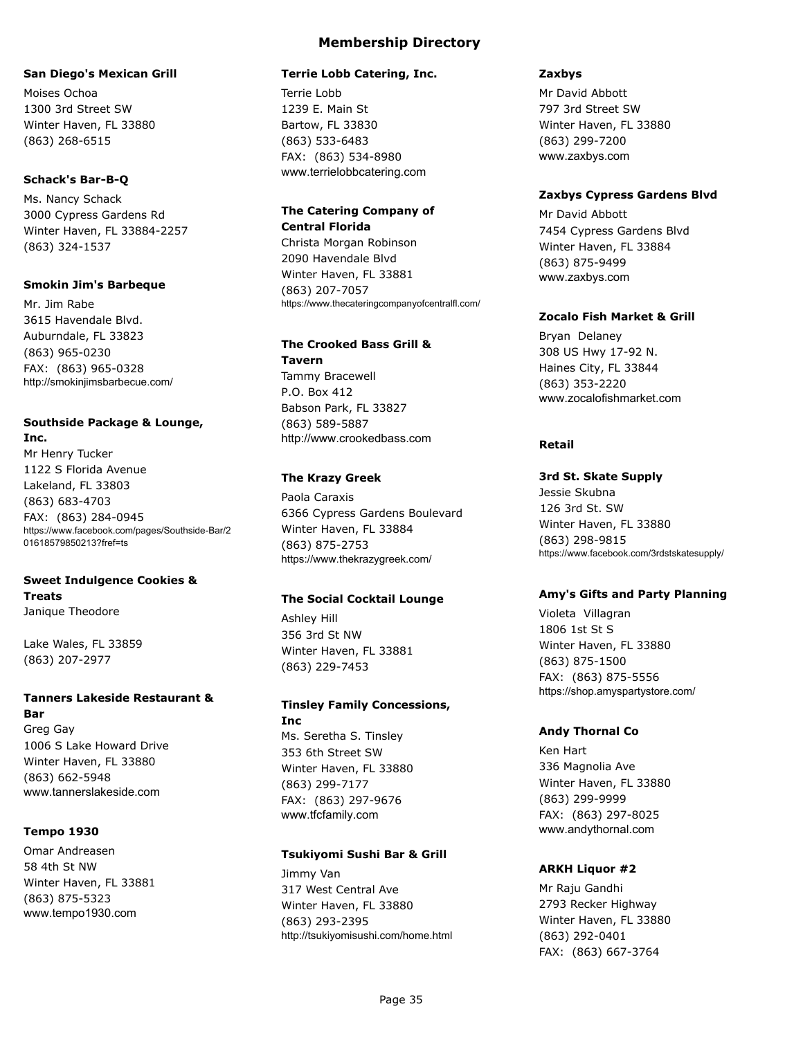#### **San Diego's Mexican Grill**

Moises Ochoa 1300 3rd Street SW Winter Haven, FL 33880 (863) 268-6515

#### **Schack's Bar-B-Q**

Ms. Nancy Schack 3000 Cypress Gardens Rd Winter Haven, FL 33884-2257 (863) 324-1537

#### **Smokin Jim's Barbeque**

Mr. Jim Rabe 3615 Havendale Blvd. Auburndale, FL 33823 (863) 965-0230 FAX: (863) 965-0328 http://smokinjimsbarbecue.com/

#### **Southside Package & Lounge, Inc.**

Mr Henry Tucker 1122 S Florida Avenue Lakeland, FL 33803 (863) 683-4703 FAX: (863) 284-0945 https://www.facebook.com/pages/Southside-Bar/2 01618579850213?fref=ts

#### **Sweet Indulgence Cookies & Treats** Janique Theodore

Lake Wales, FL 33859 (863) 207-2977

### **Tanners Lakeside Restaurant & Bar**

Greg Gay 1006 S Lake Howard Drive Winter Haven, FL 33880 (863) 662-5948 www.tannerslakeside.com

#### **Tempo 1930**

Omar Andreasen 58 4th St NW Winter Haven, FL 33881 (863) 875-5323 www.tempo1930.com

### **Membership Directory**

#### **Terrie Lobb Catering, Inc.**

Terrie Lobb 1239 E. Main St Bartow, FL 33830 (863) 533-6483 FAX: (863) 534-8980 www.terrielobbcatering.com

### **The Catering Company of Central Florida**

Christa Morgan Robinson 2090 Havendale Blvd Winter Haven, FL 33881 (863) 207-7057 https://www.thecateringcompanyofcentralfl.com/

### **The Crooked Bass Grill &**

**Tavern** Tammy Bracewell P.O. Box 412 Babson Park, FL 33827 (863) 589-5887 http://www.crookedbass.com

#### **The Krazy Greek**

Paola Caraxis 6366 Cypress Gardens Boulevard Winter Haven, FL 33884 (863) 875-2753 https://www.thekrazygreek.com/

#### **The Social Cocktail Lounge**

Ashley Hill 356 3rd St NW Winter Haven, FL 33881 (863) 229-7453

## **Tinsley Family Concessions, Inc**

Ms. Seretha S. Tinsley 353 6th Street SW Winter Haven, FL 33880 (863) 299-7177 FAX: (863) 297-9676 www.tfcfamily.com

#### **Tsukiyomi Sushi Bar & Grill**

Jimmy Van 317 West Central Ave Winter Haven, FL 33880 (863) 293-2395 http://tsukiyomisushi.com/home.html

#### **Zaxbys**

Mr David Abbott 797 3rd Street SW Winter Haven, FL 33880 (863) 299-7200 www.zaxbys.com

#### **Zaxbys Cypress Gardens Blvd**

Mr David Abbott 7454 Cypress Gardens Blvd Winter Haven, FL 33884 (863) 875-9499 www.zaxbys.com

#### **Zocalo Fish Market & Grill**

Bryan Delaney 308 US Hwy 17-92 N. Haines City, FL 33844 (863) 353-2220 www.zocalofishmarket.com

#### **Retail**

#### **3rd St. Skate Supply**

Jessie Skubna 126 3rd St. SW Winter Haven, FL 33880 (863) 298-9815 https://www.facebook.com/3rdstskatesupply/

#### **Amy's Gifts and Party Planning**

Violeta Villagran 1806 1st St S Winter Haven, FL 33880 (863) 875-1500 FAX: (863) 875-5556 https://shop.amyspartystore.com/

### **Andy Thornal Co**

Ken Hart 336 Magnolia Ave Winter Haven, FL 33880 (863) 299-9999 FAX: (863) 297-8025 www.andythornal.com

#### **ARKH Liquor #2**

Mr Raju Gandhi 2793 Recker Highway Winter Haven, FL 33880 (863) 292-0401 FAX: (863) 667-3764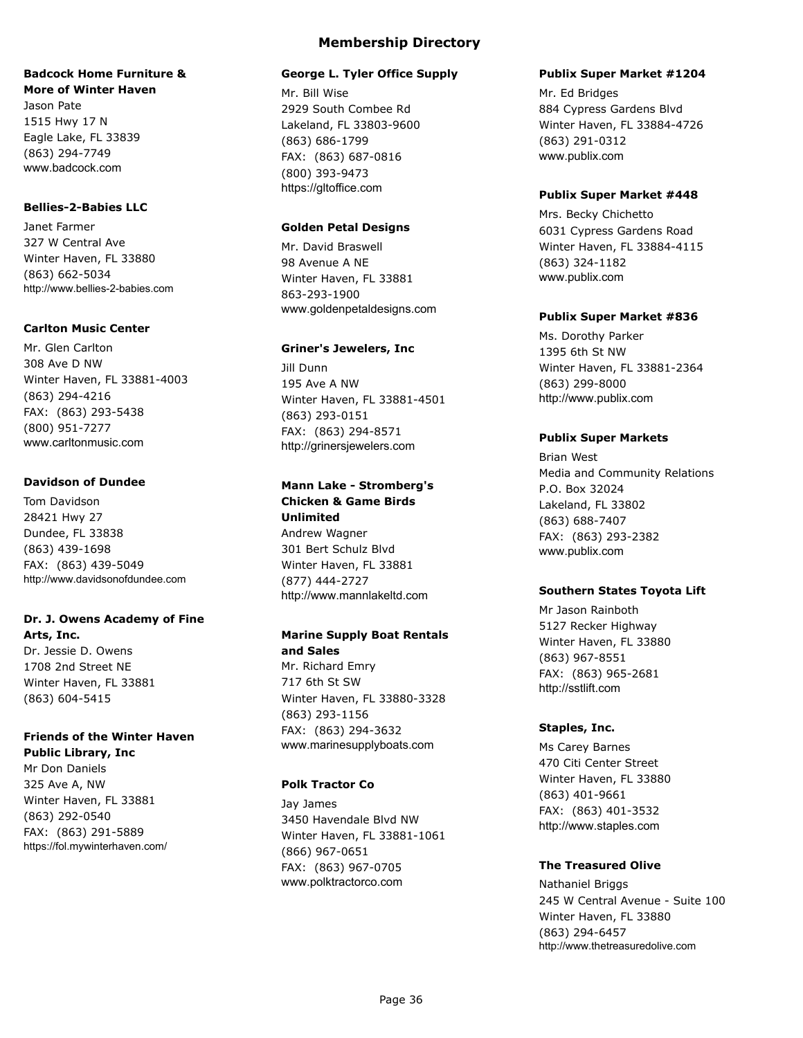#### **Badcock Home Furniture & More of Winter Haven**

Jason Pate 1515 Hwy 17 N Eagle Lake, FL 33839 (863) 294-7749 www.badcock.com

#### **Bellies-2-Babies LLC**

Janet Farmer 327 W Central Ave Winter Haven, FL 33880 (863) 662-5034 http://www.bellies-2-babies.com

### **Carlton Music Center**

Mr. Glen Carlton 308 Ave D NW Winter Haven, FL 33881-4003 (863) 294-4216 FAX: (863) 293-5438 (800) 951-7277 www.carltonmusic.com

### **Davidson of Dundee**

Tom Davidson 28421 Hwy 27 Dundee, FL 33838 (863) 439-1698 FAX: (863) 439-5049 http://www.davidsonofdundee.com

## **Dr. J. Owens Academy of Fine**

**Arts, Inc.** Dr. Jessie D. Owens 1708 2nd Street NE Winter Haven, FL 33881 (863) 604-5415

### **Friends of the Winter Haven**

**Public Library, Inc** Mr Don Daniels 325 Ave A, NW Winter Haven, FL 33881 (863) 292-0540 FAX: (863) 291-5889 https://fol.mywinterhaven.com/

## **Membership Directory**

### **George L. Tyler Office Supply**

Mr. Bill Wise 2929 South Combee Rd Lakeland, FL 33803-9600 (863) 686-1799 FAX: (863) 687-0816 (800) 393-9473 https://gltoffice.com

### **Golden Petal Designs**

Mr. David Braswell 98 Avenue A NE Winter Haven, FL 33881 863-293-1900 www.goldenpetaldesigns.com

### **Griner's Jewelers, Inc**

Jill Dunn 195 Ave A NW Winter Haven, FL 33881-4501 (863) 293-0151 FAX: (863) 294-8571 http://grinersjewelers.com

## **Mann Lake - Stromberg's**

**Chicken & Game Birds Unlimited** Andrew Wagner 301 Bert Schulz Blvd Winter Haven, FL 33881 (877) 444-2727 http://www.mannlakeltd.com

### **Marine Supply Boat Rentals and Sales**

Mr. Richard Emry 717 6th St SW Winter Haven, FL 33880-3328 (863) 293-1156 FAX: (863) 294-3632 www.marinesupplyboats.com

### **Polk Tractor Co**

Jay James 3450 Havendale Blvd NW Winter Haven, FL 33881-1061 (866) 967-0651 FAX: (863) 967-0705 www.polktractorco.com

#### **Publix Super Market #1204**

Mr. Ed Bridges 884 Cypress Gardens Blvd Winter Haven, FL 33884-4726 (863) 291-0312 www.publix.com

#### **Publix Super Market #448**

Mrs. Becky Chichetto 6031 Cypress Gardens Road Winter Haven, FL 33884-4115 (863) 324-1182 www.publix.com

### **Publix Super Market #836**

Ms. Dorothy Parker 1395 6th St NW Winter Haven, FL 33881-2364 (863) 299-8000 http://www.publix.com

### **Publix Super Markets**

Brian West Media and Community Relations P.O. Box 32024 Lakeland, FL 33802 (863) 688-7407 FAX: (863) 293-2382 www.publix.com

### **Southern States Toyota Lift**

Mr Jason Rainboth 5127 Recker Highway Winter Haven, FL 33880 (863) 967-8551 FAX: (863) 965-2681 http://sstlift.com

### **Staples, Inc.**

Ms Carey Barnes 470 Citi Center Street Winter Haven, FL 33880 (863) 401-9661 FAX: (863) 401-3532 http://www.staples.com

### **The Treasured Olive**

Nathaniel Briggs 245 W Central Avenue - Suite 100 Winter Haven, FL 33880 (863) 294-6457 http://www.thetreasuredolive.com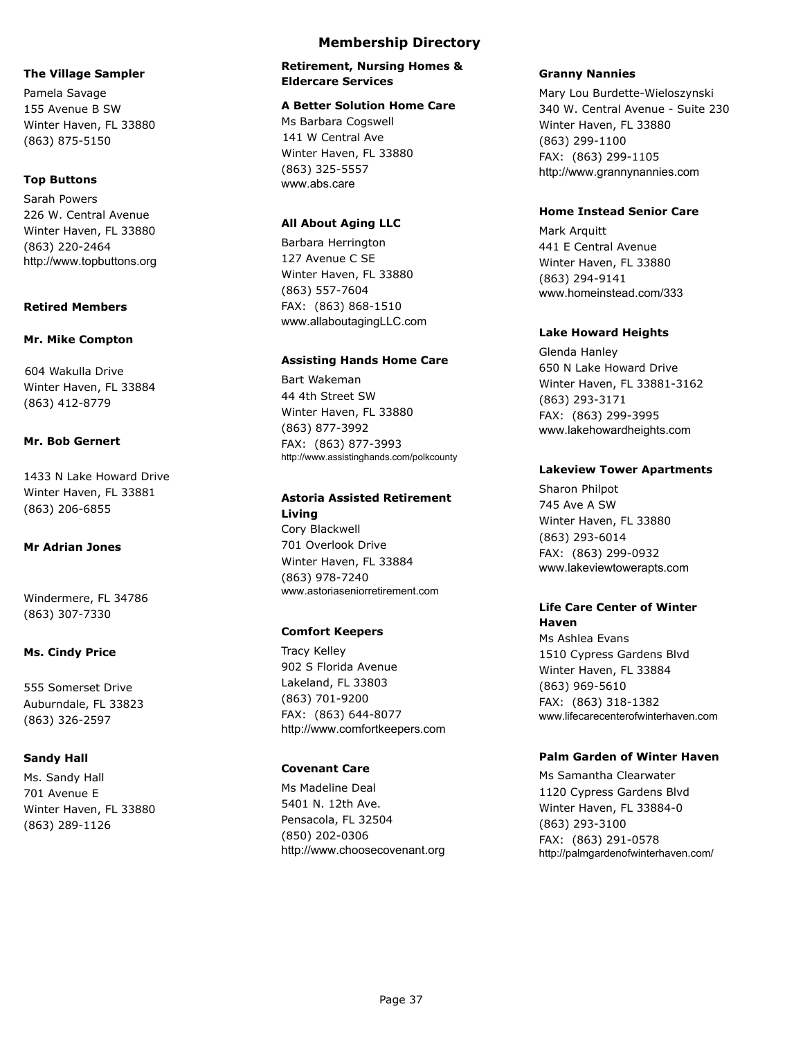#### **The Village Sampler**

Pamela Savage 155 Avenue B SW Winter Haven, FL 33880 (863) 875-5150

#### **Top Buttons**

Sarah Powers 226 W. Central Avenue Winter Haven, FL 33880 (863) 220-2464 http://www.topbuttons.org

#### **Retired Members**

#### **Mr. Mike Compton**

604 Wakulla Drive Winter Haven, FL 33884 (863) 412-8779

### **Mr. Bob Gernert**

1433 N Lake Howard Drive Winter Haven, FL 33881 (863) 206-6855

#### **Mr Adrian Jones**

Windermere, FL 34786 (863) 307-7330

#### **Ms. Cindy Price**

555 Somerset Drive Auburndale, FL 33823 (863) 326-2597

#### **Sandy Hall**

Ms. Sandy Hall 701 Avenue E Winter Haven, FL 33880 (863) 289-1126

### **Membership Directory**

#### **Retirement, Nursing Homes & Eldercare Services**

#### **A Better Solution Home Care**

Ms Barbara Cogswell 141 W Central Ave Winter Haven, FL 33880 (863) 325-5557 www.abs.care

#### **All About Aging LLC**

Barbara Herrington 127 Avenue C SE Winter Haven, FL 33880 (863) 557-7604 FAX: (863) 868-1510 www.allaboutagingLLC.com

#### **Assisting Hands Home Care**

Bart Wakeman 44 4th Street SW Winter Haven, FL 33880 (863) 877-3992 FAX: (863) 877-3993 http://www.assistinghands.com/polkcounty

#### **Astoria Assisted Retirement Living**

Cory Blackwell 701 Overlook Drive Winter Haven, FL 33884 (863) 978-7240 www.astoriaseniorretirement.com

#### **Comfort Keepers**

Tracy Kelley 902 S Florida Avenue Lakeland, FL 33803 (863) 701-9200 FAX: (863) 644-8077 http://www.comfortkeepers.com

#### **Covenant Care**

Ms Madeline Deal 5401 N. 12th Ave. Pensacola, FL 32504 (850) 202-0306 http://www.choosecovenant.org

#### **Granny Nannies**

Mary Lou Burdette-Wieloszynski 340 W. Central Avenue - Suite 230 Winter Haven, FL 33880 (863) 299-1100 FAX: (863) 299-1105 http://www.grannynannies.com

#### **Home Instead Senior Care**

Mark Arquitt 441 E Central Avenue Winter Haven, FL 33880 (863) 294-9141 www.homeinstead.com/333

#### **Lake Howard Heights**

Glenda Hanley 650 N Lake Howard Drive Winter Haven, FL 33881-3162 (863) 293-3171 FAX: (863) 299-3995 www.lakehowardheights.com

#### **Lakeview Tower Apartments**

Sharon Philpot 745 Ave A SW Winter Haven, FL 33880 (863) 293-6014 FAX: (863) 299-0932 www.lakeviewtowerapts.com

#### **Life Care Center of Winter Haven**

Ms Ashlea Evans 1510 Cypress Gardens Blvd Winter Haven, FL 33884 (863) 969-5610 FAX: (863) 318-1382 www.lifecarecenterofwinterhaven.com

### **Palm Garden of Winter Haven**

Ms Samantha Clearwater 1120 Cypress Gardens Blvd Winter Haven, FL 33884-0 (863) 293-3100 FAX: (863) 291-0578 http://palmgardenofwinterhaven.com/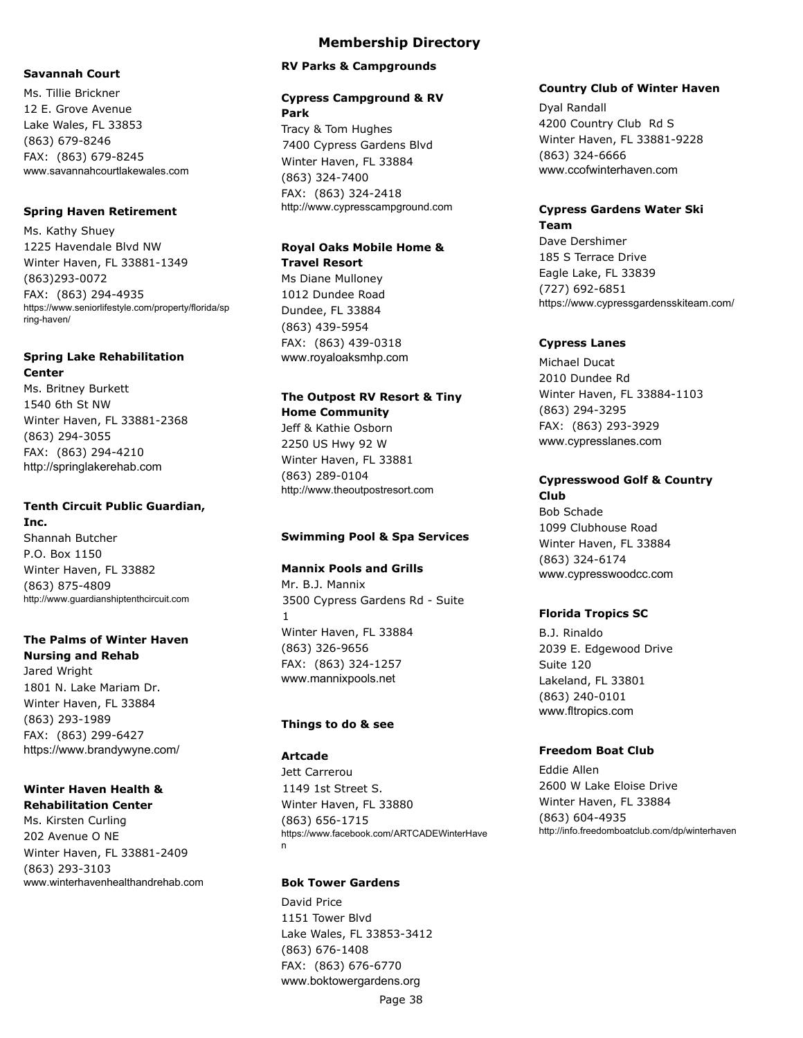#### **Savannah Court**

Ms. Tillie Brickner 12 E. Grove Avenue Lake Wales, FL 33853 (863) 679-8246 FAX: (863) 679-8245 www.savannahcourtlakewales.com

#### **Spring Haven Retirement**

Ms. Kathy Shuey 1225 Havendale Blvd NW Winter Haven, FL 33881-1349 (863)293-0072 FAX: (863) 294-4935 https://www.seniorlifestyle.com/property/florida/sp ring-haven/

### **Spring Lake Rehabilitation Center**

Ms. Britney Burkett 1540 6th St NW Winter Haven, FL 33881-2368 (863) 294-3055 FAX: (863) 294-4210 http://springlakerehab.com

#### **Tenth Circuit Public Guardian, Inc.**

Shannah Butcher P.O. Box 1150 Winter Haven, FL 33882 (863) 875-4809 http://www.guardianshiptenthcircuit.com

### **The Palms of Winter Haven Nursing and Rehab**

Jared Wright 1801 N. Lake Mariam Dr. Winter Haven, FL 33884 (863) 293-1989 FAX: (863) 299-6427 https://www.brandywyne.com/

#### **Winter Haven Health & Rehabilitation Center**

Ms. Kirsten Curling 202 Avenue O NE Winter Haven, FL 33881-2409 (863) 293-3103 www.winterhavenhealthandrehab.com

#### **RV Parks & Campgrounds**

#### **Cypress Campground & RV Park**

Tracy & Tom Hughes 7400 Cypress Gardens Blvd Winter Haven, FL 33884 (863) 324-7400 FAX: (863) 324-2418 http://www.cypresscampground.com

## **Royal Oaks Mobile Home & Travel Resort**

Ms Diane Mulloney 1012 Dundee Road Dundee, FL 33884 (863) 439-5954 FAX: (863) 439-0318 www.royaloaksmhp.com

## **The Outpost RV Resort & Tiny Home Community**

Jeff & Kathie Osborn 2250 US Hwy 92 W Winter Haven, FL 33881 (863) 289-0104 http://www.theoutpostresort.com

#### **Swimming Pool & Spa Services**

#### **Mannix Pools and Grills**

Mr. B.J. Mannix 3500 Cypress Gardens Rd - Suite 1 Winter Haven, FL 33884 (863) 326-9656 FAX: (863) 324-1257 www.mannixpools.net

#### **Things to do & see**

#### **Artcade**

Jett Carrerou 1149 1st Street S. Winter Haven, FL 33880 (863) 656-1715 https://www.facebook.com/ARTCADEWinterHave n

### **Bok Tower Gardens**

David Price 1151 Tower Blvd Lake Wales, FL 33853-3412 (863) 676-1408 FAX: (863) 676-6770 www.boktowergardens.org

Page 38

#### **Country Club of Winter Haven**

Dyal Randall 4200 Country Club Rd S Winter Haven, FL 33881-9228 (863) 324-6666 www.ccofwinterhaven.com

#### **Cypress Gardens Water Ski Team**

Dave Dershimer 185 S Terrace Drive Eagle Lake, FL 33839 (727) 692-6851 https://www.cypressgardensskiteam.com/

#### **Cypress Lanes**

Michael Ducat 2010 Dundee Rd Winter Haven, FL 33884-1103 (863) 294-3295 FAX: (863) 293-3929 www.cypresslanes.com

#### **Cypresswood Golf & Country Club**

Bob Schade 1099 Clubhouse Road Winter Haven, FL 33884 (863) 324-6174 www.cypresswoodcc.com

#### **Florida Tropics SC**

B.J. Rinaldo 2039 E. Edgewood Drive Suite 120 Lakeland, FL 33801 (863) 240-0101 www.fltropics.com

#### **Freedom Boat Club**

Eddie Allen 2600 W Lake Eloise Drive Winter Haven, FL 33884 (863) 604-4935 http://info.freedomboatclub.com/dp/winterhaven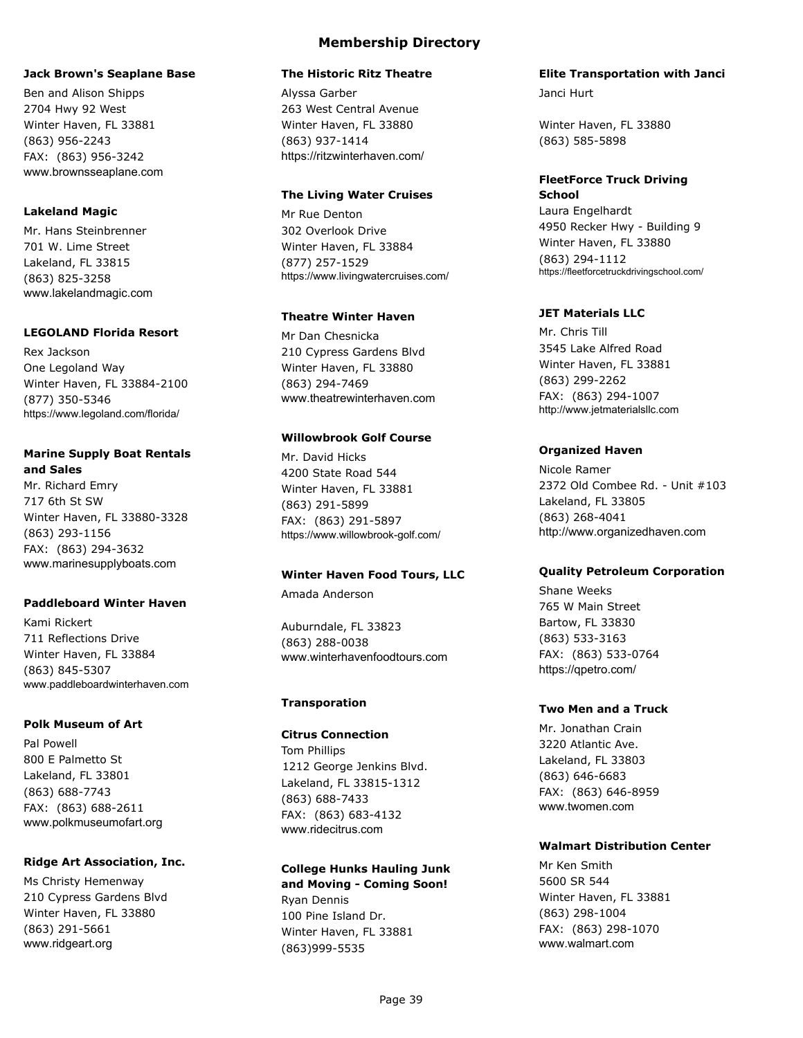#### **Jack Brown's Seaplane Base**

Ben and Alison Shipps 2704 Hwy 92 West Winter Haven, FL 33881 (863) 956-2243 FAX: (863) 956-3242 www.brownsseaplane.com

#### **Lakeland Magic**

Mr. Hans Steinbrenner 701 W. Lime Street Lakeland, FL 33815 (863) 825-3258 www.lakelandmagic.com

#### **LEGOLAND Florida Resort**

Rex Jackson One Legoland Way Winter Haven, FL 33884-2100 (877) 350-5346 https://www.legoland.com/florida/

## **Marine Supply Boat Rentals**

**and Sales** Mr. Richard Emry 717 6th St SW Winter Haven, FL 33880-3328 (863) 293-1156 FAX: (863) 294-3632 www.marinesupplyboats.com

### **Paddleboard Winter Haven**

Kami Rickert 711 Reflections Drive Winter Haven, FL 33884 (863) 845-5307 www.paddleboardwinterhaven.com

#### **Polk Museum of Art**

Pal Powell 800 E Palmetto St Lakeland, FL 33801 (863) 688-7743 FAX: (863) 688-2611 www.polkmuseumofart.org

### **Ridge Art Association, Inc.**

Ms Christy Hemenway 210 Cypress Gardens Blvd Winter Haven, FL 33880 (863) 291-5661 www.ridgeart.org

# **Membership Directory**

#### **The Historic Ritz Theatre**

Alyssa Garber 263 West Central Avenue Winter Haven, FL 33880 (863) 937-1414 https://ritzwinterhaven.com/

#### **The Living Water Cruises**

Mr Rue Denton 302 Overlook Drive Winter Haven, FL 33884 (877) 257-1529 https://www.livingwatercruises.com/

### **Theatre Winter Haven**

Mr Dan Chesnicka 210 Cypress Gardens Blvd Winter Haven, FL 33880 (863) 294-7469 www.theatrewinterhaven.com

#### **Willowbrook Golf Course**

Mr. David Hicks 4200 State Road 544 Winter Haven, FL 33881 (863) 291-5899 FAX: (863) 291-5897 https://www.willowbrook-golf.com/

### **Winter Haven Food Tours, LLC**

Amada Anderson

Auburndale, FL 33823 (863) 288-0038 www.winterhavenfoodtours.com

### **Transporation**

### **Citrus Connection**

Tom Phillips 1212 George Jenkins Blvd. Lakeland, FL 33815-1312 (863) 688-7433 FAX: (863) 683-4132 www.ridecitrus.com

## **College Hunks Hauling Junk**

**and Moving - Coming Soon!** Ryan Dennis 100 Pine Island Dr. Winter Haven, FL 33881 (863)999-5535

#### **Elite Transportation with Janci**

Janci Hurt

Winter Haven, FL 33880 (863) 585-5898

#### **FleetForce Truck Driving School**

Laura Engelhardt 4950 Recker Hwy - Building 9 Winter Haven, FL 33880 (863) 294-1112 https://fleetforcetruckdrivingschool.com/

#### **JET Materials LLC**

Mr. Chris Till 3545 Lake Alfred Road Winter Haven, FL 33881 (863) 299-2262 FAX: (863) 294-1007 http://www.jetmaterialsllc.com

### **Organized Haven**

Nicole Ramer 2372 Old Combee Rd. - Unit #103 Lakeland, FL 33805 (863) 268-4041 http://www.organizedhaven.com

### **Quality Petroleum Corporation**

Shane Weeks 765 W Main Street Bartow, FL 33830 (863) 533-3163 FAX: (863) 533-0764 https://qpetro.com/

### **Two Men and a Truck**

Mr. Jonathan Crain 3220 Atlantic Ave. Lakeland, FL 33803 (863) 646-6683 FAX: (863) 646-8959 www.twomen.com

### **Walmart Distribution Center**

Mr Ken Smith 5600 SR 544 Winter Haven, FL 33881 (863) 298-1004 FAX: (863) 298-1070 www.walmart.com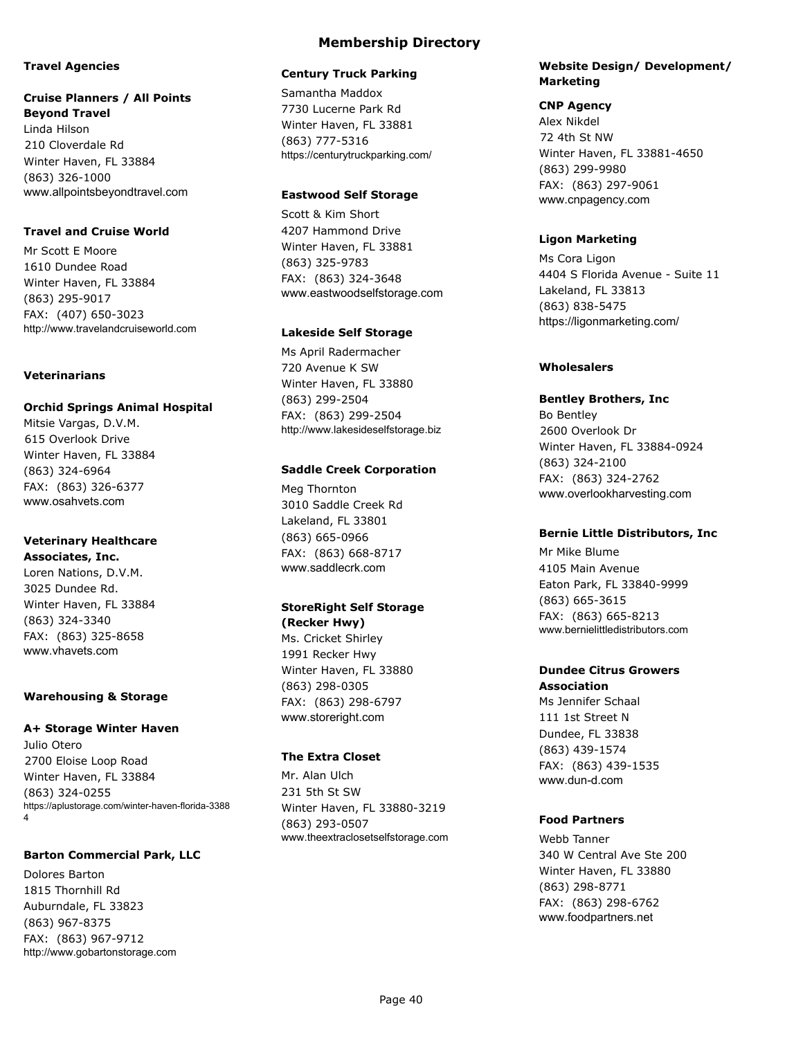#### **Travel Agencies**

#### **Cruise Planners / All Points Beyond Travel**

Linda Hilson 210 Cloverdale Rd Winter Haven, FL 33884 (863) 326-1000 www.allpointsbeyondtravel.com

### **Travel and Cruise World**

Mr Scott E Moore 1610 Dundee Road Winter Haven, FL 33884 (863) 295-9017 FAX: (407) 650-3023 http://www.travelandcruiseworld.com

### **Veterinarians**

#### **Orchid Springs Animal Hospital**

Mitsie Vargas, D.V.M. 615 Overlook Drive Winter Haven, FL 33884 (863) 324-6964 FAX: (863) 326-6377 www.osahvets.com

### **Veterinary Healthcare**

**Associates, Inc.** Loren Nations, D.V.M. 3025 Dundee Rd. Winter Haven, FL 33884 (863) 324-3340 FAX: (863) 325-8658 www.vhavets.com

#### **Warehousing & Storage**

#### **A+ Storage Winter Haven**

Julio Otero 2700 Eloise Loop Road Winter Haven, FL 33884 (863) 324-0255 https://aplustorage.com/winter-haven-florida-3388 4

#### **Barton Commercial Park, LLC**

Dolores Barton 1815 Thornhill Rd Auburndale, FL 33823 (863) 967-8375 FAX: (863) 967-9712 http://www.gobartonstorage.com

### **Membership Directory**

#### **Century Truck Parking**

Samantha Maddox 7730 Lucerne Park Rd Winter Haven, FL 33881 (863) 777-5316 https://centurytruckparking.com/

### **Eastwood Self Storage**

Scott & Kim Short 4207 Hammond Drive Winter Haven, FL 33881 (863) 325-9783 FAX: (863) 324-3648 www.eastwoodselfstorage.com

#### **Lakeside Self Storage**

Ms April Radermacher 720 Avenue K SW Winter Haven, FL 33880 (863) 299-2504 FAX: (863) 299-2504 http://www.lakesideselfstorage.biz

#### **Saddle Creek Corporation**

Meg Thornton 3010 Saddle Creek Rd Lakeland, FL 33801 (863) 665-0966 FAX: (863) 668-8717 www.saddlecrk.com

### **StoreRight Self Storage**

**(Recker Hwy)** Ms. Cricket Shirley 1991 Recker Hwy Winter Haven, FL 33880 (863) 298-0305 FAX: (863) 298-6797 www.storeright.com

### **The Extra Closet**

Mr. Alan Ulch 231 5th St SW Winter Haven, FL 33880-3219 (863) 293-0507 www.theextraclosetselfstorage.com

#### **Website Design/ Development/ Marketing**

#### **CNP Agency**

Alex Nikdel 72 4th St NW Winter Haven, FL 33881-4650 (863) 299-9980 FAX: (863) 297-9061 www.cnpagency.com

#### **Ligon Marketing**

Ms Cora Ligon 4404 S Florida Avenue - Suite 11 Lakeland, FL 33813 (863) 838-5475 https://ligonmarketing.com/

### **Wholesalers**

#### **Bentley Brothers, Inc**

Bo Bentley 2600 Overlook Dr Winter Haven, FL 33884-0924 (863) 324-2100 FAX: (863) 324-2762 www.overlookharvesting.com

#### **Bernie Little Distributors, Inc**

Mr Mike Blume 4105 Main Avenue Eaton Park, FL 33840-9999 (863) 665-3615 FAX: (863) 665-8213 www.bernielittledistributors.com

### **Dundee Citrus Growers Association**

Ms Jennifer Schaal 111 1st Street N Dundee, FL 33838 (863) 439-1574 FAX: (863) 439-1535 www.dun-d.com

### **Food Partners**

Webb Tanner 340 W Central Ave Ste 200 Winter Haven, FL 33880 (863) 298-8771 FAX: (863) 298-6762 www.foodpartners.net